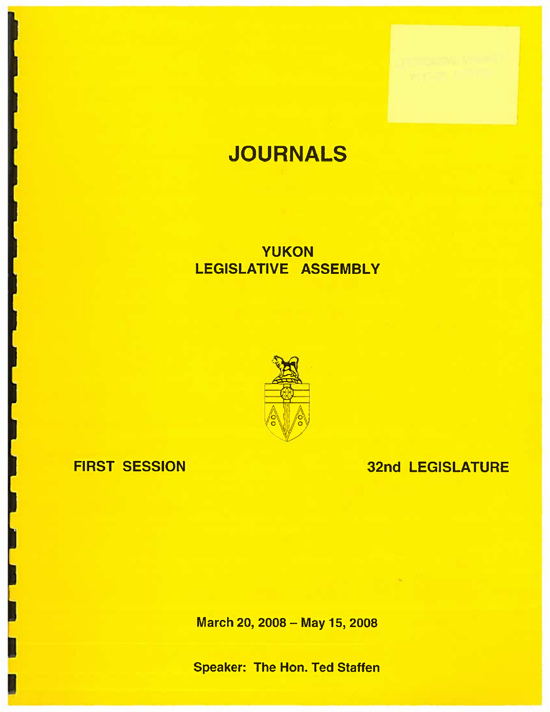# JOURNALS

## YUKONLEGISLATIVE ASSEMBLY



## FIRST SESSION

## 32nd LEGISLATURE

March 20, 2008— May 15, 2008

Speaker: The Hon. Ted Staffen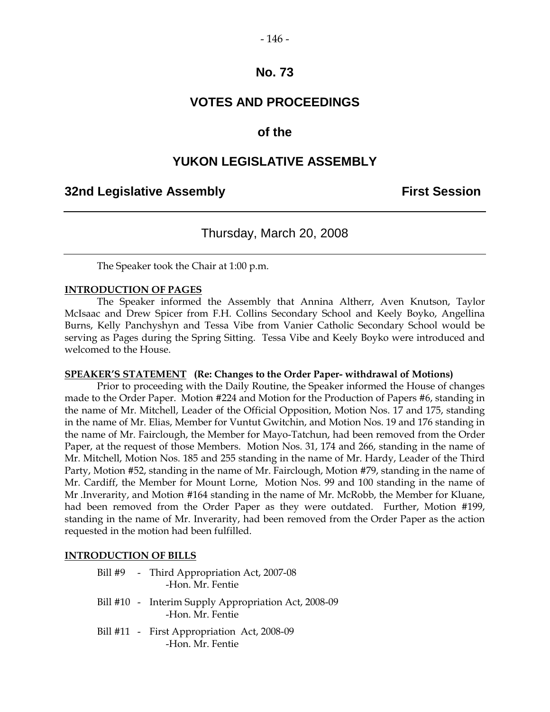#### - 146 -

## **No. 73**

## **VOTES AND PROCEEDINGS**

## **of the**

## **YUKON LEGISLATIVE ASSEMBLY**

## **32nd Legislative Assembly First Session**

## Thursday, March 20, 2008

The Speaker took the Chair at 1:00 p.m.

#### **INTRODUCTION OF PAGES**

The Speaker informed the Assembly that Annina Altherr, Aven Knutson, Taylor McIsaac and Drew Spicer from F.H. Collins Secondary School and Keely Boyko, Angellina Burns, Kelly Panchyshyn and Tessa Vibe from Vanier Catholic Secondary School would be serving as Pages during the Spring Sitting. Tessa Vibe and Keely Boyko were introduced and welcomed to the House.

#### **SPEAKER'S STATEMENT (Re: Changes to the Order Paper- withdrawal of Motions)**

Prior to proceeding with the Daily Routine, the Speaker informed the House of changes made to the Order Paper. Motion #224 and Motion for the Production of Papers #6, standing in the name of Mr. Mitchell, Leader of the Official Opposition, Motion Nos. 17 and 175, standing in the name of Mr. Elias, Member for Vuntut Gwitchin, and Motion Nos. 19 and 176 standing in the name of Mr. Fairclough, the Member for Mayo-Tatchun, had been removed from the Order Paper, at the request of those Members. Motion Nos. 31, 174 and 266, standing in the name of Mr. Mitchell, Motion Nos. 185 and 255 standing in the name of Mr. Hardy, Leader of the Third Party, Motion #52, standing in the name of Mr. Fairclough, Motion #79, standing in the name of Mr. Cardiff, the Member for Mount Lorne, Motion Nos. 99 and 100 standing in the name of Mr .Inverarity, and Motion #164 standing in the name of Mr. McRobb, the Member for Kluane, had been removed from the Order Paper as they were outdated. Further, Motion #199, standing in the name of Mr. Inverarity, had been removed from the Order Paper as the action requested in the motion had been fulfilled.

#### **INTRODUCTION OF BILLS**

|  | Bill #9 - Third Appropriation Act, 2007-08<br>-Hon. Mr. Fentie           |
|--|--------------------------------------------------------------------------|
|  | Bill #10 - Interim Supply Appropriation Act, 2008-09<br>-Hon. Mr. Fentie |
|  | Bill #11 - First Appropriation Act, 2008-09                              |

-Hon. Mr. Fentie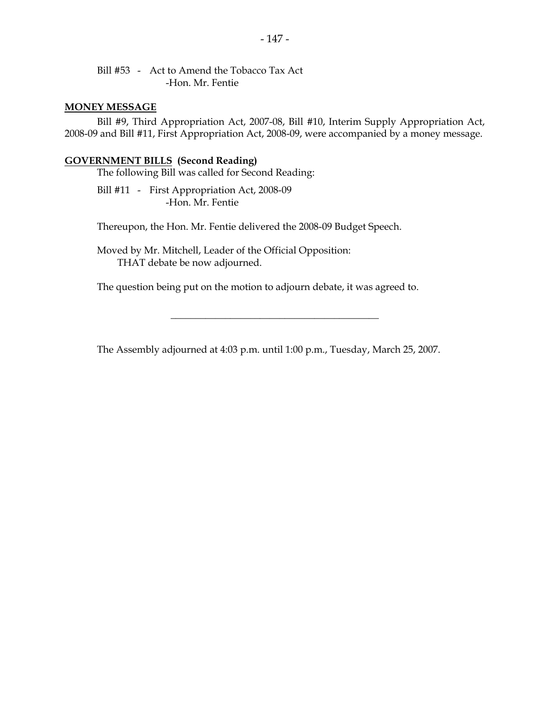Bill #53 - Act to Amend the Tobacco Tax Act -Hon. Mr. Fentie

#### **MONEY MESSAGE**

Bill #9, Third Appropriation Act, 2007-08, Bill #10, Interim Supply Appropriation Act, 2008-09 and Bill #11, First Appropriation Act, 2008-09, were accompanied by a money message.

#### **GOVERNMENT BILLS (Second Reading)**

The following Bill was called for Second Reading:

Bill #11 - First Appropriation Act, 2008-09 -Hon. Mr. Fentie

Thereupon, the Hon. Mr. Fentie delivered the 2008-09 Budget Speech.

Moved by Mr. Mitchell, Leader of the Official Opposition: THAT debate be now adjourned.

The question being put on the motion to adjourn debate, it was agreed to.

The Assembly adjourned at 4:03 p.m. until 1:00 p.m., Tuesday, March 25, 2007.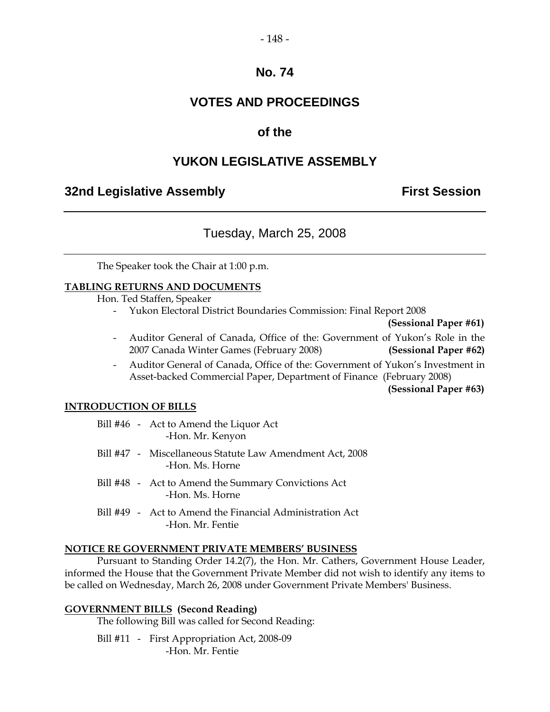#### - 148 -

## **No. 74**

## **VOTES AND PROCEEDINGS**

## **of the**

## **YUKON LEGISLATIVE ASSEMBLY**

## **32nd Legislative Assembly <b>First Session**

## Tuesday, March 25, 2008

The Speaker took the Chair at 1:00 p.m.

#### **TABLING RETURNS AND DOCUMENTS**

Hon. Ted Staffen, Speaker

- Yukon Electoral District Boundaries Commission: Final Report 2008

**(Sessional Paper #61)**

- Auditor General of Canada, Office of the: Government of Yukon's Role in the 2007 Canada Winter Games (February 2008) **(Sessional Paper #62)**
- Auditor General of Canada, Office of the: Government of Yukon's Investment in Asset-backed Commercial Paper, Department of Finance (February 2008)

**(Sessional Paper #63)**

#### **INTRODUCTION OF BILLS**

|  | Bill #46 - Act to Amend the Liquor Act<br>-Hon. Mr. Kenyon                   |
|--|------------------------------------------------------------------------------|
|  | Bill #47 - Miscellaneous Statute Law Amendment Act, 2008<br>-Hon. Ms. Horne  |
|  | Bill #48 - Act to Amend the Summary Convictions Act<br>-Hon. Ms. Horne       |
|  | Bill #49 - Act to Amend the Financial Administration Act<br>-Hon. Mr. Fentie |

#### **NOTICE RE GOVERNMENT PRIVATE MEMBERS' BUSINESS**

Pursuant to Standing Order 14.2(7), the Hon. Mr. Cathers, Government House Leader, informed the House that the Government Private Member did not wish to identify any items to be called on Wednesday, March 26, 2008 under Government Private Members' Business.

#### **GOVERNMENT BILLS (Second Reading)**

The following Bill was called for Second Reading:

Bill #11 - First Appropriation Act, 2008-09 -Hon. Mr. Fentie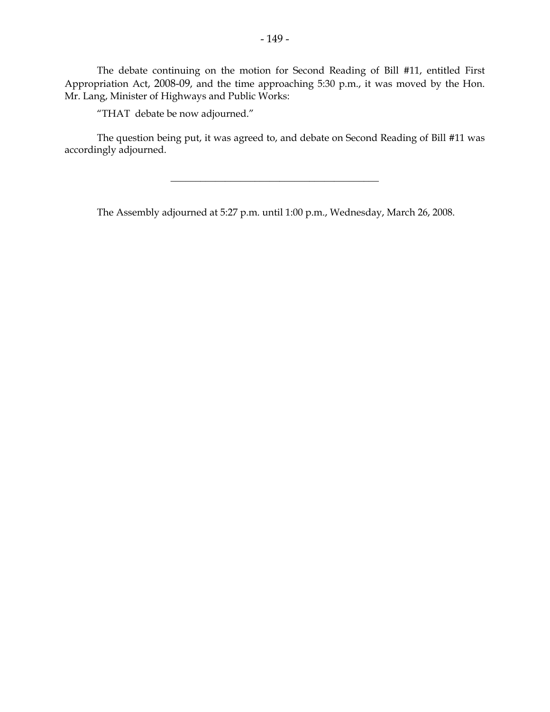The debate continuing on the motion for Second Reading of Bill #11, entitled First Appropriation Act, 2008-09, and the time approaching 5:30 p.m., it was moved by the Hon. Mr. Lang, Minister of Highways and Public Works:

"THAT debate be now adjourned."

The question being put, it was agreed to, and debate on Second Reading of Bill #11 was accordingly adjourned.

 $\overline{\phantom{a}}$  , where  $\overline{\phantom{a}}$  , where  $\overline{\phantom{a}}$  , where  $\overline{\phantom{a}}$  , where  $\overline{\phantom{a}}$ 

The Assembly adjourned at 5:27 p.m. until 1:00 p.m., Wednesday, March 26, 2008.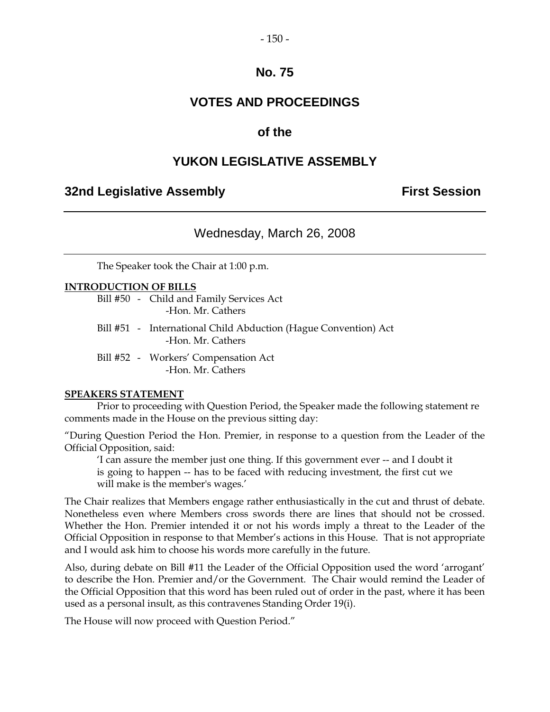#### - 150 -

## **No. 75**

## **VOTES AND PROCEEDINGS**

## **of the**

## **YUKON LEGISLATIVE ASSEMBLY**

#### **32nd Legislative Assembly First Session**

Wednesday, March 26, 2008

The Speaker took the Chair at 1:00 p.m.

#### **INTRODUCTION OF BILLS**

Bill #50 - Child and Family Services Act -Hon. Mr. Cathers

- Bill #51 International Child Abduction (Hague Convention) Act -Hon. Mr. Cathers
- Bill #52 Workers' Compensation Act -Hon. Mr. Cathers

#### **SPEAKERS STATEMENT**

Prior to proceeding with Question Period, the Speaker made the following statement re comments made in the House on the previous sitting day:

"During Question Period the Hon. Premier, in response to a question from the Leader of the Official Opposition, said:

'I can assure the member just one thing. If this government ever -- and I doubt it is going to happen -- has to be faced with reducing investment, the first cut we will make is the member's wages.'

The Chair realizes that Members engage rather enthusiastically in the cut and thrust of debate. Nonetheless even where Members cross swords there are lines that should not be crossed. Whether the Hon. Premier intended it or not his words imply a threat to the Leader of the Official Opposition in response to that Member's actions in this House. That is not appropriate and I would ask him to choose his words more carefully in the future.

Also, during debate on Bill #11 the Leader of the Official Opposition used the word 'arrogant' to describe the Hon. Premier and/or the Government. The Chair would remind the Leader of the Official Opposition that this word has been ruled out of order in the past, where it has been used as a personal insult, as this contravenes Standing Order 19(i).

The House will now proceed with Question Period."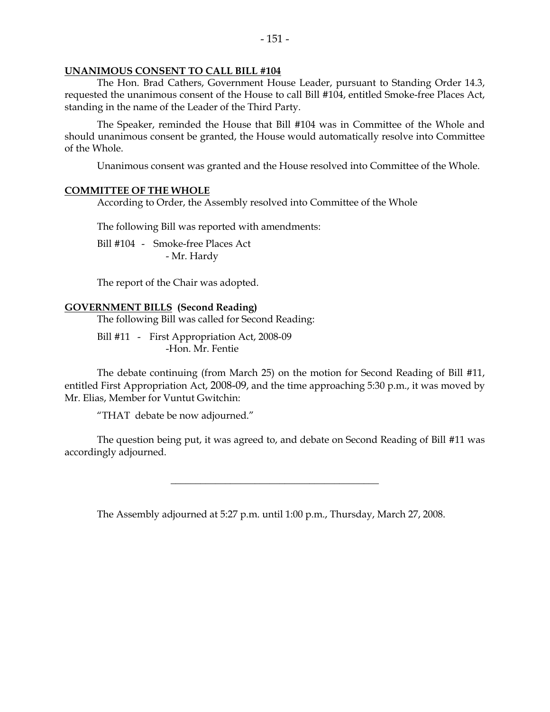#### **UNANIMOUS CONSENT TO CALL BILL #104**

The Hon. Brad Cathers, Government House Leader, pursuant to Standing Order 14.3, requested the unanimous consent of the House to call Bill #104, entitled Smoke-free Places Act, standing in the name of the Leader of the Third Party.

The Speaker, reminded the House that Bill #104 was in Committee of the Whole and should unanimous consent be granted, the House would automatically resolve into Committee of the Whole.

Unanimous consent was granted and the House resolved into Committee of the Whole.

#### **COMMITTEE OF THE WHOLE**

According to Order, the Assembly resolved into Committee of the Whole

The following Bill was reported with amendments:

Bill #104 - Smoke-free Places Act - Mr. Hardy

The report of the Chair was adopted.

#### **GOVERNMENT BILLS (Second Reading)**

The following Bill was called for Second Reading:

Bill #11 - First Appropriation Act, 2008-09 -Hon. Mr. Fentie

The debate continuing (from March 25) on the motion for Second Reading of Bill #11, entitled First Appropriation Act, 2008-09, and the time approaching 5:30 p.m., it was moved by Mr. Elias, Member for Vuntut Gwitchin:

"THAT debate be now adjourned."

The question being put, it was agreed to, and debate on Second Reading of Bill #11 was accordingly adjourned.

\_\_\_\_\_\_\_\_\_\_\_\_\_\_\_\_\_\_\_\_\_\_\_\_\_\_\_\_\_\_\_\_\_\_\_\_\_\_\_\_\_\_

The Assembly adjourned at 5:27 p.m. until 1:00 p.m., Thursday, March 27, 2008.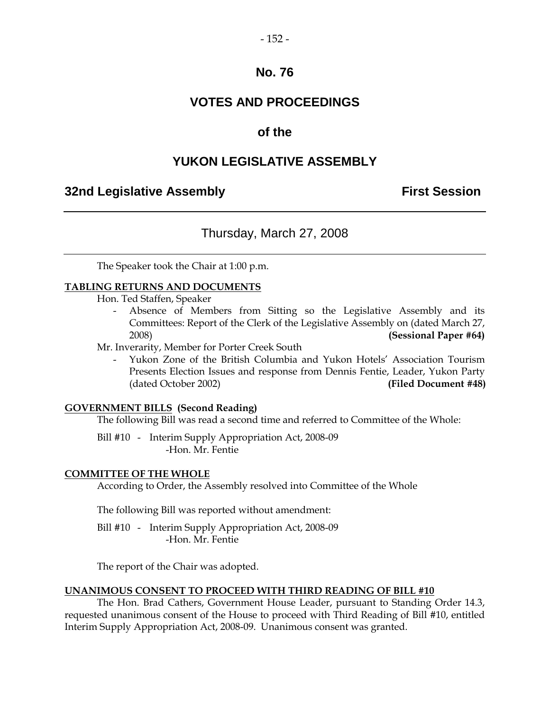#### - 152 -

## **No. 76**

## **VOTES AND PROCEEDINGS**

## **of the**

## **YUKON LEGISLATIVE ASSEMBLY**

## **32nd Legislative Assembly First Session**

## Thursday, March 27, 2008

The Speaker took the Chair at 1:00 p.m.

#### **TABLING RETURNS AND DOCUMENTS**

Hon. Ted Staffen, Speaker

Absence of Members from Sitting so the Legislative Assembly and its Committees: Report of the Clerk of the Legislative Assembly on (dated March 27, 2008) **(Sessional Paper #64)**

Mr. Inverarity, Member for Porter Creek South

- Yukon Zone of the British Columbia and Yukon Hotels' Association Tourism Presents Election Issues and response from Dennis Fentie, Leader, Yukon Party (dated October 2002) **(Filed Document #48)**

#### **GOVERNMENT BILLS (Second Reading)**

The following Bill was read a second time and referred to Committee of the Whole:

Bill #10 - Interim Supply Appropriation Act, 2008-09 -Hon. Mr. Fentie

#### **COMMITTEE OF THE WHOLE**

According to Order, the Assembly resolved into Committee of the Whole

The following Bill was reported without amendment:

Bill #10 - Interim Supply Appropriation Act, 2008-09 -Hon. Mr. Fentie

The report of the Chair was adopted.

#### **UNANIMOUS CONSENT TO PROCEED WITH THIRD READING OF BILL #10**

The Hon. Brad Cathers, Government House Leader, pursuant to Standing Order 14.3, requested unanimous consent of the House to proceed with Third Reading of Bill #10, entitled Interim Supply Appropriation Act, 2008-09. Unanimous consent was granted.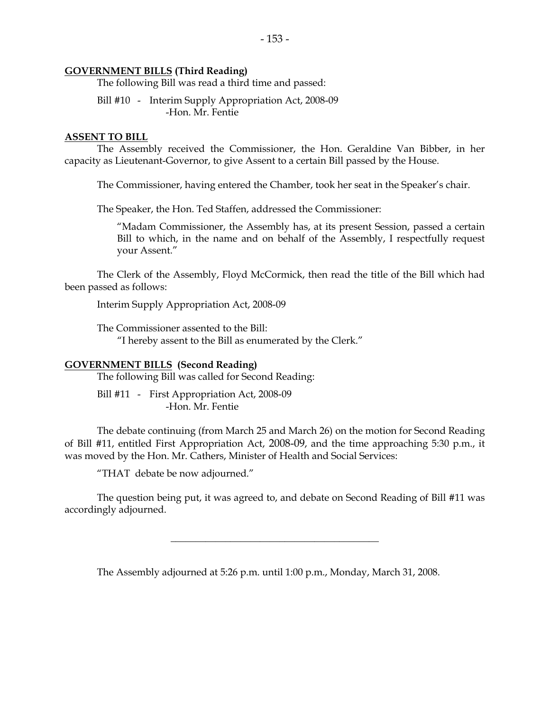#### **GOVERNMENT BILLS (Third Reading)**

The following Bill was read a third time and passed:

Bill #10 - Interim Supply Appropriation Act, 2008-09 -Hon. Mr. Fentie

#### **ASSENT TO BILL**

The Assembly received the Commissioner, the Hon. Geraldine Van Bibber, in her capacity as Lieutenant-Governor, to give Assent to a certain Bill passed by the House.

The Commissioner, having entered the Chamber, took her seat in the Speaker's chair.

The Speaker, the Hon. Ted Staffen, addressed the Commissioner:

"Madam Commissioner, the Assembly has, at its present Session, passed a certain Bill to which, in the name and on behalf of the Assembly, I respectfully request your Assent."

The Clerk of the Assembly, Floyd McCormick, then read the title of the Bill which had been passed as follows:

Interim Supply Appropriation Act, 2008-09

The Commissioner assented to the Bill: "I hereby assent to the Bill as enumerated by the Clerk."

#### **GOVERNMENT BILLS (Second Reading)**

The following Bill was called for Second Reading:

Bill #11 - First Appropriation Act, 2008-09 -Hon. Mr. Fentie

The debate continuing (from March 25 and March 26) on the motion for Second Reading of Bill #11, entitled First Appropriation Act, 2008-09, and the time approaching 5:30 p.m., it was moved by the Hon. Mr. Cathers, Minister of Health and Social Services:

"THAT debate be now adjourned."

The question being put, it was agreed to, and debate on Second Reading of Bill #11 was accordingly adjourned.

 $\overline{\phantom{a}}$  , and the contract of the contract of the contract of  $\overline{\phantom{a}}$ 

The Assembly adjourned at 5:26 p.m. until 1:00 p.m., Monday, March 31, 2008.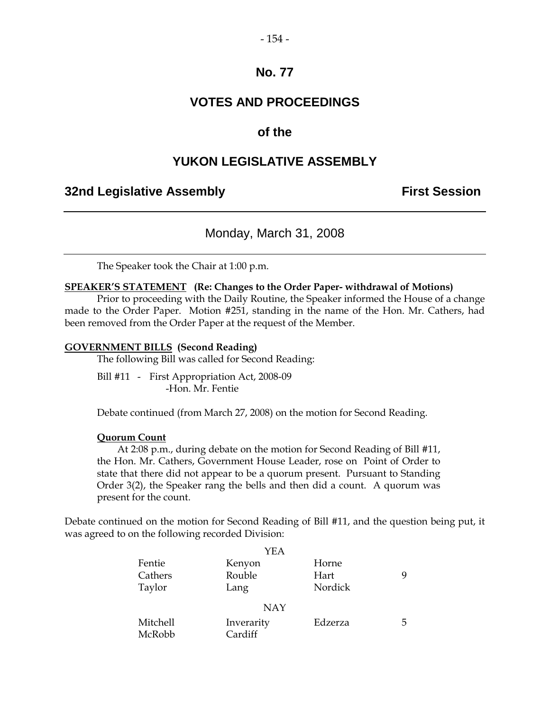#### - 154 -

## **No. 77**

## **VOTES AND PROCEEDINGS**

## **of the**

## **YUKON LEGISLATIVE ASSEMBLY**

#### **32nd Legislative Assembly <b>First Session**

## Monday, March 31, 2008

The Speaker took the Chair at 1:00 p.m.

#### **SPEAKER'S STATEMENT (Re: Changes to the Order Paper- withdrawal of Motions)**

Prior to proceeding with the Daily Routine, the Speaker informed the House of a change made to the Order Paper. Motion #251, standing in the name of the Hon. Mr. Cathers, had been removed from the Order Paper at the request of the Member.

#### **GOVERNMENT BILLS (Second Reading)**

The following Bill was called for Second Reading:

Bill #11 - First Appropriation Act, 2008-09 -Hon. Mr. Fentie

Debate continued (from March 27, 2008) on the motion for Second Reading.

#### **Quorum Count**

At 2:08 p.m., during debate on the motion for Second Reading of Bill #11, the Hon. Mr. Cathers, Government House Leader, rose on Point of Order to state that there did not appear to be a quorum present. Pursuant to Standing Order 3(2), the Speaker rang the bells and then did a count. A quorum was present for the count.

Debate continued on the motion for Second Reading of Bill #11, and the question being put, it was agreed to on the following recorded Division:

|          | YEA        |         |   |
|----------|------------|---------|---|
| Fentie   | Kenyon     | Horne   |   |
| Cathers  | Rouble     | Hart    | 9 |
| Taylor   | Lang       | Nordick |   |
|          | <b>NAY</b> |         |   |
| Mitchell | Inverarity | Edzerza | 5 |
| McRobb   | Cardiff    |         |   |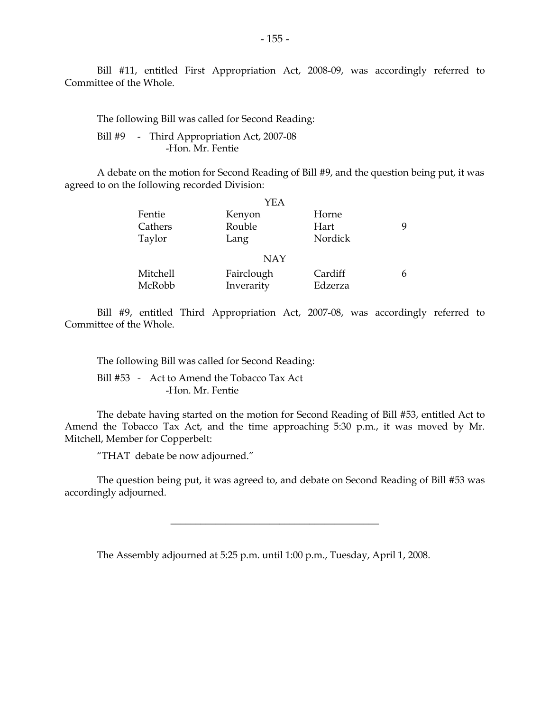Bill #11, entitled First Appropriation Act, 2008-09, was accordingly referred to Committee of the Whole.

The following Bill was called for Second Reading:

Bill #9 - Third Appropriation Act, 2007-08 -Hon. Mr. Fentie

A debate on the motion for Second Reading of Bill #9, and the question being put, it was agreed to on the following recorded Division:

|          | YEA        |         |   |
|----------|------------|---------|---|
| Fentie   | Kenyon     | Horne   |   |
| Cathers  | Rouble     | Hart    | Q |
| Taylor   | Lang       | Nordick |   |
|          | <b>NAY</b> |         |   |
| Mitchell | Fairclough | Cardiff | 6 |
| McRobb   | Inverarity | Edzerza |   |

Bill #9, entitled Third Appropriation Act, 2007-08, was accordingly referred to Committee of the Whole.

The following Bill was called for Second Reading:

Bill #53 - Act to Amend the Tobacco Tax Act -Hon. Mr. Fentie

The debate having started on the motion for Second Reading of Bill #53, entitled Act to Amend the Tobacco Tax Act, and the time approaching 5:30 p.m., it was moved by Mr. Mitchell, Member for Copperbelt:

"THAT debate be now adjourned."

The question being put, it was agreed to, and debate on Second Reading of Bill #53 was accordingly adjourned.

\_\_\_\_\_\_\_\_\_\_\_\_\_\_\_\_\_\_\_\_\_\_\_\_\_\_\_\_\_\_\_\_\_\_\_\_\_\_\_\_\_\_

The Assembly adjourned at 5:25 p.m. until 1:00 p.m., Tuesday, April 1, 2008.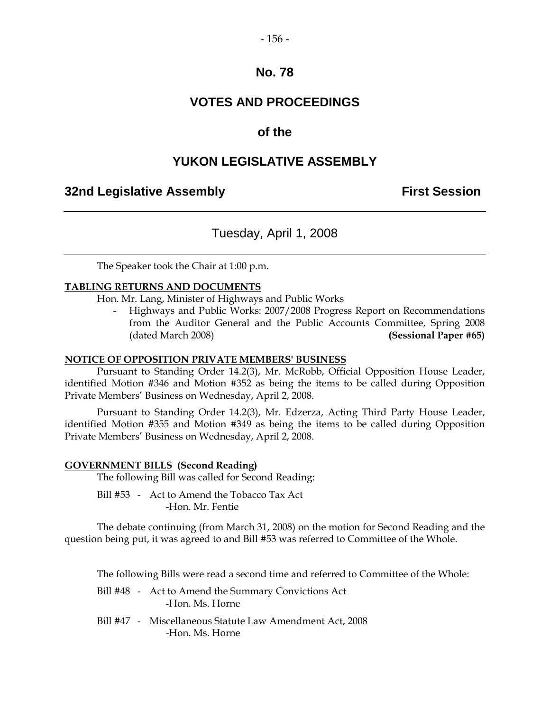#### - 156 -

## **No. 78**

## **VOTES AND PROCEEDINGS**

## **of the**

## **YUKON LEGISLATIVE ASSEMBLY**

#### **32nd Legislative Assembly First Session**

## Tuesday, April 1, 2008

The Speaker took the Chair at 1:00 p.m.

#### **TABLING RETURNS AND DOCUMENTS**

Hon. Mr. Lang, Minister of Highways and Public Works

- Highways and Public Works: 2007/2008 Progress Report on Recommendations from the Auditor General and the Public Accounts Committee, Spring 2008 (dated March 2008) **(Sessional Paper #65)**

#### **NOTICE OF OPPOSITION PRIVATE MEMBERS' BUSINESS**

Pursuant to Standing Order 14.2(3), Mr. McRobb, Official Opposition House Leader, identified Motion #346 and Motion #352 as being the items to be called during Opposition Private Members' Business on Wednesday, April 2, 2008.

Pursuant to Standing Order 14.2(3), Mr. Edzerza, Acting Third Party House Leader, identified Motion #355 and Motion #349 as being the items to be called during Opposition Private Members' Business on Wednesday, April 2, 2008.

#### **GOVERNMENT BILLS (Second Reading)**

The following Bill was called for Second Reading:

Bill #53 - Act to Amend the Tobacco Tax Act -Hon. Mr. Fentie

The debate continuing (from March 31, 2008) on the motion for Second Reading and the question being put, it was agreed to and Bill #53 was referred to Committee of the Whole.

The following Bills were read a second time and referred to Committee of the Whole:

- Bill #48 Act to Amend the Summary Convictions Act -Hon. Ms. Horne
- Bill #47 Miscellaneous Statute Law Amendment Act, 2008 -Hon. Ms. Horne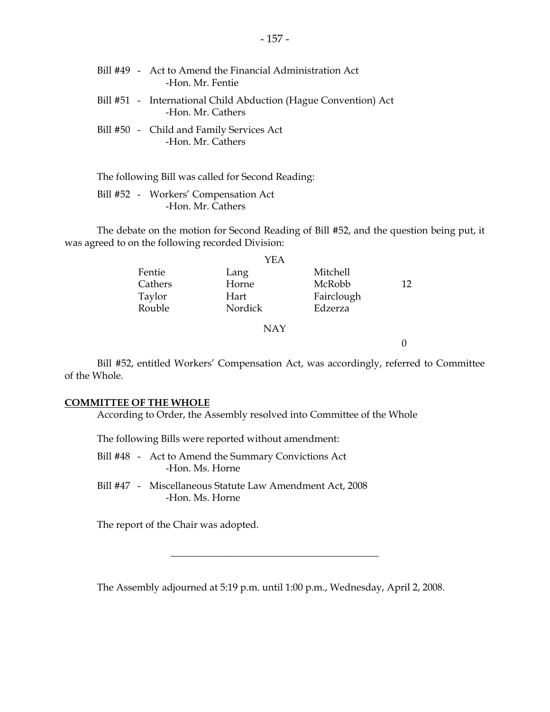|  | Bill #49 - Act to Amend the Financial Administration Act<br>-Hon. Mr. Fentie         |
|--|--------------------------------------------------------------------------------------|
|  | Bill #51 - International Child Abduction (Hague Convention) Act<br>-Hon. Mr. Cathers |
|  | Bill #50 - Child and Family Services Act<br>-Hon. Mr. Cathers                        |

The following Bill was called for Second Reading:

Bill #52 - Workers' Compensation Act -Hon. Mr. Cathers

The debate on the motion for Second Reading of Bill #52, and the question being put, it was agreed to on the following recorded Division:

|         | YEA        |            |    |
|---------|------------|------------|----|
| Fentie  | Lang       | Mitchell   |    |
| Cathers | Horne      | McRobb     | 12 |
| Taylor  | Hart       | Fairclough |    |
| Rouble  | Nordick    | Edzerza    |    |
|         | <b>NAY</b> |            |    |

0

Bill #52, entitled Workers' Compensation Act, was accordingly, referred to Committee of the Whole.

#### **COMMITTEE OF THE WHOLE**

According to Order, the Assembly resolved into Committee of the Whole

The following Bills were reported without amendment:

- Bill #48 Act to Amend the Summary Convictions Act -Hon. Ms. Horne
- Bill #47 Miscellaneous Statute Law Amendment Act, 2008 -Hon. Ms. Horne

The report of the Chair was adopted.

The Assembly adjourned at 5:19 p.m. until 1:00 p.m., Wednesday, April 2, 2008.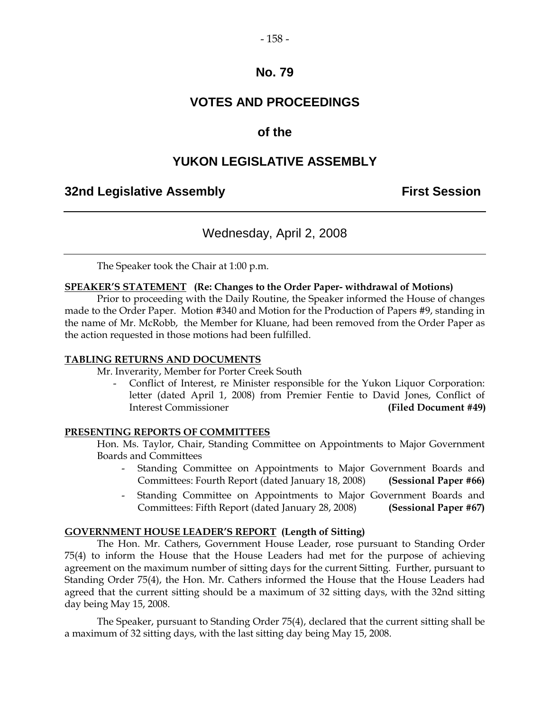#### - 158 -

## **No. 79**

## **VOTES AND PROCEEDINGS**

## **of the**

## **YUKON LEGISLATIVE ASSEMBLY**

#### **32nd Legislative Assembly First Session**

## Wednesday, April 2, 2008

The Speaker took the Chair at 1:00 p.m.

#### **SPEAKER'S STATEMENT (Re: Changes to the Order Paper- withdrawal of Motions)**

Prior to proceeding with the Daily Routine, the Speaker informed the House of changes made to the Order Paper. Motion #340 and Motion for the Production of Papers #9, standing in the name of Mr. McRobb, the Member for Kluane, had been removed from the Order Paper as the action requested in those motions had been fulfilled.

#### **TABLING RETURNS AND DOCUMENTS**

Mr. Inverarity, Member for Porter Creek South

- Conflict of Interest, re Minister responsible for the Yukon Liquor Corporation: letter (dated April 1, 2008) from Premier Fentie to David Jones, Conflict of Interest Commissioner **(Filed Document #49)**

#### **PRESENTING REPORTS OF COMMITTEES**

Hon. Ms. Taylor, Chair, Standing Committee on Appointments to Major Government Boards and Committees

- Standing Committee on Appointments to Major Government Boards and Committees: Fourth Report (dated January 18, 2008) **(Sessional Paper #66)**
- Standing Committee on Appointments to Major Government Boards and Committees: Fifth Report (dated January 28, 2008) **(Sessional Paper #67)**

#### **GOVERNMENT HOUSE LEADER'S REPORT (Length of Sitting)**

The Hon. Mr. Cathers, Government House Leader, rose pursuant to Standing Order 75(4) to inform the House that the House Leaders had met for the purpose of achieving agreement on the maximum number of sitting days for the current Sitting. Further, pursuant to Standing Order 75(4), the Hon. Mr. Cathers informed the House that the House Leaders had agreed that the current sitting should be a maximum of 32 sitting days, with the 32nd sitting day being May 15, 2008.

The Speaker, pursuant to Standing Order 75(4), declared that the current sitting shall be a maximum of 32 sitting days, with the last sitting day being May 15, 2008.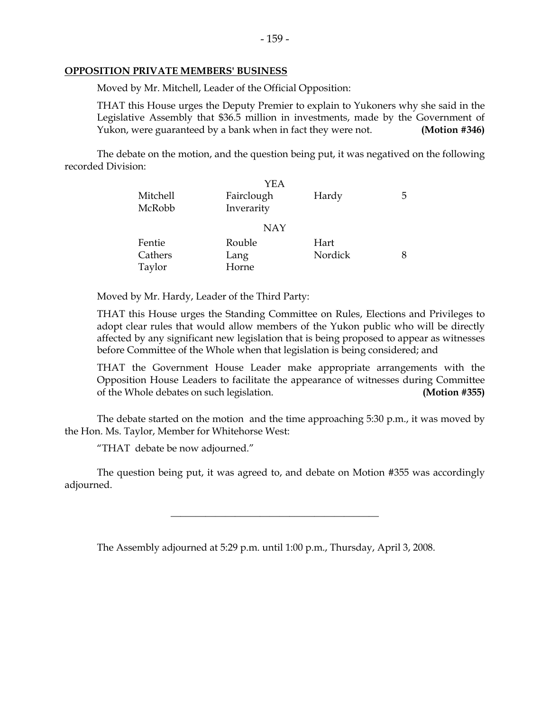#### - 159 -

#### **OPPOSITION PRIVATE MEMBERS' BUSINESS**

Moved by Mr. Mitchell, Leader of the Official Opposition:

THAT this House urges the Deputy Premier to explain to Yukoners why she said in the Legislative Assembly that \$36.5 million in investments, made by the Government of Yukon, were guaranteed by a bank when in fact they were not. **(Motion #346)** 

The debate on the motion, and the question being put, it was negatived on the following recorded Division:

|          | YEA        |         |    |
|----------|------------|---------|----|
| Mitchell | Fairclough | Hardy   | b. |
| McRobb   | Inverarity |         |    |
|          | <b>NAY</b> |         |    |
| Fentie   | Rouble     | Hart    |    |
| Cathers  | Lang       | Nordick |    |
| Taylor   | Horne      |         |    |

Moved by Mr. Hardy, Leader of the Third Party:

THAT this House urges the Standing Committee on Rules, Elections and Privileges to adopt clear rules that would allow members of the Yukon public who will be directly affected by any significant new legislation that is being proposed to appear as witnesses before Committee of the Whole when that legislation is being considered; and

THAT the Government House Leader make appropriate arrangements with the Opposition House Leaders to facilitate the appearance of witnesses during Committee of the Whole debates on such legislation. **(Motion #355)**

The debate started on the motion and the time approaching 5:30 p.m., it was moved by the Hon. Ms. Taylor, Member for Whitehorse West:

"THAT debate be now adjourned."

The question being put, it was agreed to, and debate on Motion #355 was accordingly adjourned.

\_\_\_\_\_\_\_\_\_\_\_\_\_\_\_\_\_\_\_\_\_\_\_\_\_\_\_\_\_\_\_\_\_\_\_\_\_\_\_\_\_\_

The Assembly adjourned at 5:29 p.m. until 1:00 p.m., Thursday, April 3, 2008.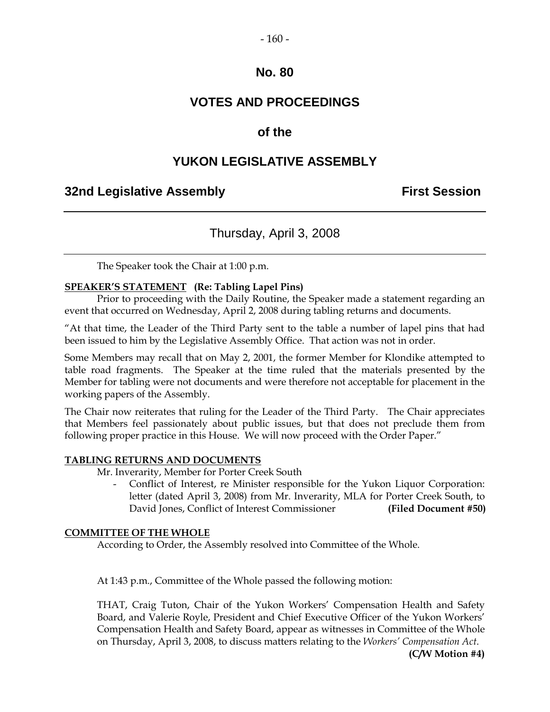#### - 160 -

## **No. 80**

## **VOTES AND PROCEEDINGS**

## **of the**

## **YUKON LEGISLATIVE ASSEMBLY**

## **32nd Legislative Assembly First Session**

## Thursday, April 3, 2008

The Speaker took the Chair at 1:00 p.m.

#### **SPEAKER'S STATEMENT (Re: Tabling Lapel Pins)**

Prior to proceeding with the Daily Routine, the Speaker made a statement regarding an event that occurred on Wednesday, April 2, 2008 during tabling returns and documents.

"At that time, the Leader of the Third Party sent to the table a number of lapel pins that had been issued to him by the Legislative Assembly Office. That action was not in order.

Some Members may recall that on May 2, 2001, the former Member for Klondike attempted to table road fragments. The Speaker at the time ruled that the materials presented by the Member for tabling were not documents and were therefore not acceptable for placement in the working papers of the Assembly.

The Chair now reiterates that ruling for the Leader of the Third Party. The Chair appreciates that Members feel passionately about public issues, but that does not preclude them from following proper practice in this House. We will now proceed with the Order Paper."

#### **TABLING RETURNS AND DOCUMENTS**

Mr. Inverarity, Member for Porter Creek South

Conflict of Interest, re Minister responsible for the Yukon Liquor Corporation: letter (dated April 3, 2008) from Mr. Inverarity, MLA for Porter Creek South, to David Jones, Conflict of Interest Commissioner **(Filed Document #50)**

#### **COMMITTEE OF THE WHOLE**

According to Order, the Assembly resolved into Committee of the Whole.

At 1:43 p.m., Committee of the Whole passed the following motion:

THAT, Craig Tuton, Chair of the Yukon Workers' Compensation Health and Safety Board, and Valerie Royle, President and Chief Executive Officer of the Yukon Workers' Compensation Health and Safety Board, appear as witnesses in Committee of the Whole on Thursday, April 3, 2008, to discuss matters relating to the *Workers' Compensation Act*.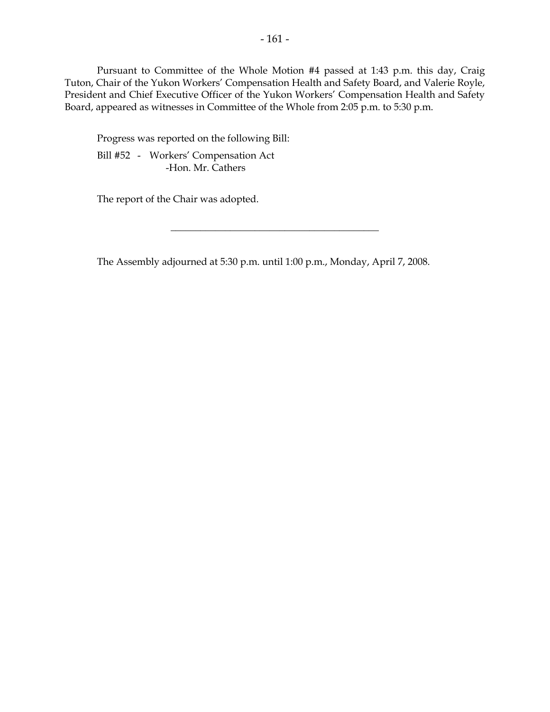Pursuant to Committee of the Whole Motion #4 passed at 1:43 p.m. this day, Craig Tuton, Chair of the Yukon Workers' Compensation Health and Safety Board, and Valerie Royle, President and Chief Executive Officer of the Yukon Workers' Compensation Health and Safety Board, appeared as witnesses in Committee of the Whole from 2:05 p.m. to 5:30 p.m.

Progress was reported on the following Bill: Bill #52 - Workers' Compensation Act -Hon. Mr. Cathers

The report of the Chair was adopted.

The Assembly adjourned at 5:30 p.m. until 1:00 p.m., Monday, April 7, 2008.

 $\overline{\phantom{a}}$  , where  $\overline{\phantom{a}}$  , where  $\overline{\phantom{a}}$  , where  $\overline{\phantom{a}}$  , where  $\overline{\phantom{a}}$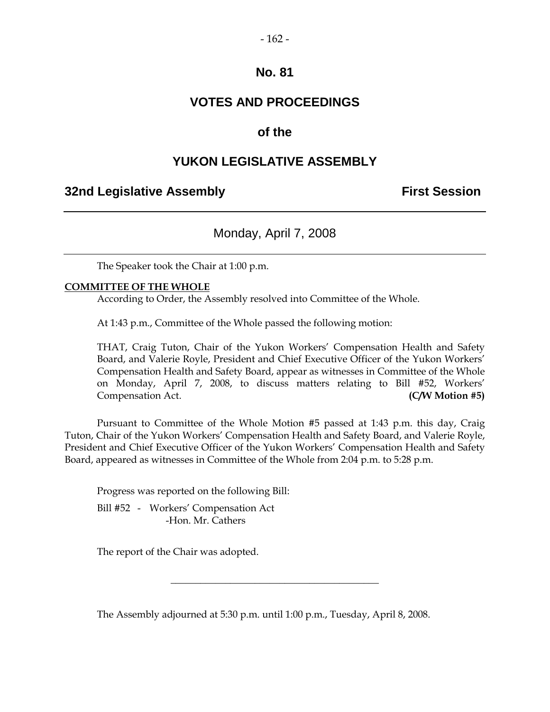#### - 162 -

## **No. 81**

## **VOTES AND PROCEEDINGS**

## **of the**

## **YUKON LEGISLATIVE ASSEMBLY**

## **32nd Legislative Assembly First Session**

Monday, April 7, 2008

The Speaker took the Chair at 1:00 p.m.

#### **COMMITTEE OF THE WHOLE**

According to Order, the Assembly resolved into Committee of the Whole.

At 1:43 p.m., Committee of the Whole passed the following motion:

THAT, Craig Tuton, Chair of the Yukon Workers' Compensation Health and Safety Board, and Valerie Royle, President and Chief Executive Officer of the Yukon Workers' Compensation Health and Safety Board, appear as witnesses in Committee of the Whole on Monday, April 7, 2008, to discuss matters relating to Bill #52, Workers' Compensation Act. **(C/W Motion #5)**

Pursuant to Committee of the Whole Motion #5 passed at 1:43 p.m. this day, Craig Tuton, Chair of the Yukon Workers' Compensation Health and Safety Board, and Valerie Royle, President and Chief Executive Officer of the Yukon Workers' Compensation Health and Safety Board, appeared as witnesses in Committee of the Whole from 2:04 p.m. to 5:28 p.m.

Progress was reported on the following Bill:

Bill #52 - Workers' Compensation Act -Hon. Mr. Cathers

The report of the Chair was adopted.

The Assembly adjourned at 5:30 p.m. until 1:00 p.m., Tuesday, April 8, 2008.

 $\overline{\phantom{a}}$  , where  $\overline{\phantom{a}}$  , where  $\overline{\phantom{a}}$  , where  $\overline{\phantom{a}}$  , where  $\overline{\phantom{a}}$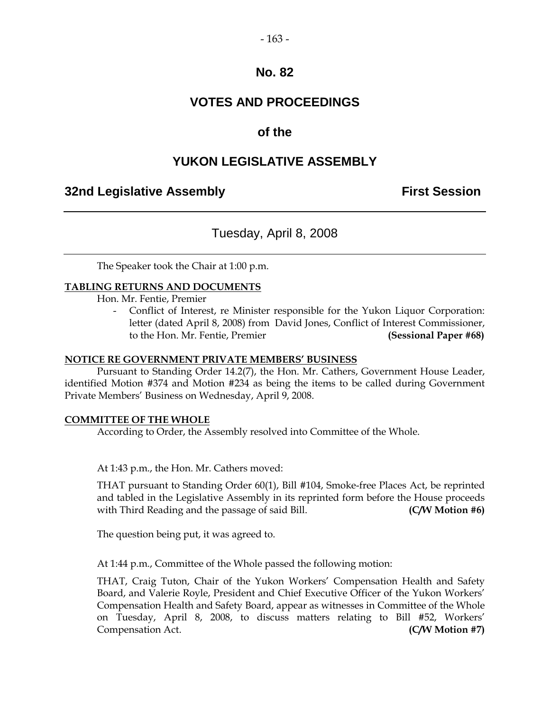#### - 163 -

#### **No. 82**

## **VOTES AND PROCEEDINGS**

## **of the**

## **YUKON LEGISLATIVE ASSEMBLY**

## **32nd Legislative Assembly First Session**

## Tuesday, April 8, 2008

The Speaker took the Chair at 1:00 p.m.

#### **TABLING RETURNS AND DOCUMENTS**

Hon. Mr. Fentie, Premier

Conflict of Interest, re Minister responsible for the Yukon Liquor Corporation: letter (dated April 8, 2008) from David Jones, Conflict of Interest Commissioner, to the Hon. Mr. Fentie, Premier **(Sessional Paper #68)**

#### **NOTICE RE GOVERNMENT PRIVATE MEMBERS' BUSINESS**

Pursuant to Standing Order 14.2(7), the Hon. Mr. Cathers, Government House Leader, identified Motion #374 and Motion #234 as being the items to be called during Government Private Members' Business on Wednesday, April 9, 2008.

#### **COMMITTEE OF THE WHOLE**

According to Order, the Assembly resolved into Committee of the Whole.

At 1:43 p.m., the Hon. Mr. Cathers moved:

THAT pursuant to Standing Order 60(1), Bill #104, Smoke-free Places Act, be reprinted and tabled in the Legislative Assembly in its reprinted form before the House proceeds with Third Reading and the passage of said Bill. **(C/W Motion #6)**

The question being put, it was agreed to.

At 1:44 p.m., Committee of the Whole passed the following motion:

THAT, Craig Tuton, Chair of the Yukon Workers' Compensation Health and Safety Board, and Valerie Royle, President and Chief Executive Officer of the Yukon Workers' Compensation Health and Safety Board, appear as witnesses in Committee of the Whole on Tuesday, April 8, 2008, to discuss matters relating to Bill #52, Workers' Compensation Act. **(C/W Motion #7)**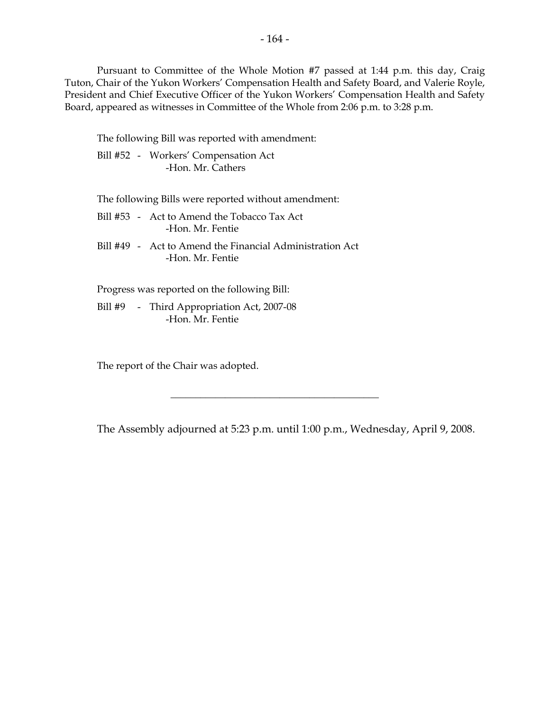Pursuant to Committee of the Whole Motion #7 passed at 1:44 p.m. this day, Craig Tuton, Chair of the Yukon Workers' Compensation Health and Safety Board, and Valerie Royle, President and Chief Executive Officer of the Yukon Workers' Compensation Health and Safety Board, appeared as witnesses in Committee of the Whole from 2:06 p.m. to 3:28 p.m.

The following Bill was reported with amendment:

Bill #52 - Workers' Compensation Act -Hon. Mr. Cathers

The following Bills were reported without amendment:

- Bill #53 Act to Amend the Tobacco Tax Act -Hon. Mr. Fentie
- Bill #49 Act to Amend the Financial Administration Act -Hon. Mr. Fentie

Progress was reported on the following Bill:

Bill #9 - Third Appropriation Act, 2007-08 -Hon. Mr. Fentie

The report of the Chair was adopted.

The Assembly adjourned at 5:23 p.m. until 1:00 p.m., Wednesday, April 9, 2008.

 $\overline{\phantom{a}}$  , where  $\overline{\phantom{a}}$  , where  $\overline{\phantom{a}}$  , where  $\overline{\phantom{a}}$  , where  $\overline{\phantom{a}}$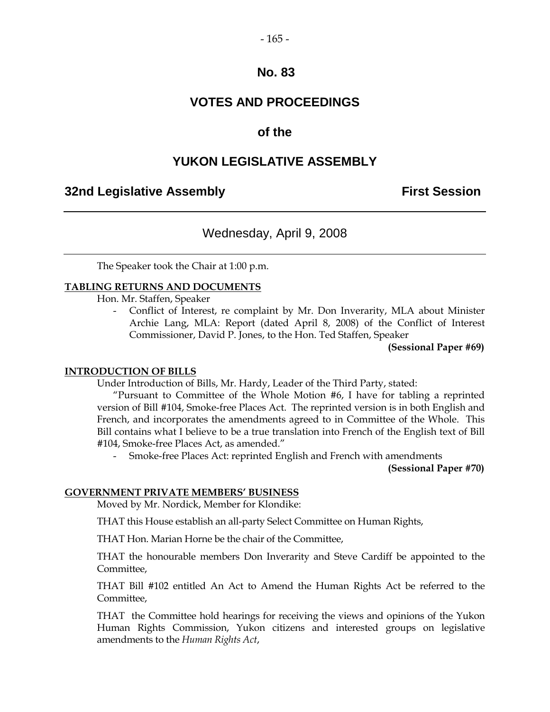#### - 165 -

## **No. 83**

## **VOTES AND PROCEEDINGS**

## **of the**

## **YUKON LEGISLATIVE ASSEMBLY**

#### **32nd Legislative Assembly First Session**

## Wednesday, April 9, 2008

The Speaker took the Chair at 1:00 p.m.

#### **TABLING RETURNS AND DOCUMENTS**

Hon. Mr. Staffen, Speaker

- Conflict of Interest, re complaint by Mr. Don Inverarity, MLA about Minister Archie Lang, MLA: Report (dated April 8, 2008) of the Conflict of Interest Commissioner, David P. Jones, to the Hon. Ted Staffen, Speaker

**(Sessional Paper #69)**

#### **INTRODUCTION OF BILLS**

Under Introduction of Bills, Mr. Hardy, Leader of the Third Party, stated:

"Pursuant to Committee of the Whole Motion #6, I have for tabling a reprinted version of Bill #104, Smoke-free Places Act. The reprinted version is in both English and French, and incorporates the amendments agreed to in Committee of the Whole. This Bill contains what I believe to be a true translation into French of the English text of Bill #104, Smoke-free Places Act, as amended."

Smoke-free Places Act: reprinted English and French with amendments

**(Sessional Paper #70)**

#### **GOVERNMENT PRIVATE MEMBERS' BUSINESS**

Moved by Mr. Nordick, Member for Klondike:

THAT this House establish an all-party Select Committee on Human Rights,

THAT Hon. Marian Horne be the chair of the Committee,

THAT the honourable members Don Inverarity and Steve Cardiff be appointed to the Committee,

THAT Bill #102 entitled An Act to Amend the Human Rights Act be referred to the Committee,

THAT the Committee hold hearings for receiving the views and opinions of the Yukon Human Rights Commission, Yukon citizens and interested groups on legislative amendments to the *Human Rights Act*,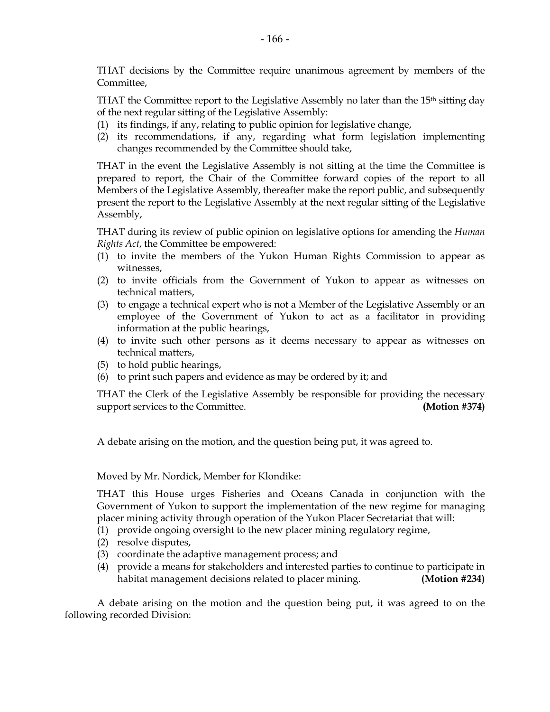THAT decisions by the Committee require unanimous agreement by members of the Committee,

THAT the Committee report to the Legislative Assembly no later than the 15<sup>th</sup> sitting day of the next regular sitting of the Legislative Assembly:

- (1) its findings, if any, relating to public opinion for legislative change,
- (2) its recommendations, if any, regarding what form legislation implementing changes recommended by the Committee should take,

THAT in the event the Legislative Assembly is not sitting at the time the Committee is prepared to report, the Chair of the Committee forward copies of the report to all Members of the Legislative Assembly, thereafter make the report public, and subsequently present the report to the Legislative Assembly at the next regular sitting of the Legislative Assembly,

THAT during its review of public opinion on legislative options for amending the *Human Rights Act*, the Committee be empowered:

- (1) to invite the members of the Yukon Human Rights Commission to appear as witnesses,
- (2) to invite officials from the Government of Yukon to appear as witnesses on technical matters,
- (3) to engage a technical expert who is not a Member of the Legislative Assembly or an employee of the Government of Yukon to act as a facilitator in providing information at the public hearings,
- (4) to invite such other persons as it deems necessary to appear as witnesses on technical matters,
- (5) to hold public hearings,
- (6) to print such papers and evidence as may be ordered by it; and

THAT the Clerk of the Legislative Assembly be responsible for providing the necessary support services to the Committee. **(Motion #374)**

A debate arising on the motion, and the question being put, it was agreed to.

#### Moved by Mr. Nordick, Member for Klondike:

THAT this House urges Fisheries and Oceans Canada in conjunction with the Government of Yukon to support the implementation of the new regime for managing placer mining activity through operation of the Yukon Placer Secretariat that will:

(1) provide ongoing oversight to the new placer mining regulatory regime,

- (2) resolve disputes,
- (3) coordinate the adaptive management process; and
- (4) provide a means for stakeholders and interested parties to continue to participate in habitat management decisions related to placer mining. **(Motion #234)**

A debate arising on the motion and the question being put, it was agreed to on the following recorded Division: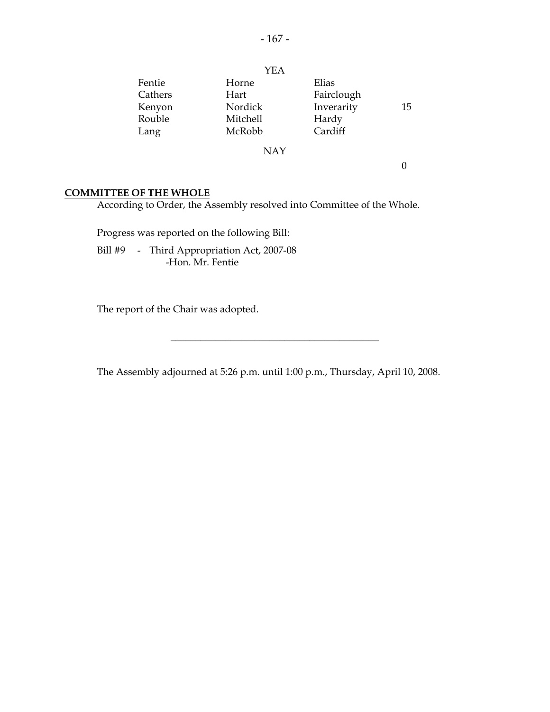|         | <b>YEA</b> |            |    |
|---------|------------|------------|----|
| Fentie  | Horne      | Elias      |    |
| Cathers | Hart       | Fairclough |    |
| Kenyon  | Nordick    | Inverarity | 15 |
| Rouble  | Mitchell   | Hardy      |    |
| Lang    | McRobb     | Cardiff    |    |
|         | NAY        |            |    |

0

#### **COMMITTEE OF THE WHOLE**

According to Order, the Assembly resolved into Committee of the Whole.

Progress was reported on the following Bill:

Bill #9 - Third Appropriation Act, 2007-08 -Hon. Mr. Fentie

The report of the Chair was adopted.

The Assembly adjourned at 5:26 p.m. until 1:00 p.m., Thursday, April 10, 2008.

 $\overline{\phantom{a}}$  , where  $\overline{\phantom{a}}$  , where  $\overline{\phantom{a}}$  , where  $\overline{\phantom{a}}$  , where  $\overline{\phantom{a}}$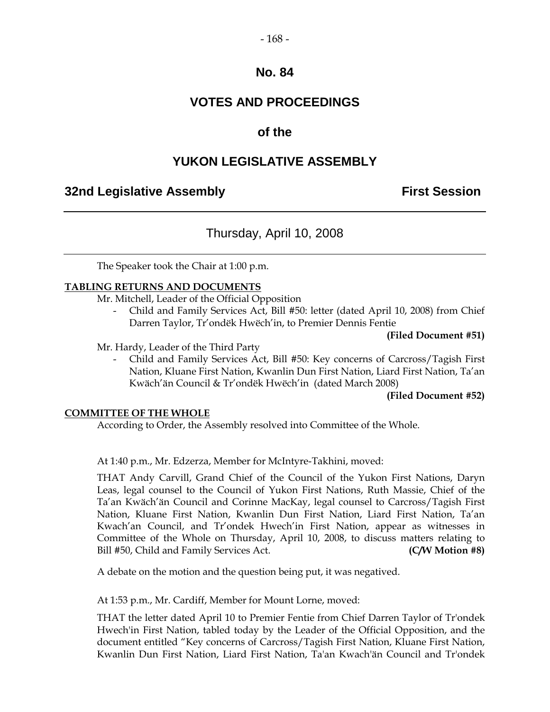#### - 168 -

## **No. 84**

## **VOTES AND PROCEEDINGS**

## **of the**

## **YUKON LEGISLATIVE ASSEMBLY**

## **32nd Legislative Assembly First Session**

## Thursday, April 10, 2008

The Speaker took the Chair at 1:00 p.m.

#### **TABLING RETURNS AND DOCUMENTS**

Mr. Mitchell, Leader of the Official Opposition

- Child and Family Services Act, Bill #50: letter (dated April 10, 2008) from Chief Darren Taylor, Tr'ondëk Hwëch'in, to Premier Dennis Fentie

#### **(Filed Document #51)**

Mr. Hardy, Leader of the Third Party

- Child and Family Services Act, Bill #50: Key concerns of Carcross/Tagish First Nation, Kluane First Nation, Kwanlin Dun First Nation, Liard First Nation, Ta'an Kwäch'än Council & Tr'ondëk Hwëch'in (dated March 2008)

#### **(Filed Document #52)**

#### **COMMITTEE OF THE WHOLE**

According to Order, the Assembly resolved into Committee of the Whole.

At 1:40 p.m., Mr. Edzerza, Member for McIntyre-Takhini, moved:

THAT Andy Carvill, Grand Chief of the Council of the Yukon First Nations, Daryn Leas, legal counsel to the Council of Yukon First Nations, Ruth Massie, Chief of the Ta'an Kwäch'än Council and Corinne MacKay, legal counsel to Carcross/Tagish First Nation, Kluane First Nation, Kwanlin Dun First Nation, Liard First Nation, Ta'an Kwach'an Council, and Tr'ondek Hwech'in First Nation, appear as witnesses in Committee of the Whole on Thursday, April 10, 2008, to discuss matters relating to Bill #50, Child and Family Services Act. **(C/W Motion #8)**

A debate on the motion and the question being put, it was negatived.

At 1:53 p.m., Mr. Cardiff, Member for Mount Lorne, moved:

THAT the letter dated April 10 to Premier Fentie from Chief Darren Taylor of Tr'ondek Hwech'in First Nation, tabled today by the Leader of the Official Opposition, and the document entitled "Key concerns of Carcross/Tagish First Nation, Kluane First Nation, Kwanlin Dun First Nation, Liard First Nation, Ta'an Kwach'än Council and Tr'ondek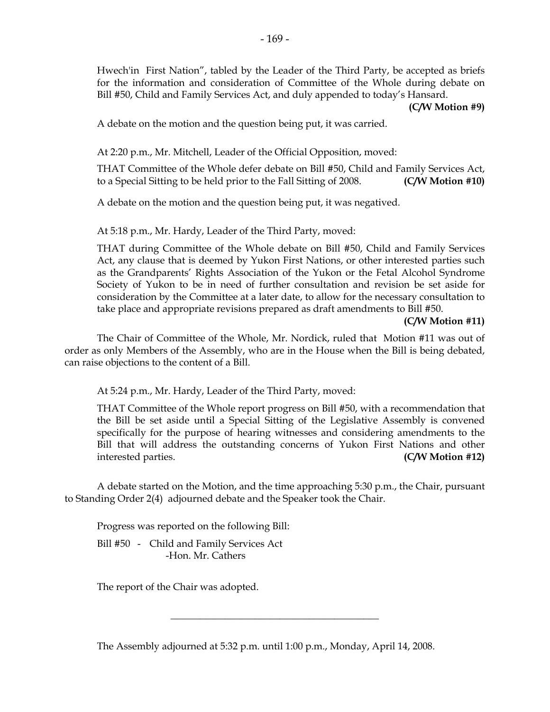Hwech'in First Nation", tabled by the Leader of the Third Party, be accepted as briefs for the information and consideration of Committee of the Whole during debate on Bill #50, Child and Family Services Act, and duly appended to today's Hansard.

**(C/W Motion #9)**

A debate on the motion and the question being put, it was carried.

At 2:20 p.m., Mr. Mitchell, Leader of the Official Opposition, moved:

THAT Committee of the Whole defer debate on Bill #50, Child and Family Services Act, to a Special Sitting to be held prior to the Fall Sitting of 2008. **(C/W Motion #10)**

A debate on the motion and the question being put, it was negatived.

At 5:18 p.m., Mr. Hardy, Leader of the Third Party, moved:

THAT during Committee of the Whole debate on Bill #50, Child and Family Services Act, any clause that is deemed by Yukon First Nations, or other interested parties such as the Grandparents' Rights Association of the Yukon or the Fetal Alcohol Syndrome Society of Yukon to be in need of further consultation and revision be set aside for consideration by the Committee at a later date, to allow for the necessary consultation to take place and appropriate revisions prepared as draft amendments to Bill #50.

**(C/W Motion #11)**

The Chair of Committee of the Whole, Mr. Nordick, ruled that Motion #11 was out of order as only Members of the Assembly, who are in the House when the Bill is being debated, can raise objections to the content of a Bill.

At 5:24 p.m., Mr. Hardy, Leader of the Third Party, moved:

THAT Committee of the Whole report progress on Bill #50, with a recommendation that the Bill be set aside until a Special Sitting of the Legislative Assembly is convened specifically for the purpose of hearing witnesses and considering amendments to the Bill that will address the outstanding concerns of Yukon First Nations and other interested parties. **(C/W Motion #12)**

A debate started on the Motion, and the time approaching 5:30 p.m., the Chair, pursuant to Standing Order 2(4) adjourned debate and the Speaker took the Chair.

Progress was reported on the following Bill:

Bill #50 - Child and Family Services Act -Hon. Mr. Cathers

The report of the Chair was adopted.

The Assembly adjourned at 5:32 p.m. until 1:00 p.m., Monday, April 14, 2008.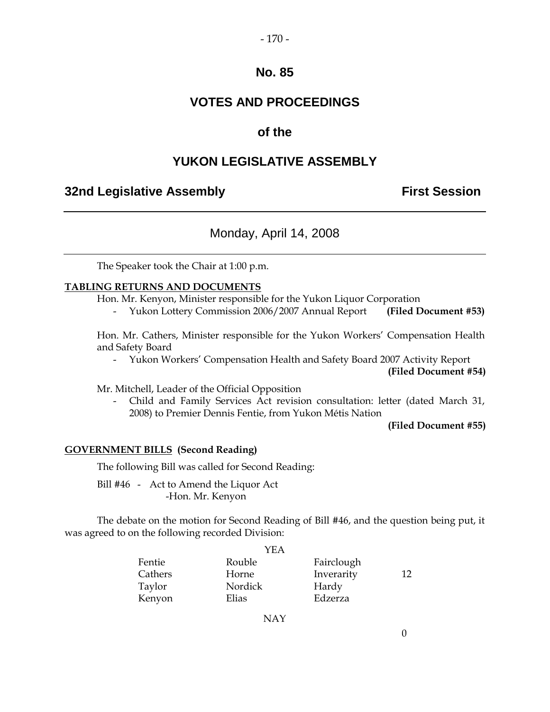#### - 170 -

## **No. 85**

## **VOTES AND PROCEEDINGS**

## **of the**

## **YUKON LEGISLATIVE ASSEMBLY**

## **32nd Legislative Assembly <b>First Session**

## Monday, April 14, 2008

The Speaker took the Chair at 1:00 p.m.

#### **TABLING RETURNS AND DOCUMENTS**

Hon. Mr. Kenyon, Minister responsible for the Yukon Liquor Corporation

- Yukon Lottery Commission 2006/2007 Annual Report **(Filed Document #53)**

Hon. Mr. Cathers, Minister responsible for the Yukon Workers' Compensation Health and Safety Board

- Yukon Workers' Compensation Health and Safety Board 2007 Activity Report

**(Filed Document #54)**

Mr. Mitchell, Leader of the Official Opposition

- Child and Family Services Act revision consultation: letter (dated March 31, 2008) to Premier Dennis Fentie, from Yukon Métis Nation

**(Filed Document #55)**

#### **GOVERNMENT BILLS (Second Reading)**

The following Bill was called for Second Reading:

Bill #46 - Act to Amend the Liquor Act -Hon. Mr. Kenyon

The debate on the motion for Second Reading of Bill #46, and the question being put, it was agreed to on the following recorded Division:

|         | YEA     |            |    |
|---------|---------|------------|----|
| Fentie  | Rouble  | Fairclough |    |
| Cathers | Horne   | Inverarity | 12 |
| Taylor  | Nordick | Hardy      |    |
| Kenyon  | Elias   | Edzerza    |    |

NAY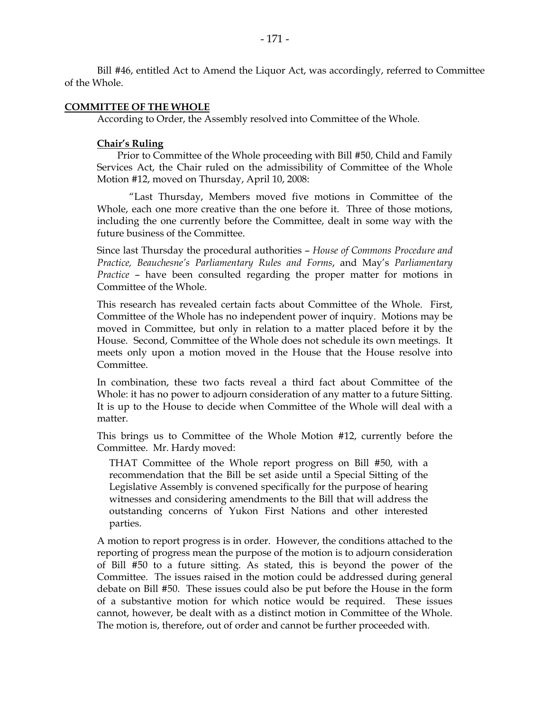Bill #46, entitled Act to Amend the Liquor Act, was accordingly, referred to Committee of the Whole.

#### **COMMITTEE OF THE WHOLE**

According to Order, the Assembly resolved into Committee of the Whole.

#### **Chair's Ruling**

Prior to Committee of the Whole proceeding with Bill #50, Child and Family Services Act, the Chair ruled on the admissibility of Committee of the Whole Motion #12, moved on Thursday, April 10, 2008:

"Last Thursday, Members moved five motions in Committee of the Whole, each one more creative than the one before it. Three of those motions, including the one currently before the Committee, dealt in some way with the future business of the Committee.

Since last Thursday the procedural authorities – *House of Commons Procedure and Practice, Beauchesne's Parliamentary Rules and Forms*, and May's *Parliamentary Practice* – have been consulted regarding the proper matter for motions in Committee of the Whole.

This research has revealed certain facts about Committee of the Whole. First, Committee of the Whole has no independent power of inquiry. Motions may be moved in Committee, but only in relation to a matter placed before it by the House. Second, Committee of the Whole does not schedule its own meetings. It meets only upon a motion moved in the House that the House resolve into Committee.

In combination, these two facts reveal a third fact about Committee of the Whole: it has no power to adjourn consideration of any matter to a future Sitting. It is up to the House to decide when Committee of the Whole will deal with a matter.

This brings us to Committee of the Whole Motion #12, currently before the Committee. Mr. Hardy moved:

THAT Committee of the Whole report progress on Bill #50, with a recommendation that the Bill be set aside until a Special Sitting of the Legislative Assembly is convened specifically for the purpose of hearing witnesses and considering amendments to the Bill that will address the outstanding concerns of Yukon First Nations and other interested parties.

A motion to report progress is in order. However, the conditions attached to the reporting of progress mean the purpose of the motion is to adjourn consideration of Bill #50 to a future sitting. As stated, this is beyond the power of the Committee. The issues raised in the motion could be addressed during general debate on Bill #50. These issues could also be put before the House in the form of a substantive motion for which notice would be required. These issues cannot, however, be dealt with as a distinct motion in Committee of the Whole. The motion is, therefore, out of order and cannot be further proceeded with.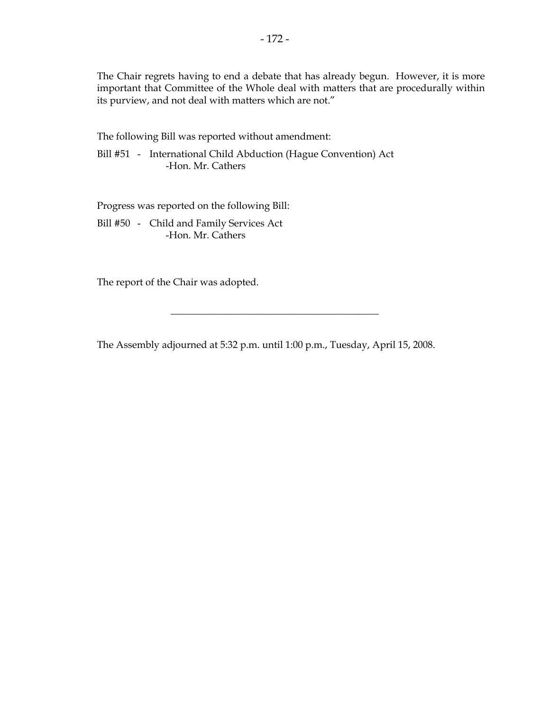The Chair regrets having to end a debate that has already begun. However, it is more important that Committee of the Whole deal with matters that are procedurally within its purview, and not deal with matters which are not."

The following Bill was reported without amendment:

Bill #51 - International Child Abduction (Hague Convention) Act -Hon. Mr. Cathers

Progress was reported on the following Bill:

Bill #50 - Child and Family Services Act -Hon. Mr. Cathers

The report of the Chair was adopted.

The Assembly adjourned at 5:32 p.m. until 1:00 p.m., Tuesday, April 15, 2008.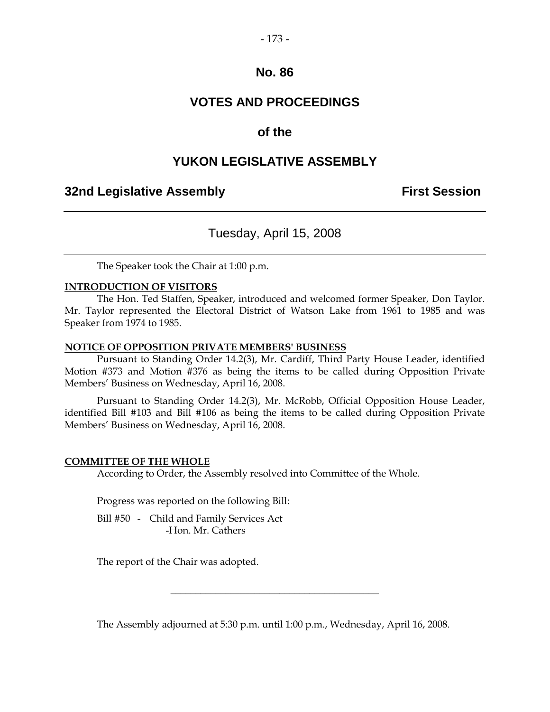#### - 173 -

#### **No. 86**

## **VOTES AND PROCEEDINGS**

## **of the**

## **YUKON LEGISLATIVE ASSEMBLY**

#### **32nd Legislative Assembly First Session**

## Tuesday, April 15, 2008

The Speaker took the Chair at 1:00 p.m.

#### **INTRODUCTION OF VISITORS**

The Hon. Ted Staffen, Speaker, introduced and welcomed former Speaker, Don Taylor. Mr. Taylor represented the Electoral District of Watson Lake from 1961 to 1985 and was Speaker from 1974 to 1985.

#### **NOTICE OF OPPOSITION PRIVATE MEMBERS' BUSINESS**

Pursuant to Standing Order 14.2(3), Mr. Cardiff, Third Party House Leader, identified Motion #373 and Motion #376 as being the items to be called during Opposition Private Members' Business on Wednesday, April 16, 2008.

Pursuant to Standing Order 14.2(3), Mr. McRobb, Official Opposition House Leader, identified Bill #103 and Bill #106 as being the items to be called during Opposition Private Members' Business on Wednesday, April 16, 2008.

#### **COMMITTEE OF THE WHOLE**

According to Order, the Assembly resolved into Committee of the Whole.

Progress was reported on the following Bill:

Bill #50 - Child and Family Services Act -Hon. Mr. Cathers

The report of the Chair was adopted.

The Assembly adjourned at 5:30 p.m. until 1:00 p.m., Wednesday, April 16, 2008.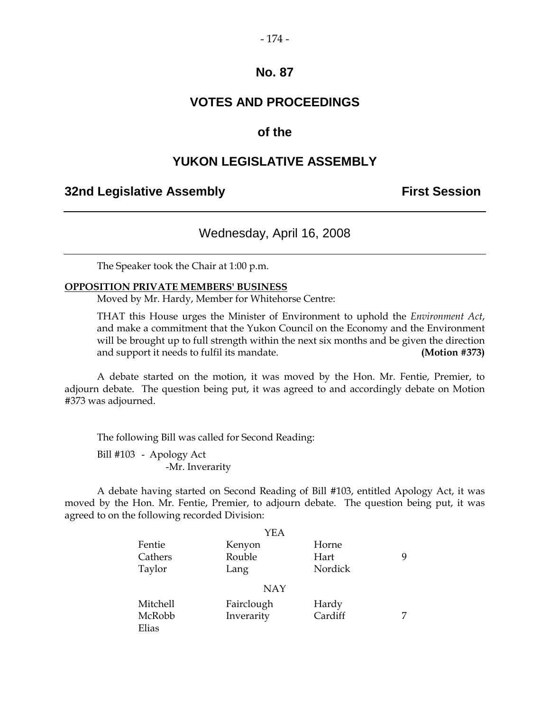#### - 174 -

## **No. 87**

## **VOTES AND PROCEEDINGS**

#### **of the**

#### **YUKON LEGISLATIVE ASSEMBLY**

#### **32nd Legislative Assembly <b>First Session**

## Wednesday, April 16, 2008

The Speaker took the Chair at 1:00 p.m.

#### **OPPOSITION PRIVATE MEMBERS' BUSINESS**

Moved by Mr. Hardy, Member for Whitehorse Centre:

THAT this House urges the Minister of Environment to uphold the *Environment Act*, and make a commitment that the Yukon Council on the Economy and the Environment will be brought up to full strength within the next six months and be given the direction and support it needs to fulfil its mandate. **(Motion #373)**

A debate started on the motion, it was moved by the Hon. Mr. Fentie, Premier, to adjourn debate. The question being put, it was agreed to and accordingly debate on Motion #373 was adjourned.

The following Bill was called for Second Reading:

Bill #103 - Apology Act -Mr. Inverarity

A debate having started on Second Reading of Bill #103, entitled Apology Act, it was moved by the Hon. Mr. Fentie, Premier, to adjourn debate. The question being put, it was agreed to on the following recorded Division:

|          | YEA        |         |   |
|----------|------------|---------|---|
| Fentie   | Kenyon     | Horne   |   |
| Cathers  | Rouble     | Hart    | 9 |
| Taylor   | Lang       | Nordick |   |
|          | <b>NAY</b> |         |   |
| Mitchell | Fairclough | Hardy   |   |
| McRobb   | Inverarity | Cardiff |   |
| Elias    |            |         |   |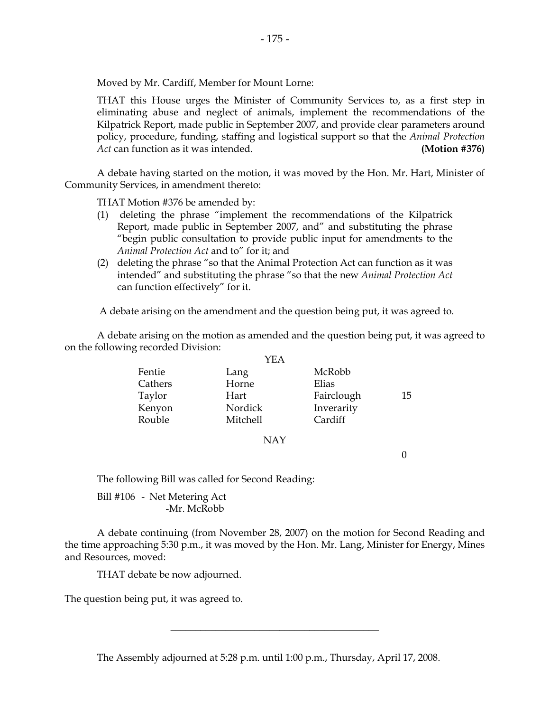Moved by Mr. Cardiff, Member for Mount Lorne:

THAT this House urges the Minister of Community Services to, as a first step in eliminating abuse and neglect of animals, implement the recommendations of the Kilpatrick Report, made public in September 2007, and provide clear parameters around policy, procedure, funding, staffing and logistical support so that the *Animal Protection Act* can function as it was intended. **(Motion #376)**

A debate having started on the motion, it was moved by the Hon. Mr. Hart, Minister of Community Services, in amendment thereto:

THAT Motion #376 be amended by:

- (1) deleting the phrase "implement the recommendations of the Kilpatrick Report, made public in September 2007, and" and substituting the phrase "begin public consultation to provide public input for amendments to the *Animal Protection Act* and to" for it; and
- (2) deleting the phrase "so that the Animal Protection Act can function as it was intended" and substituting the phrase "so that the new *Animal Protection Act* can function effectively" for it.

A debate arising on the amendment and the question being put, it was agreed to.

A debate arising on the motion as amended and the question being put, it was agreed to on the following recorded Division:

|         | YEA      |            |    |
|---------|----------|------------|----|
| Fentie  | Lang     | McRobb     |    |
| Cathers | Horne    | Elias      |    |
| Taylor  | Hart     | Fairclough | 15 |
| Kenyon  | Nordick  | Inverarity |    |
| Rouble  | Mitchell | Cardiff    |    |

#### NAY

0

The following Bill was called for Second Reading:

Bill #106 - Net Metering Act -Mr. McRobb

A debate continuing (from November 28, 2007) on the motion for Second Reading and the time approaching 5:30 p.m., it was moved by the Hon. Mr. Lang, Minister for Energy, Mines and Resources, moved:

THAT debate be now adjourned.

The question being put, it was agreed to.

The Assembly adjourned at 5:28 p.m. until 1:00 p.m., Thursday, April 17, 2008.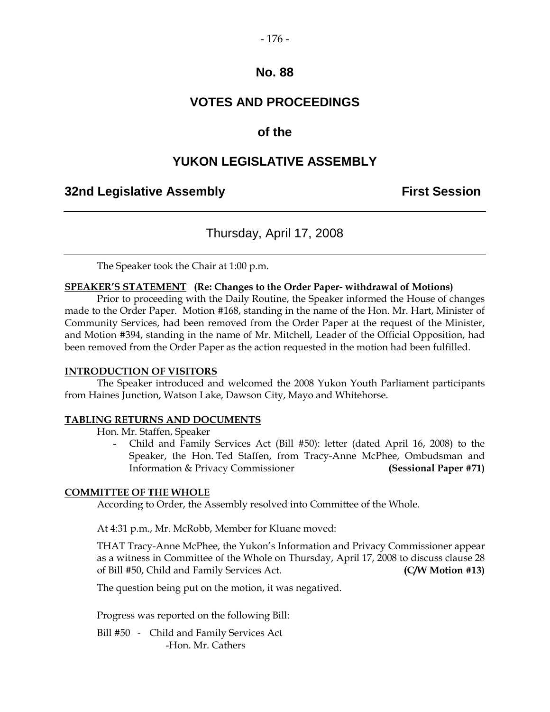#### - 176 -

### **No. 88**

## **VOTES AND PROCEEDINGS**

## **of the**

## **YUKON LEGISLATIVE ASSEMBLY**

## **32nd Legislative Assembly First Session**

## Thursday, April 17, 2008

The Speaker took the Chair at 1:00 p.m.

#### **SPEAKER'S STATEMENT (Re: Changes to the Order Paper- withdrawal of Motions)**

Prior to proceeding with the Daily Routine, the Speaker informed the House of changes made to the Order Paper. Motion #168, standing in the name of the Hon. Mr. Hart, Minister of Community Services, had been removed from the Order Paper at the request of the Minister, and Motion #394, standing in the name of Mr. Mitchell, Leader of the Official Opposition, had been removed from the Order Paper as the action requested in the motion had been fulfilled.

#### **INTRODUCTION OF VISITORS**

The Speaker introduced and welcomed the 2008 Yukon Youth Parliament participants from Haines Junction, Watson Lake, Dawson City, Mayo and Whitehorse.

#### **TABLING RETURNS AND DOCUMENTS**

Hon. Mr. Staffen, Speaker

Child and Family Services Act (Bill #50): letter (dated April 16, 2008) to the Speaker, the Hon. Ted Staffen, from Tracy-Anne McPhee, Ombudsman and Information & Privacy Commissioner **(Sessional Paper #71)**

#### **COMMITTEE OF THE WHOLE**

According to Order, the Assembly resolved into Committee of the Whole.

At 4:31 p.m., Mr. McRobb, Member for Kluane moved:

THAT Tracy-Anne McPhee, the Yukon's Information and Privacy Commissioner appear as a witness in Committee of the Whole on Thursday, April 17, 2008 to discuss clause 28 of Bill #50, Child and Family Services Act. **(C/W Motion #13)**

The question being put on the motion, it was negatived.

Progress was reported on the following Bill:

Bill #50 - Child and Family Services Act -Hon. Mr. Cathers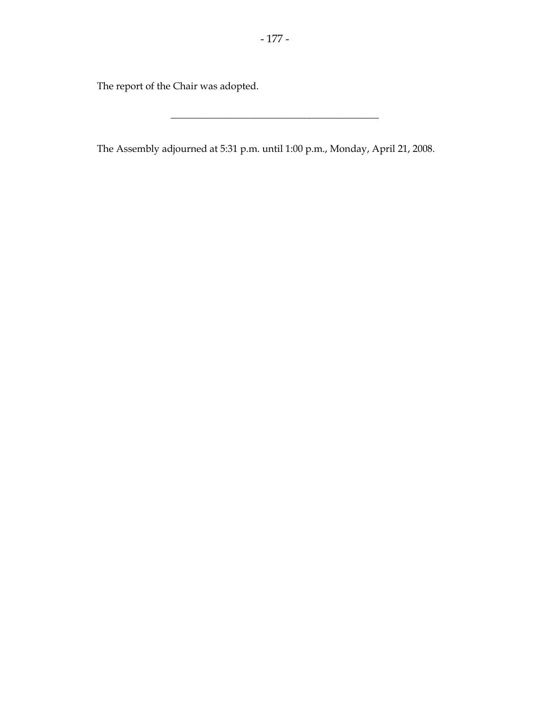The report of the Chair was adopted.

The Assembly adjourned at 5:31 p.m. until 1:00 p.m., Monday, April 21, 2008.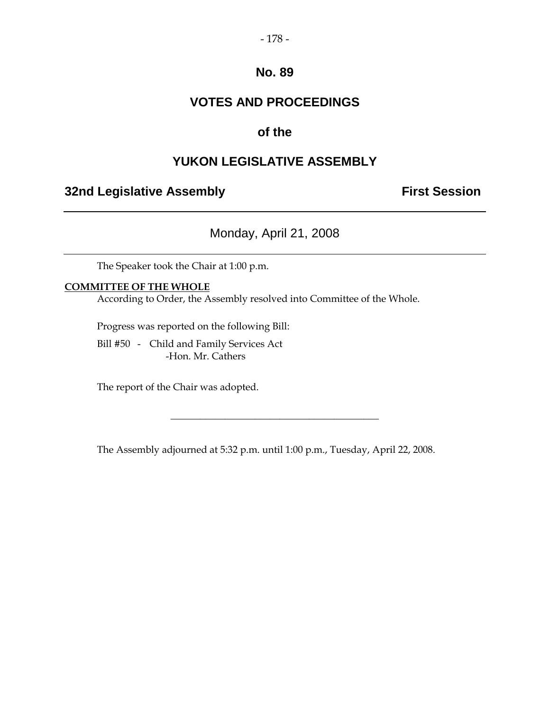#### - 178 -

## **No. 89**

## **VOTES AND PROCEEDINGS**

## **of the**

## **YUKON LEGISLATIVE ASSEMBLY**

## **32nd Legislative Assembly <b>First Session**

Monday, April 21, 2008

The Speaker took the Chair at 1:00 p.m.

#### **COMMITTEE OF THE WHOLE**

According to Order, the Assembly resolved into Committee of the Whole.

Progress was reported on the following Bill:

Bill #50 - Child and Family Services Act -Hon. Mr. Cathers

The report of the Chair was adopted.

The Assembly adjourned at 5:32 p.m. until 1:00 p.m., Tuesday, April 22, 2008.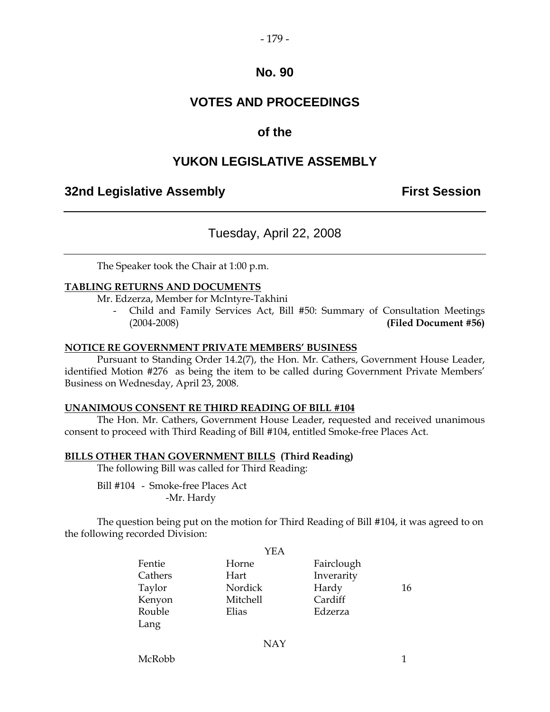#### - 179 -

## **No. 90**

## **VOTES AND PROCEEDINGS**

## **of the**

## **YUKON LEGISLATIVE ASSEMBLY**

## **32nd Legislative Assembly First Session**

## Tuesday, April 22, 2008

The Speaker took the Chair at 1:00 p.m.

#### **TABLING RETURNS AND DOCUMENTS**

Mr. Edzerza, Member for McIntyre-Takhini

- Child and Family Services Act, Bill #50: Summary of Consultation Meetings (2004-2008) **(Filed Document #56)**

#### **NOTICE RE GOVERNMENT PRIVATE MEMBERS' BUSINESS**

Pursuant to Standing Order 14.2(7), the Hon. Mr. Cathers, Government House Leader, identified Motion #276 as being the item to be called during Government Private Members' Business on Wednesday, April 23, 2008.

#### **UNANIMOUS CONSENT RE THIRD READING OF BILL #104**

The Hon. Mr. Cathers, Government House Leader, requested and received unanimous consent to proceed with Third Reading of Bill #104, entitled Smoke-free Places Act.

#### **BILLS OTHER THAN GOVERNMENT BILLS (Third Reading)**

The following Bill was called for Third Reading:

Bill #104 - Smoke-free Places Act -Mr. Hardy

The question being put on the motion for Third Reading of Bill #104, it was agreed to on the following recorded Division:

|         | YEA        |            |    |
|---------|------------|------------|----|
| Fentie  | Horne      | Fairclough |    |
| Cathers | Hart       | Inverarity |    |
| Taylor  | Nordick    | Hardy      | 16 |
| Kenyon  | Mitchell   | Cardiff    |    |
| Rouble  | Elias      | Edzerza    |    |
| Lang    |            |            |    |
|         | <b>NAY</b> |            |    |
|         |            |            |    |

McRobb 1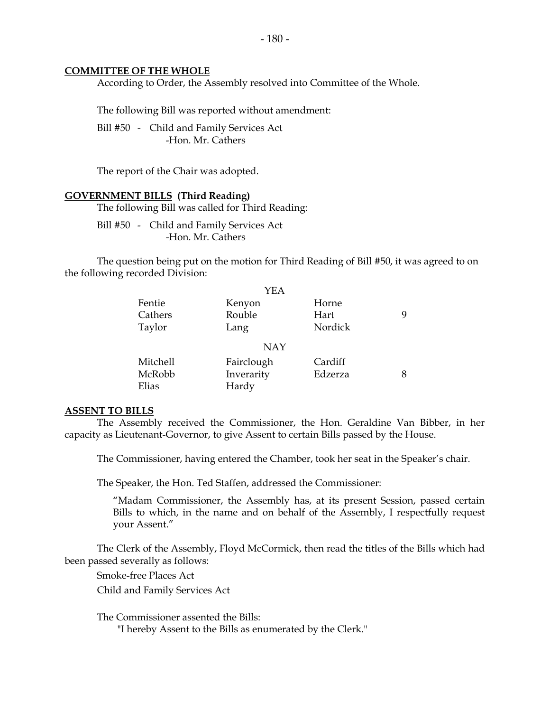#### **COMMITTEE OF THE WHOLE**

According to Order, the Assembly resolved into Committee of the Whole.

The following Bill was reported without amendment:

Bill #50 - Child and Family Services Act -Hon. Mr. Cathers

The report of the Chair was adopted.

#### **GOVERNMENT BILLS (Third Reading)**

The following Bill was called for Third Reading:

Bill #50 - Child and Family Services Act -Hon. Mr. Cathers

The question being put on the motion for Third Reading of Bill #50, it was agreed to on the following recorded Division:

|          | <b>YEA</b> |         |   |
|----------|------------|---------|---|
| Fentie   | Kenyon     | Horne   |   |
| Cathers  | Rouble     | Hart    | 9 |
| Taylor   | Lang       | Nordick |   |
|          | <b>NAY</b> |         |   |
| Mitchell | Fairclough | Cardiff |   |
| McRobb   | Inverarity | Edzerza | 8 |
| Elias    | Hardy      |         |   |

#### **ASSENT TO BILLS**

The Assembly received the Commissioner, the Hon. Geraldine Van Bibber, in her capacity as Lieutenant-Governor, to give Assent to certain Bills passed by the House.

The Commissioner, having entered the Chamber, took her seat in the Speaker's chair.

The Speaker, the Hon. Ted Staffen, addressed the Commissioner:

"Madam Commissioner, the Assembly has, at its present Session, passed certain Bills to which, in the name and on behalf of the Assembly, I respectfully request your Assent."

The Clerk of the Assembly, Floyd McCormick, then read the titles of the Bills which had been passed severally as follows:

Smoke-free Places Act

Child and Family Services Act

The Commissioner assented the Bills:

"I hereby Assent to the Bills as enumerated by the Clerk."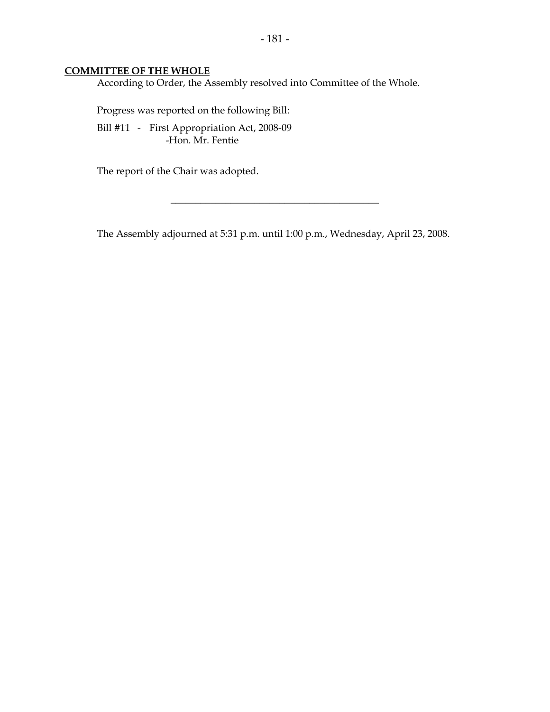#### **COMMITTEE OF THE WHOLE**

According to Order, the Assembly resolved into Committee of the Whole.

Progress was reported on the following Bill:

Bill #11 - First Appropriation Act, 2008-09 -Hon. Mr. Fentie

The report of the Chair was adopted.

The Assembly adjourned at 5:31 p.m. until 1:00 p.m., Wednesday, April 23, 2008.

 $\overline{\phantom{a}}$  , where  $\overline{\phantom{a}}$  , where  $\overline{\phantom{a}}$  , where  $\overline{\phantom{a}}$  , where  $\overline{\phantom{a}}$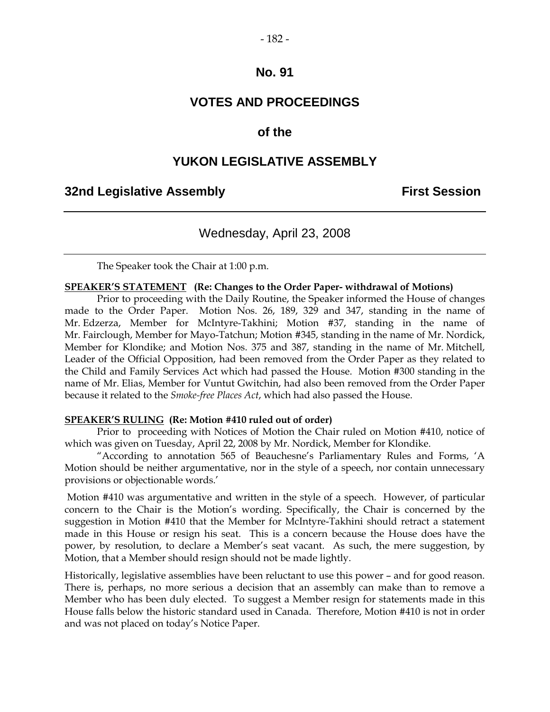# - 182 -

## **No. 91**

## **VOTES AND PROCEEDINGS**

#### **of the**

#### **YUKON LEGISLATIVE ASSEMBLY**

#### **32nd Legislative Assembly First Session**

## Wednesday, April 23, 2008

The Speaker took the Chair at 1:00 p.m.

#### **SPEAKER'S STATEMENT (Re: Changes to the Order Paper- withdrawal of Motions)**

Prior to proceeding with the Daily Routine, the Speaker informed the House of changes made to the Order Paper. Motion Nos. 26, 189, 329 and 347, standing in the name of Mr. Edzerza, Member for McIntyre-Takhini; Motion #37, standing in the name of Mr. Fairclough, Member for Mayo-Tatchun; Motion #345, standing in the name of Mr. Nordick, Member for Klondike; and Motion Nos. 375 and 387, standing in the name of Mr. Mitchell, Leader of the Official Opposition, had been removed from the Order Paper as they related to the Child and Family Services Act which had passed the House. Motion #300 standing in the name of Mr. Elias, Member for Vuntut Gwitchin, had also been removed from the Order Paper because it related to the *Smoke-free Places Act*, which had also passed the House.

#### **SPEAKER'S RULING (Re: Motion #410 ruled out of order)**

Prior to proceeding with Notices of Motion the Chair ruled on Motion #410, notice of which was given on Tuesday, April 22, 2008 by Mr. Nordick, Member for Klondike.

"According to annotation 565 of Beauchesne's Parliamentary Rules and Forms, 'A Motion should be neither argumentative, nor in the style of a speech, nor contain unnecessary provisions or objectionable words.'

Motion #410 was argumentative and written in the style of a speech. However, of particular concern to the Chair is the Motion's wording. Specifically, the Chair is concerned by the suggestion in Motion #410 that the Member for McIntyre-Takhini should retract a statement made in this House or resign his seat. This is a concern because the House does have the power, by resolution, to declare a Member's seat vacant. As such, the mere suggestion, by Motion, that a Member should resign should not be made lightly.

Historically, legislative assemblies have been reluctant to use this power – and for good reason. There is, perhaps, no more serious a decision that an assembly can make than to remove a Member who has been duly elected. To suggest a Member resign for statements made in this House falls below the historic standard used in Canada. Therefore, Motion #410 is not in order and was not placed on today's Notice Paper.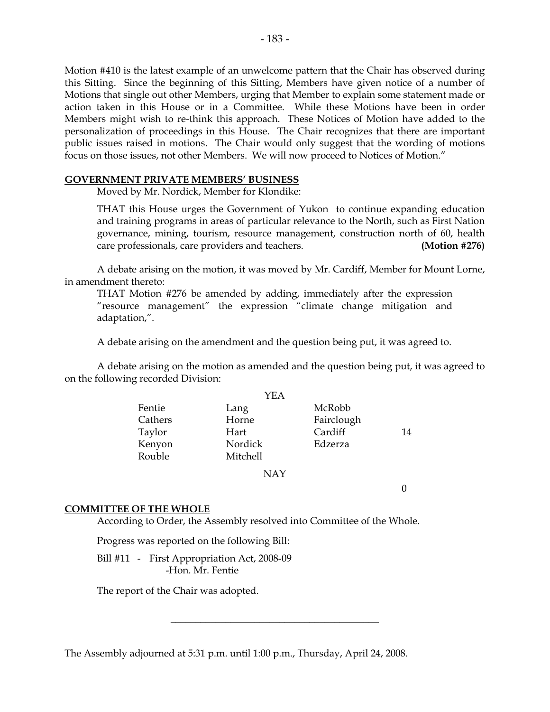Motion #410 is the latest example of an unwelcome pattern that the Chair has observed during this Sitting. Since the beginning of this Sitting, Members have given notice of a number of Motions that single out other Members, urging that Member to explain some statement made or action taken in this House or in a Committee. While these Motions have been in order Members might wish to re-think this approach. These Notices of Motion have added to the personalization of proceedings in this House. The Chair recognizes that there are important public issues raised in motions. The Chair would only suggest that the wording of motions focus on those issues, not other Members. We will now proceed to Notices of Motion."

#### **GOVERNMENT PRIVATE MEMBERS' BUSINESS**

Moved by Mr. Nordick, Member for Klondike:

THAT this House urges the Government of Yukon to continue expanding education and training programs in areas of particular relevance to the North, such as First Nation governance, mining, tourism, resource management, construction north of 60, health care professionals, care providers and teachers. **(Motion #276)**

A debate arising on the motion, it was moved by Mr. Cardiff, Member for Mount Lorne, in amendment thereto:

THAT Motion #276 be amended by adding, immediately after the expression "resource management" the expression "climate change mitigation and adaptation,".

A debate arising on the amendment and the question being put, it was agreed to.

A debate arising on the motion as amended and the question being put, it was agreed to on the following recorded Division:

|         | YEA      |            |    |
|---------|----------|------------|----|
| Fentie  | Lang     | McRobb     |    |
| Cathers | Horne    | Fairclough |    |
| Taylor  | Hart     | Cardiff    | 14 |
| Kenyon  | Nordick  | Edzerza    |    |
| Rouble  | Mitchell |            |    |
|         | NAY      |            |    |

 $\Omega$ 

#### **COMMITTEE OF THE WHOLE**

According to Order, the Assembly resolved into Committee of the Whole.

\_\_\_\_\_\_\_\_\_\_\_\_\_\_\_\_\_\_\_\_\_\_\_\_\_\_\_\_\_\_\_\_\_\_\_\_\_\_\_\_\_\_

Progress was reported on the following Bill:

Bill #11 - First Appropriation Act, 2008-09 -Hon. Mr. Fentie

The report of the Chair was adopted.

The Assembly adjourned at 5:31 p.m. until 1:00 p.m., Thursday, April 24, 2008.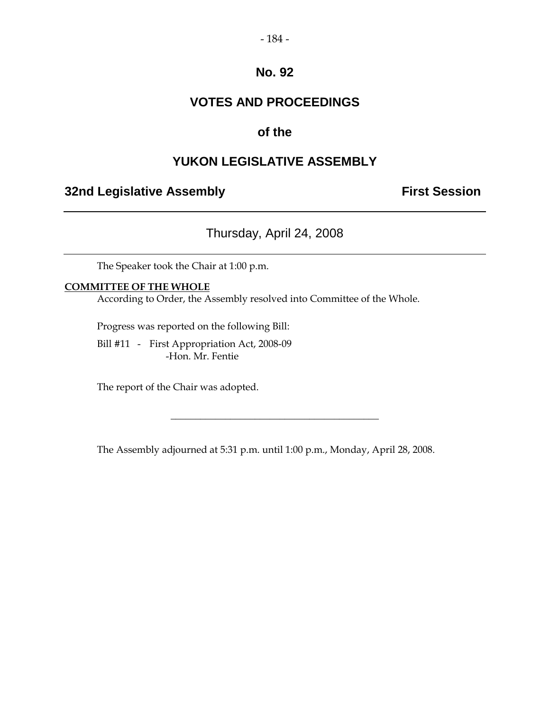#### - 184 -

## **No. 92**

## **VOTES AND PROCEEDINGS**

## **of the**

## **YUKON LEGISLATIVE ASSEMBLY**

## **32nd Legislative Assembly <b>First Session**

Thursday, April 24, 2008

The Speaker took the Chair at 1:00 p.m.

#### **COMMITTEE OF THE WHOLE**

According to Order, the Assembly resolved into Committee of the Whole.

Progress was reported on the following Bill:

Bill #11 - First Appropriation Act, 2008-09 -Hon. Mr. Fentie

The report of the Chair was adopted.

The Assembly adjourned at 5:31 p.m. until 1:00 p.m., Monday, April 28, 2008.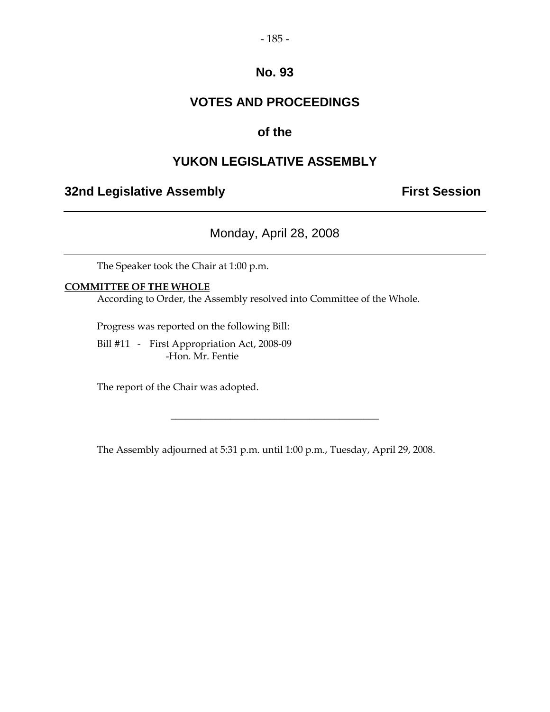#### - 185 -

## **No. 93**

## **VOTES AND PROCEEDINGS**

## **of the**

## **YUKON LEGISLATIVE ASSEMBLY**

## **32nd Legislative Assembly <b>First Session**

Monday, April 28, 2008

The Speaker took the Chair at 1:00 p.m.

#### **COMMITTEE OF THE WHOLE**

According to Order, the Assembly resolved into Committee of the Whole.

Progress was reported on the following Bill:

Bill #11 - First Appropriation Act, 2008-09 -Hon. Mr. Fentie

The report of the Chair was adopted.

The Assembly adjourned at 5:31 p.m. until 1:00 p.m., Tuesday, April 29, 2008.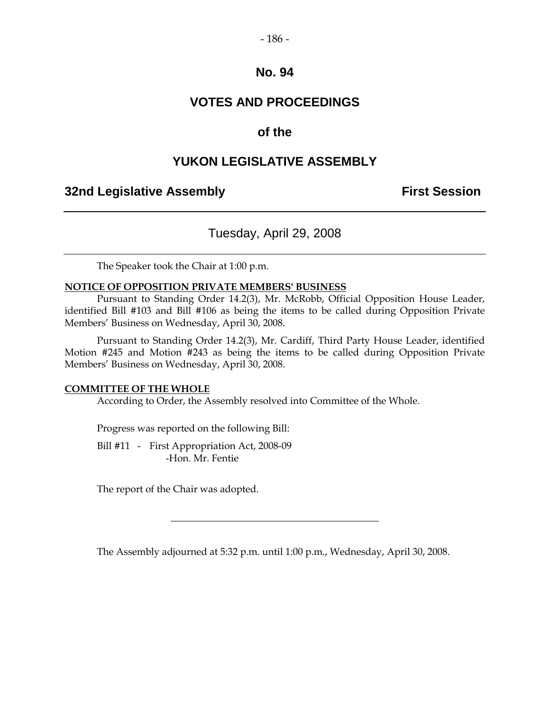#### - 186 -

#### **No. 94**

## **VOTES AND PROCEEDINGS**

## **of the**

### **YUKON LEGISLATIVE ASSEMBLY**

## **32nd Legislative Assembly <b>First Session**

### Tuesday, April 29, 2008

The Speaker took the Chair at 1:00 p.m.

#### **NOTICE OF OPPOSITION PRIVATE MEMBERS' BUSINESS**

Pursuant to Standing Order 14.2(3), Mr. McRobb, Official Opposition House Leader, identified Bill #103 and Bill #106 as being the items to be called during Opposition Private Members' Business on Wednesday, April 30, 2008.

Pursuant to Standing Order 14.2(3), Mr. Cardiff, Third Party House Leader, identified Motion #245 and Motion #243 as being the items to be called during Opposition Private Members' Business on Wednesday, April 30, 2008.

#### **COMMITTEE OF THE WHOLE**

According to Order, the Assembly resolved into Committee of the Whole.

Progress was reported on the following Bill:

Bill #11 - First Appropriation Act, 2008-09 -Hon. Mr. Fentie

The report of the Chair was adopted.

The Assembly adjourned at 5:32 p.m. until 1:00 p.m., Wednesday, April 30, 2008.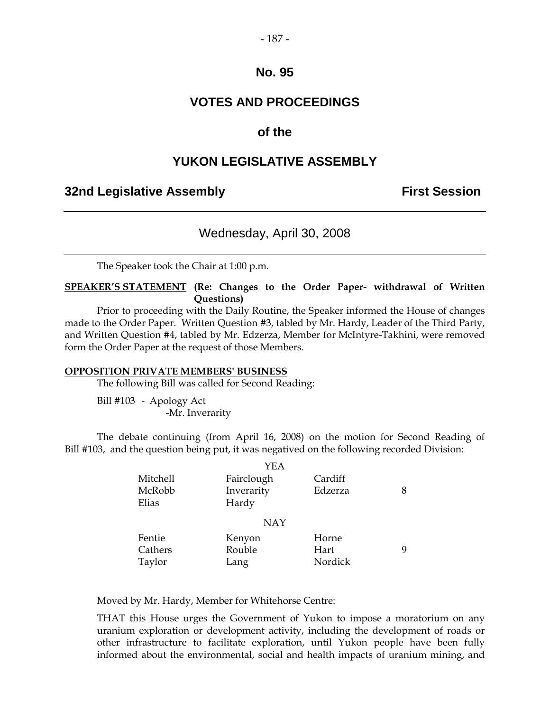#### - 187 -

### **No. 95**

## **VOTES AND PROCEEDINGS**

### **of the**

## **YUKON LEGISLATIVE ASSEMBLY**

#### **32nd Legislative Assembly First Session**

## Wednesday, April 30, 2008

The Speaker took the Chair at 1:00 p.m.

**SPEAKER'S STATEMENT (Re: Changes to the Order Paper- withdrawal of Written Questions)** 

Prior to proceeding with the Daily Routine, the Speaker informed the House of changes made to the Order Paper. Written Question #3, tabled by Mr. Hardy, Leader of the Third Party, and Written Question #4, tabled by Mr. Edzerza, Member for McIntyre-Takhini, were removed form the Order Paper at the request of those Members.

#### **OPPOSITION PRIVATE MEMBERS' BUSINESS**

The following Bill was called for Second Reading:

Bill #103 - Apology Act -Mr. Inverarity

The debate continuing (from April 16, 2008) on the motion for Second Reading of Bill #103, and the question being put, it was negatived on the following recorded Division:

|          | YEA        |         |   |
|----------|------------|---------|---|
| Mitchell | Fairclough | Cardiff |   |
| McRobb   | Inverarity | Edzerza |   |
| Elias    | Hardy      |         |   |
|          | <b>NAY</b> |         |   |
| Fentie   | Kenyon     | Horne   |   |
| Cathers  | Rouble     | Hart    | Q |
| Taylor   | Lang       | Nordick |   |

Moved by Mr. Hardy, Member for Whitehorse Centre:

THAT this House urges the Government of Yukon to impose a moratorium on any uranium exploration or development activity, including the development of roads or other infrastructure to facilitate exploration, until Yukon people have been fully informed about the environmental, social and health impacts of uranium mining, and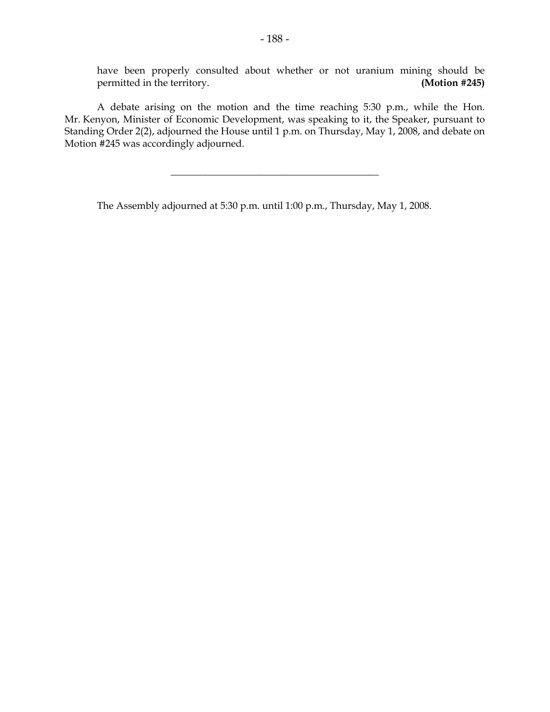have been properly consulted about whether or not uranium mining should be permitted in the territory. **(Motion #245)**

A debate arising on the motion and the time reaching 5:30 p.m., while the Hon. Mr. Kenyon, Minister of Economic Development, was speaking to it, the Speaker, pursuant to Standing Order 2(2), adjourned the House until 1 p.m. on Thursday, May 1, 2008, and debate on Motion #245 was accordingly adjourned.

 $\overline{\phantom{a}}$  , where  $\overline{\phantom{a}}$  , where  $\overline{\phantom{a}}$  , where  $\overline{\phantom{a}}$  , where  $\overline{\phantom{a}}$ 

The Assembly adjourned at 5:30 p.m. until 1:00 p.m., Thursday, May 1, 2008.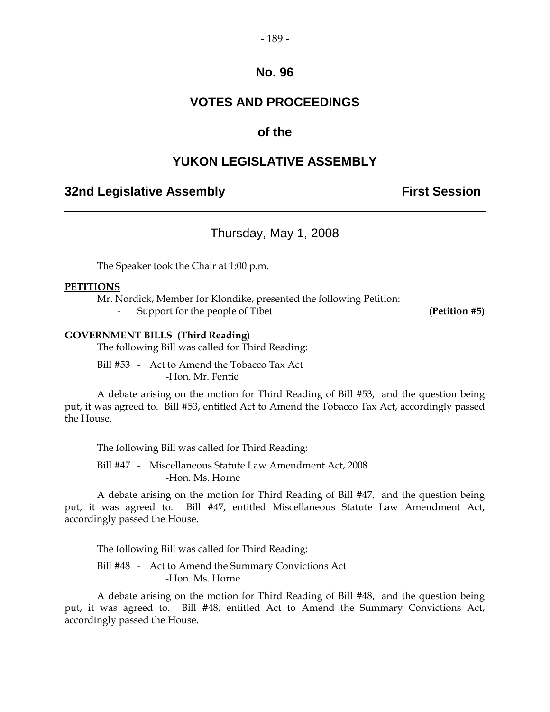#### - 189 -

### **No. 96**

## **VOTES AND PROCEEDINGS**

## **of the**

## **YUKON LEGISLATIVE ASSEMBLY**

#### **32nd Legislative Assembly First Session**

## Thursday, May 1, 2008

The Speaker took the Chair at 1:00 p.m.

#### **PETITIONS**

Mr. Nordick, Member for Klondike, presented the following Petition:

- Support for the people of Tibet **(Petition #5)**

#### **GOVERNMENT BILLS (Third Reading)**

The following Bill was called for Third Reading:

Bill #53 - Act to Amend the Tobacco Tax Act -Hon. Mr. Fentie

A debate arising on the motion for Third Reading of Bill #53, and the question being put, it was agreed to. Bill #53, entitled Act to Amend the Tobacco Tax Act, accordingly passed the House.

The following Bill was called for Third Reading:

Bill #47 - Miscellaneous Statute Law Amendment Act, 2008 -Hon. Ms. Horne

A debate arising on the motion for Third Reading of Bill #47, and the question being put, it was agreed to. Bill #47, entitled Miscellaneous Statute Law Amendment Act, accordingly passed the House.

The following Bill was called for Third Reading:

Bill #48 - Act to Amend the Summary Convictions Act -Hon. Ms. Horne

A debate arising on the motion for Third Reading of Bill #48, and the question being put, it was agreed to. Bill #48, entitled Act to Amend the Summary Convictions Act, accordingly passed the House.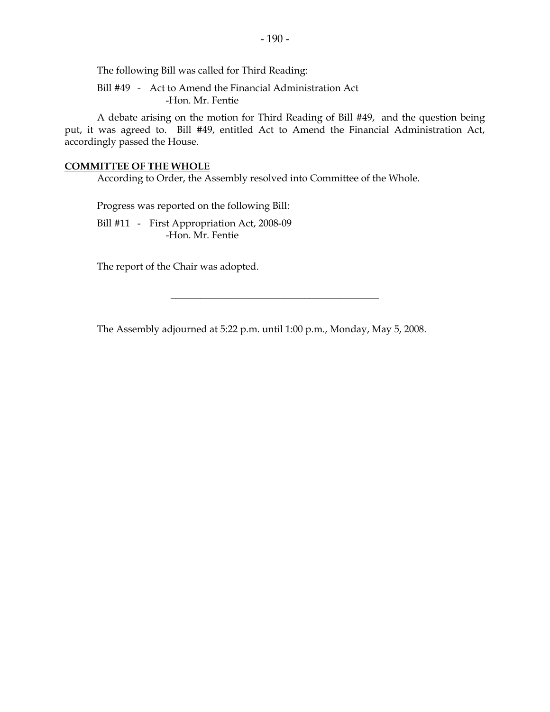The following Bill was called for Third Reading:

Bill #49 - Act to Amend the Financial Administration Act -Hon. Mr. Fentie

A debate arising on the motion for Third Reading of Bill #49, and the question being put, it was agreed to. Bill #49, entitled Act to Amend the Financial Administration Act, accordingly passed the House.

#### **COMMITTEE OF THE WHOLE**

According to Order, the Assembly resolved into Committee of the Whole.

Progress was reported on the following Bill:

Bill #11 - First Appropriation Act, 2008-09 -Hon. Mr. Fentie

The report of the Chair was adopted.

The Assembly adjourned at 5:22 p.m. until 1:00 p.m., Monday, May 5, 2008.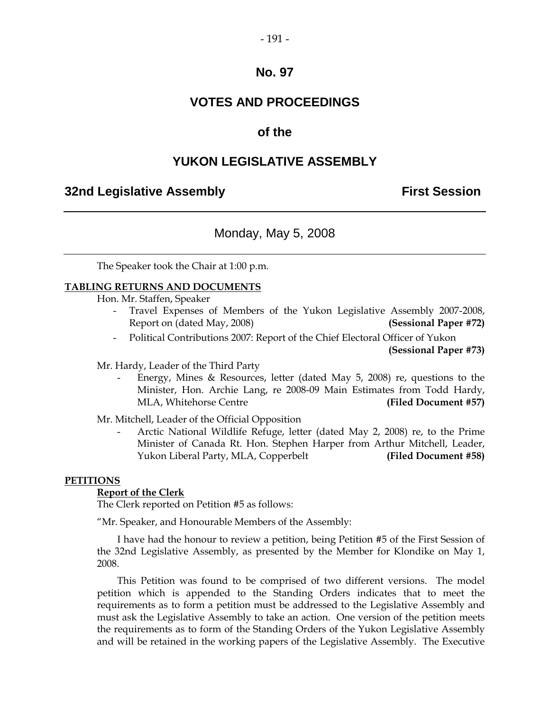#### - 191 -

## **No. 97**

## **VOTES AND PROCEEDINGS**

#### **of the**

### **YUKON LEGISLATIVE ASSEMBLY**

#### **32nd Legislative Assembly First Session**

## Monday, May 5, 2008

The Speaker took the Chair at 1:00 p.m.

#### **TABLING RETURNS AND DOCUMENTS**

Hon. Mr. Staffen, Speaker

- Travel Expenses of Members of the Yukon Legislative Assembly 2007-2008, Report on (dated May, 2008) **(Sessional Paper #72)**
- Political Contributions 2007: Report of the Chief Electoral Officer of Yukon

**(Sessional Paper #73)**

Mr. Hardy, Leader of the Third Party

Energy, Mines & Resources, letter (dated May  $5$ , 2008) re, questions to the Minister, Hon. Archie Lang, re 2008-09 Main Estimates from Todd Hardy, MLA, Whitehorse Centre **(Filed Document #57)**

Mr. Mitchell, Leader of the Official Opposition

- Arctic National Wildlife Refuge, letter (dated May 2, 2008) re, to the Prime Minister of Canada Rt. Hon. Stephen Harper from Arthur Mitchell, Leader, Yukon Liberal Party, MLA, Copperbelt **(Filed Document #58)**

#### **PETITIONS**

#### **Report of the Clerk**

The Clerk reported on Petition #5 as follows:

"Mr. Speaker, and Honourable Members of the Assembly:

I have had the honour to review a petition, being Petition #5 of the First Session of the 32nd Legislative Assembly, as presented by the Member for Klondike on May 1, 2008.

This Petition was found to be comprised of two different versions. The model petition which is appended to the Standing Orders indicates that to meet the requirements as to form a petition must be addressed to the Legislative Assembly and must ask the Legislative Assembly to take an action. One version of the petition meets the requirements as to form of the Standing Orders of the Yukon Legislative Assembly and will be retained in the working papers of the Legislative Assembly. The Executive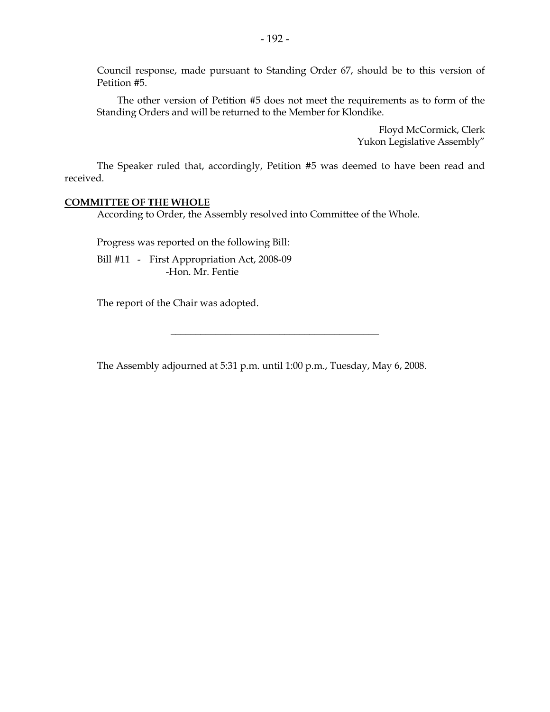Council response, made pursuant to Standing Order 67, should be to this version of Petition #5.

The other version of Petition #5 does not meet the requirements as to form of the Standing Orders and will be returned to the Member for Klondike.

> Floyd McCormick, Clerk Yukon Legislative Assembly"

The Speaker ruled that, accordingly, Petition #5 was deemed to have been read and received.

#### **COMMITTEE OF THE WHOLE**

According to Order, the Assembly resolved into Committee of the Whole.

Progress was reported on the following Bill:

Bill #11 - First Appropriation Act, 2008-09 -Hon. Mr. Fentie

The report of the Chair was adopted.

The Assembly adjourned at 5:31 p.m. until 1:00 p.m., Tuesday, May 6, 2008.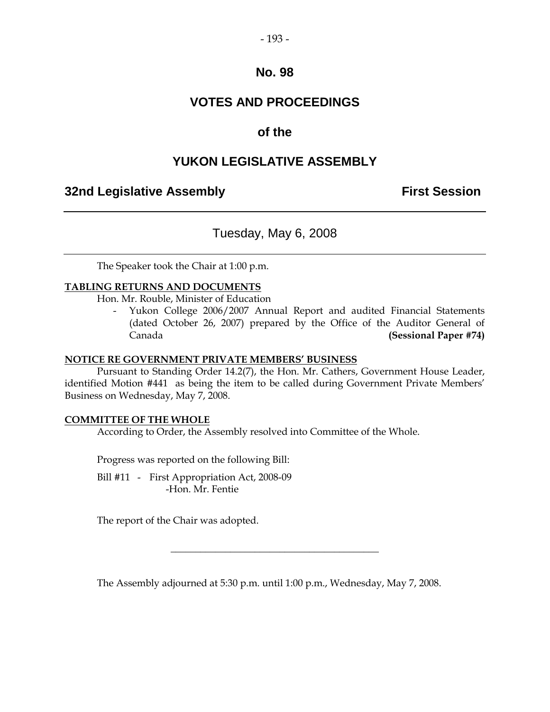#### - 193 -

### **No. 98**

## **VOTES AND PROCEEDINGS**

## **of the**

## **YUKON LEGISLATIVE ASSEMBLY**

## **32nd Legislative Assembly <b>First Session**

## Tuesday, May 6, 2008

The Speaker took the Chair at 1:00 p.m.

#### **TABLING RETURNS AND DOCUMENTS**

Hon. Mr. Rouble, Minister of Education

Yukon College 2006/2007 Annual Report and audited Financial Statements (dated October 26, 2007) prepared by the Office of the Auditor General of Canada **(Sessional Paper #74)**

#### **NOTICE RE GOVERNMENT PRIVATE MEMBERS' BUSINESS**

Pursuant to Standing Order 14.2(7), the Hon. Mr. Cathers, Government House Leader, identified Motion #441 as being the item to be called during Government Private Members' Business on Wednesday, May 7, 2008.

#### **COMMITTEE OF THE WHOLE**

According to Order, the Assembly resolved into Committee of the Whole.

Progress was reported on the following Bill:

Bill #11 - First Appropriation Act, 2008-09 -Hon. Mr. Fentie

The report of the Chair was adopted.

The Assembly adjourned at 5:30 p.m. until 1:00 p.m., Wednesday, May 7, 2008.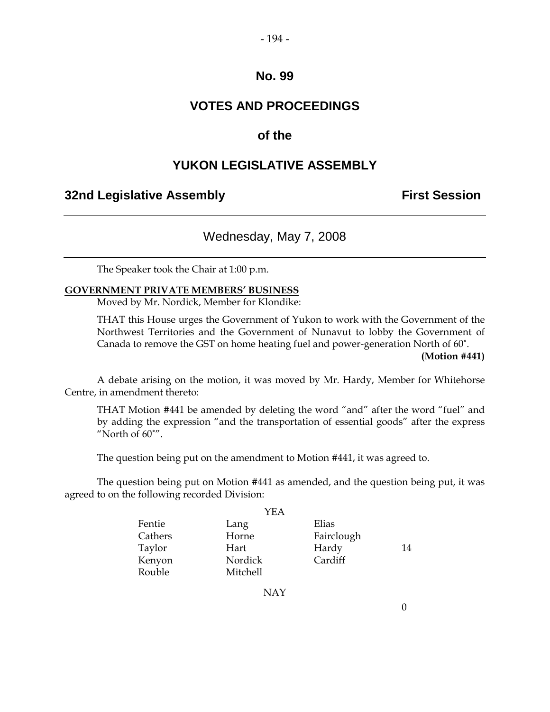## **No. 99**

## **VOTES AND PROCEEDINGS**

## **of the**

## **YUKON LEGISLATIVE ASSEMBLY**

## **32nd Legislative Assembly <b>First Session**

## Wednesday, May 7, 2008

The Speaker took the Chair at 1:00 p.m.

#### **GOVERNMENT PRIVATE MEMBERS' BUSINESS**

Moved by Mr. Nordick, Member for Klondike:

THAT this House urges the Government of Yukon to work with the Government of the Northwest Territories and the Government of Nunavut to lobby the Government of Canada to remove the GST on home heating fuel and power-generation North of 60˚.

**(Motion #441)**

A debate arising on the motion, it was moved by Mr. Hardy, Member for Whitehorse Centre, in amendment thereto:

THAT Motion #441 be amended by deleting the word "and" after the word "fuel" and by adding the expression "and the transportation of essential goods" after the express "North of  $60^{\degree}$ ".

The question being put on the amendment to Motion #441, it was agreed to.

The question being put on Motion #441 as amended, and the question being put, it was agreed to on the following recorded Division:

| YEA     |                 |            |    |
|---------|-----------------|------------|----|
| Fentie  | Lang            | Elias      |    |
| Cathers | Horne           | Fairclough |    |
| Taylor  | Hart            | Hardy      | 14 |
| Kenyon  | Nordick         | Cardiff    |    |
| Rouble  | <b>Mitchell</b> |            |    |

NAY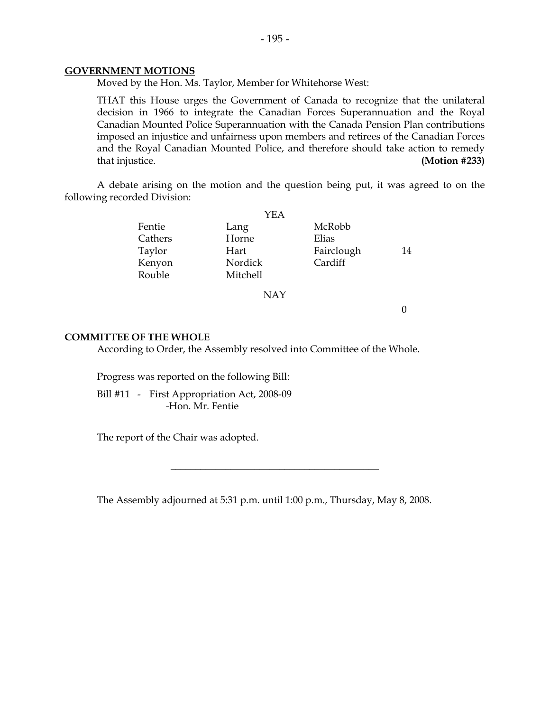#### **GOVERNMENT MOTIONS**

Moved by the Hon. Ms. Taylor, Member for Whitehorse West:

THAT this House urges the Government of Canada to recognize that the unilateral decision in 1966 to integrate the Canadian Forces Superannuation and the Royal Canadian Mounted Police Superannuation with the Canada Pension Plan contributions imposed an injustice and unfairness upon members and retirees of the Canadian Forces and the Royal Canadian Mounted Police, and therefore should take action to remedy that injustice. **(Motion #233)**

A debate arising on the motion and the question being put, it was agreed to on the following recorded Division:

| YEA     |                 |            |    |
|---------|-----------------|------------|----|
| Fentie  | Lang            | McRobb     |    |
| Cathers | Horne           | Elias      |    |
| Taylor  | Hart            | Fairclough | 14 |
| Kenyon  | Nordick         | Cardiff    |    |
| Rouble  | <b>Mitchell</b> |            |    |
|         |                 |            |    |

NAY

0

#### **COMMITTEE OF THE WHOLE**

According to Order, the Assembly resolved into Committee of the Whole.

Progress was reported on the following Bill:

Bill #11 - First Appropriation Act, 2008-09 -Hon. Mr. Fentie

The report of the Chair was adopted.

The Assembly adjourned at 5:31 p.m. until 1:00 p.m., Thursday, May 8, 2008.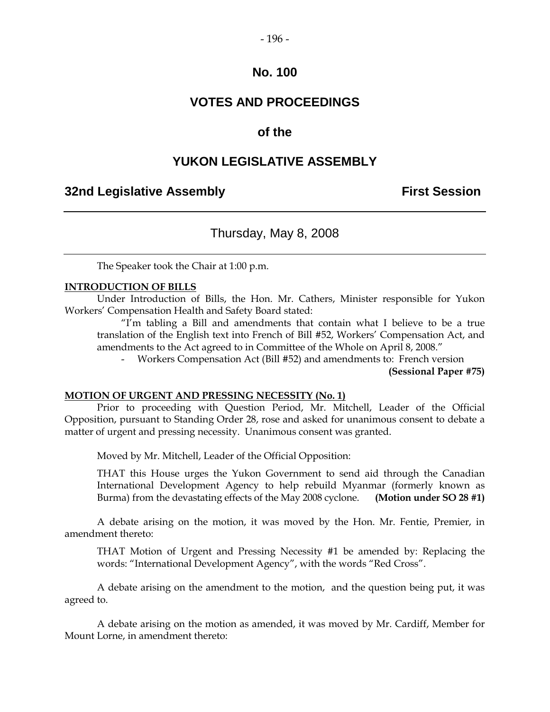#### - 196 -

## **No. 100**

## **VOTES AND PROCEEDINGS**

## **of the**

### **YUKON LEGISLATIVE ASSEMBLY**

#### **32nd Legislative Assembly First Session**

## Thursday, May 8, 2008

The Speaker took the Chair at 1:00 p.m.

#### **INTRODUCTION OF BILLS**

Under Introduction of Bills, the Hon. Mr. Cathers, Minister responsible for Yukon Workers' Compensation Health and Safety Board stated:

"I'm tabling a Bill and amendments that contain what I believe to be a true translation of the English text into French of Bill #52, Workers' Compensation Act, and amendments to the Act agreed to in Committee of the Whole on April 8, 2008."

- Workers Compensation Act (Bill #52) and amendments to: French version

**(Sessional Paper #75)**

#### **MOTION OF URGENT AND PRESSING NECESSITY (No. 1)**

Prior to proceeding with Question Period, Mr. Mitchell, Leader of the Official Opposition, pursuant to Standing Order 28, rose and asked for unanimous consent to debate a matter of urgent and pressing necessity. Unanimous consent was granted.

Moved by Mr. Mitchell, Leader of the Official Opposition:

THAT this House urges the Yukon Government to send aid through the Canadian International Development Agency to help rebuild Myanmar (formerly known as Burma) from the devastating effects of the May 2008 cyclone. **(Motion under SO 28 #1)**

A debate arising on the motion, it was moved by the Hon. Mr. Fentie, Premier, in amendment thereto:

THAT Motion of Urgent and Pressing Necessity #1 be amended by: Replacing the words: "International Development Agency", with the words "Red Cross".

A debate arising on the amendment to the motion, and the question being put, it was agreed to.

A debate arising on the motion as amended, it was moved by Mr. Cardiff, Member for Mount Lorne, in amendment thereto: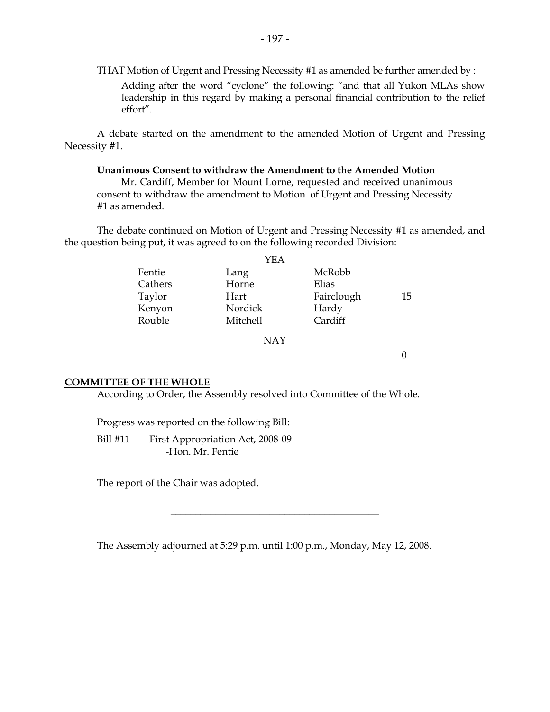THAT Motion of Urgent and Pressing Necessity #1 as amended be further amended by : Adding after the word "cyclone" the following: "and that all Yukon MLAs show leadership in this regard by making a personal financial contribution to the relief effort".

A debate started on the amendment to the amended Motion of Urgent and Pressing Necessity #1.

#### **Unanimous Consent to withdraw the Amendment to the Amended Motion**

Mr. Cardiff, Member for Mount Lorne, requested and received unanimous consent to withdraw the amendment to Motion of Urgent and Pressing Necessity #1 as amended.

The debate continued on Motion of Urgent and Pressing Necessity #1 as amended, and the question being put, it was agreed to on the following recorded Division:

| YEA     |          |            |    |
|---------|----------|------------|----|
| Fentie  | Lang     | McRobb     |    |
| Cathers | Horne    | Elias      |    |
| Taylor  | Hart     | Fairclough | 15 |
| Kenyon  | Nordick  | Hardy      |    |
| Rouble  | Mitchell | Cardiff    |    |
|         |          |            |    |

NAY

0

#### **COMMITTEE OF THE WHOLE**

According to Order, the Assembly resolved into Committee of the Whole.

Progress was reported on the following Bill:

Bill #11 - First Appropriation Act, 2008-09 -Hon. Mr. Fentie

The report of the Chair was adopted.

The Assembly adjourned at 5:29 p.m. until 1:00 p.m., Monday, May 12, 2008.

 $\overline{\phantom{a}}$  , where  $\overline{\phantom{a}}$  , where  $\overline{\phantom{a}}$  , where  $\overline{\phantom{a}}$  , where  $\overline{\phantom{a}}$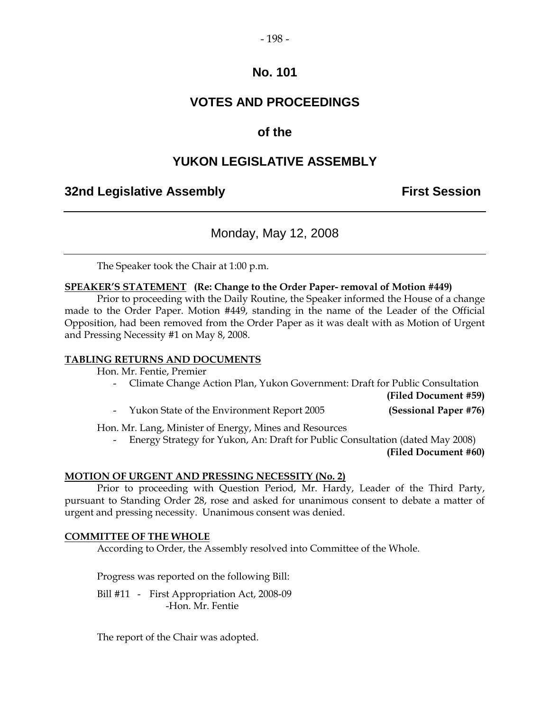#### - 198 -

## **No. 101**

## **VOTES AND PROCEEDINGS**

## **of the**

## **YUKON LEGISLATIVE ASSEMBLY**

## **32nd Legislative Assembly First Session**

## Monday, May 12, 2008

The Speaker took the Chair at 1:00 p.m.

#### **SPEAKER'S STATEMENT (Re: Change to the Order Paper- removal of Motion #449)**

Prior to proceeding with the Daily Routine, the Speaker informed the House of a change made to the Order Paper. Motion #449, standing in the name of the Leader of the Official Opposition, had been removed from the Order Paper as it was dealt with as Motion of Urgent and Pressing Necessity #1 on May 8, 2008.

#### **TABLING RETURNS AND DOCUMENTS**

Hon. Mr. Fentie, Premier

- Climate Change Action Plan, Yukon Government: Draft for Public Consultation

**(Filed Document #59)**

- Yukon State of the Environment Report 2005 **(Sessional Paper #76)**

Hon. Mr. Lang, Minister of Energy, Mines and Resources

- Energy Strategy for Yukon, An: Draft for Public Consultation (dated May 2008) **(Filed Document #60)**

#### **MOTION OF URGENT AND PRESSING NECESSITY (No. 2)**

Prior to proceeding with Question Period, Mr. Hardy, Leader of the Third Party, pursuant to Standing Order 28, rose and asked for unanimous consent to debate a matter of urgent and pressing necessity. Unanimous consent was denied.

#### **COMMITTEE OF THE WHOLE**

According to Order, the Assembly resolved into Committee of the Whole.

Progress was reported on the following Bill:

Bill #11 - First Appropriation Act, 2008-09 -Hon. Mr. Fentie

The report of the Chair was adopted.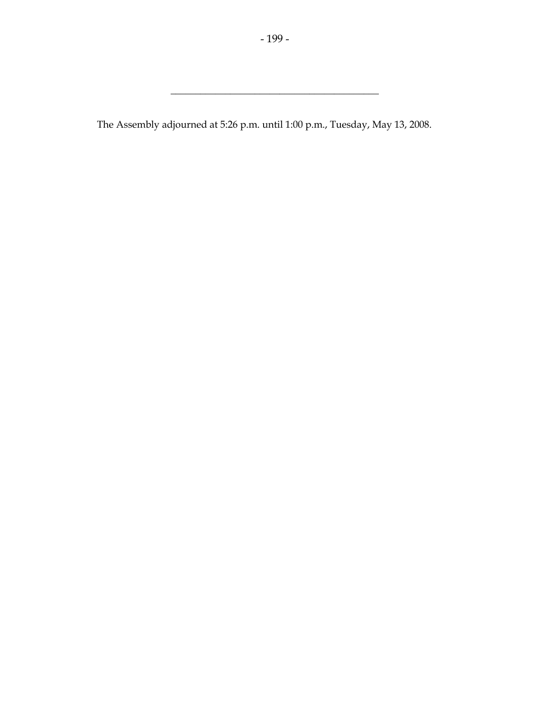$\overline{\phantom{a}}$  , where  $\overline{\phantom{a}}$  , where  $\overline{\phantom{a}}$  , where  $\overline{\phantom{a}}$  , where  $\overline{\phantom{a}}$ 

The Assembly adjourned at 5:26 p.m. until 1:00 p.m., Tuesday, May 13, 2008.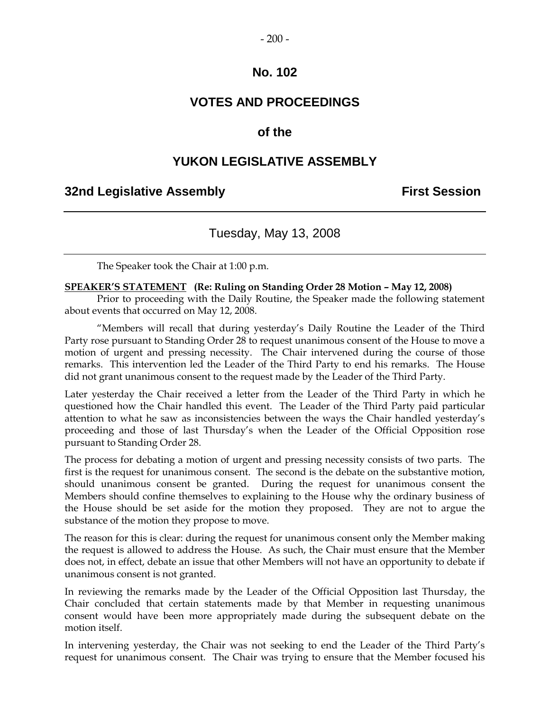## **No. 102**

## **VOTES AND PROCEEDINGS**

## **of the**

## **YUKON LEGISLATIVE ASSEMBLY**

## **32nd Legislative Assembly First Session**

## Tuesday, May 13, 2008

The Speaker took the Chair at 1:00 p.m.

#### **SPEAKER'S STATEMENT (Re: Ruling on Standing Order 28 Motion – May 12, 2008)**

Prior to proceeding with the Daily Routine, the Speaker made the following statement about events that occurred on May 12, 2008.

"Members will recall that during yesterday's Daily Routine the Leader of the Third Party rose pursuant to Standing Order 28 to request unanimous consent of the House to move a motion of urgent and pressing necessity. The Chair intervened during the course of those remarks. This intervention led the Leader of the Third Party to end his remarks. The House did not grant unanimous consent to the request made by the Leader of the Third Party.

Later yesterday the Chair received a letter from the Leader of the Third Party in which he questioned how the Chair handled this event. The Leader of the Third Party paid particular attention to what he saw as inconsistencies between the ways the Chair handled yesterday's proceeding and those of last Thursday's when the Leader of the Official Opposition rose pursuant to Standing Order 28.

The process for debating a motion of urgent and pressing necessity consists of two parts. The first is the request for unanimous consent. The second is the debate on the substantive motion, should unanimous consent be granted. During the request for unanimous consent the Members should confine themselves to explaining to the House why the ordinary business of the House should be set aside for the motion they proposed. They are not to argue the substance of the motion they propose to move.

The reason for this is clear: during the request for unanimous consent only the Member making the request is allowed to address the House. As such, the Chair must ensure that the Member does not, in effect, debate an issue that other Members will not have an opportunity to debate if unanimous consent is not granted.

In reviewing the remarks made by the Leader of the Official Opposition last Thursday, the Chair concluded that certain statements made by that Member in requesting unanimous consent would have been more appropriately made during the subsequent debate on the motion itself.

In intervening yesterday, the Chair was not seeking to end the Leader of the Third Party's request for unanimous consent. The Chair was trying to ensure that the Member focused his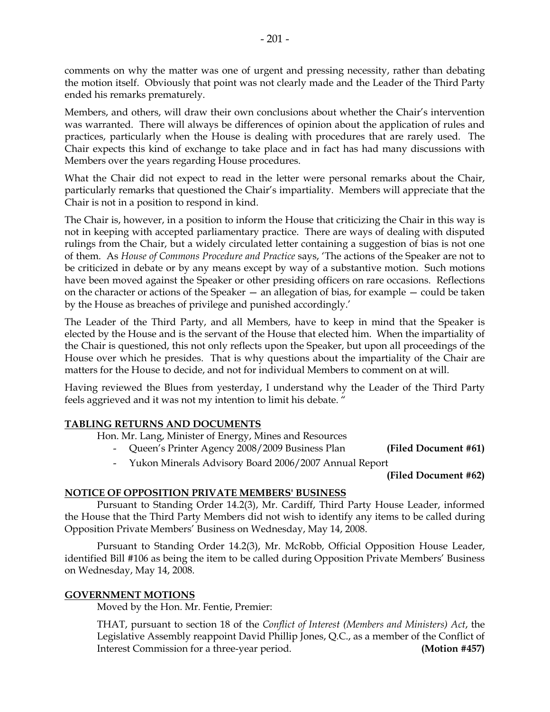comments on why the matter was one of urgent and pressing necessity, rather than debating the motion itself. Obviously that point was not clearly made and the Leader of the Third Party ended his remarks prematurely.

Members, and others, will draw their own conclusions about whether the Chair's intervention was warranted. There will always be differences of opinion about the application of rules and practices, particularly when the House is dealing with procedures that are rarely used. The Chair expects this kind of exchange to take place and in fact has had many discussions with Members over the years regarding House procedures.

What the Chair did not expect to read in the letter were personal remarks about the Chair, particularly remarks that questioned the Chair's impartiality. Members will appreciate that the Chair is not in a position to respond in kind.

The Chair is, however, in a position to inform the House that criticizing the Chair in this way is not in keeping with accepted parliamentary practice. There are ways of dealing with disputed rulings from the Chair, but a widely circulated letter containing a suggestion of bias is not one of them. As *House of Commons Procedure and Practice* says, 'The actions of the Speaker are not to be criticized in debate or by any means except by way of a substantive motion. Such motions have been moved against the Speaker or other presiding officers on rare occasions. Reflections on the character or actions of the Speaker — an allegation of bias, for example — could be taken by the House as breaches of privilege and punished accordingly.'

The Leader of the Third Party, and all Members, have to keep in mind that the Speaker is elected by the House and is the servant of the House that elected him. When the impartiality of the Chair is questioned, this not only reflects upon the Speaker, but upon all proceedings of the House over which he presides. That is why questions about the impartiality of the Chair are matters for the House to decide, and not for individual Members to comment on at will.

Having reviewed the Blues from yesterday, I understand why the Leader of the Third Party feels aggrieved and it was not my intention to limit his debate. "

#### **TABLING RETURNS AND DOCUMENTS**

Hon. Mr. Lang, Minister of Energy, Mines and Resources

- Queen's Printer Agency 2008/2009 Business Plan **(Filed Document #61)**
- Yukon Minerals Advisory Board 2006/2007 Annual Report

**(Filed Document #62)**

#### **NOTICE OF OPPOSITION PRIVATE MEMBERS' BUSINESS**

Pursuant to Standing Order 14.2(3), Mr. Cardiff, Third Party House Leader, informed the House that the Third Party Members did not wish to identify any items to be called during Opposition Private Members' Business on Wednesday, May 14, 2008.

Pursuant to Standing Order 14.2(3), Mr. McRobb, Official Opposition House Leader, identified Bill #106 as being the item to be called during Opposition Private Members' Business on Wednesday, May 14, 2008.

#### **GOVERNMENT MOTIONS**

Moved by the Hon. Mr. Fentie, Premier:

THAT, pursuant to section 18 of the *Conflict of Interest (Members and Ministers) Act*, the Legislative Assembly reappoint David Phillip Jones, Q.C., as a member of the Conflict of Interest Commission for a three-year period. **(Motion #457)**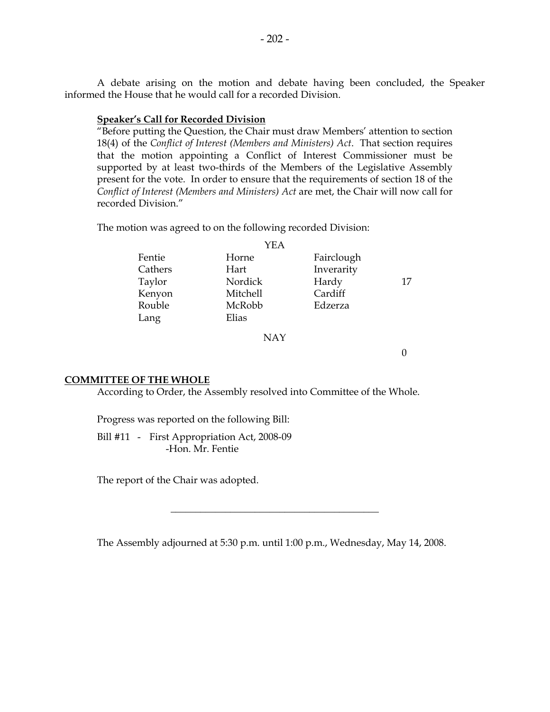A debate arising on the motion and debate having been concluded, the Speaker informed the House that he would call for a recorded Division.

#### **Speaker's Call for Recorded Division**

"Before putting the Question, the Chair must draw Members' attention to section 18(4) of the *Conflict of Interest (Members and Ministers) Act*. That section requires that the motion appointing a Conflict of Interest Commissioner must be supported by at least two-thirds of the Members of the Legislative Assembly present for the vote. In order to ensure that the requirements of section 18 of the *Conflict of Interest (Members and Ministers) Act* are met, the Chair will now call for recorded Division."

The motion was agreed to on the following recorded Division:

|         | YEA      |            |    |
|---------|----------|------------|----|
| Fentie  | Horne    | Fairclough |    |
| Cathers | Hart     | Inverarity |    |
| Taylor  | Nordick  | Hardy      | 17 |
| Kenyon  | Mitchell | Cardiff    |    |
| Rouble  | McRobb   | Edzerza    |    |
| Lang    | Elias    |            |    |
|         |          |            |    |

NAY

0

#### **COMMITTEE OF THE WHOLE**

According to Order, the Assembly resolved into Committee of the Whole.

Progress was reported on the following Bill:

Bill #11 - First Appropriation Act, 2008-09 -Hon. Mr. Fentie

The report of the Chair was adopted.

The Assembly adjourned at 5:30 p.m. until 1:00 p.m., Wednesday, May 14, 2008.

 $\overline{\phantom{a}}$  , where  $\overline{\phantom{a}}$  , where  $\overline{\phantom{a}}$  , where  $\overline{\phantom{a}}$  , where  $\overline{\phantom{a}}$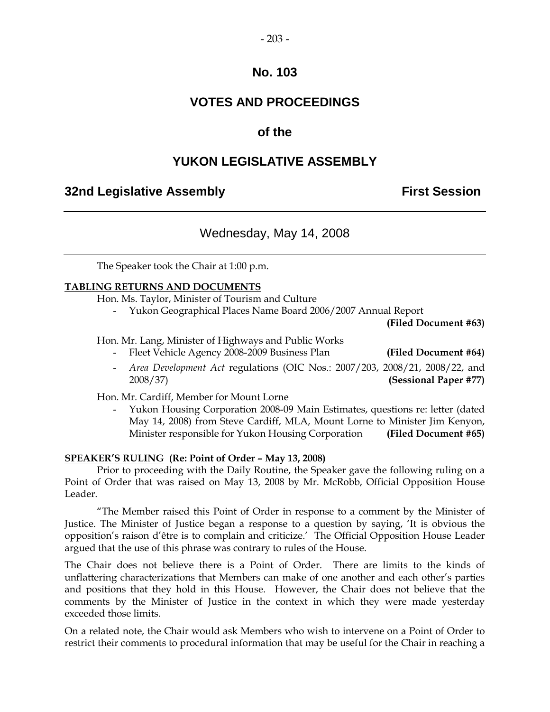#### - 203 -

## **No. 103**

## **VOTES AND PROCEEDINGS**

## **of the**

## **YUKON LEGISLATIVE ASSEMBLY**

## **32nd Legislative Assembly First Session**

## Wednesday, May 14, 2008

The Speaker took the Chair at 1:00 p.m.

#### **TABLING RETURNS AND DOCUMENTS**

Hon. Ms. Taylor, Minister of Tourism and Culture

- Yukon Geographical Places Name Board 2006/2007 Annual Report

**(Filed Document #63)**

Hon. Mr. Lang, Minister of Highways and Public Works

- Fleet Vehicle Agency 2008-2009 Business Plan **(Filed Document #64)**
- *Area Development Act* regulations (OIC Nos.: 2007/203, 2008/21, 2008/22, and 2008/37) **(Sessional Paper #77)**

Hon. Mr. Cardiff, Member for Mount Lorne

- Yukon Housing Corporation 2008-09 Main Estimates, questions re: letter (dated May 14, 2008) from Steve Cardiff, MLA, Mount Lorne to Minister Jim Kenyon, Minister responsible for Yukon Housing Corporation **(Filed Document #65)**

#### **SPEAKER'S RULING (Re: Point of Order – May 13, 2008)**

Prior to proceeding with the Daily Routine, the Speaker gave the following ruling on a Point of Order that was raised on May 13, 2008 by Mr. McRobb, Official Opposition House Leader.

"The Member raised this Point of Order in response to a comment by the Minister of Justice. The Minister of Justice began a response to a question by saying, 'It is obvious the opposition's raison d'être is to complain and criticize.' The Official Opposition House Leader argued that the use of this phrase was contrary to rules of the House.

The Chair does not believe there is a Point of Order. There are limits to the kinds of unflattering characterizations that Members can make of one another and each other's parties and positions that they hold in this House. However, the Chair does not believe that the comments by the Minister of Justice in the context in which they were made yesterday exceeded those limits.

On a related note, the Chair would ask Members who wish to intervene on a Point of Order to restrict their comments to procedural information that may be useful for the Chair in reaching a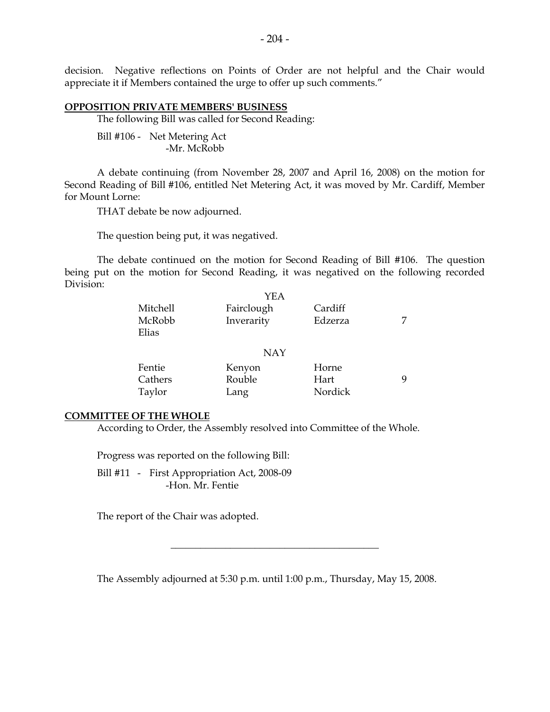decision. Negative reflections on Points of Order are not helpful and the Chair would appreciate it if Members contained the urge to offer up such comments."

#### **OPPOSITION PRIVATE MEMBERS' BUSINESS**

The following Bill was called for Second Reading:

Bill #106 - Net Metering Act -Mr. McRobb

A debate continuing (from November 28, 2007 and April 16, 2008) on the motion for Second Reading of Bill #106, entitled Net Metering Act, it was moved by Mr. Cardiff, Member for Mount Lorne:

THAT debate be now adjourned.

The question being put, it was negatived.

The debate continued on the motion for Second Reading of Bill #106. The question being put on the motion for Second Reading, it was negatived on the following recorded Division:

|          | YEA        |         |   |
|----------|------------|---------|---|
| Mitchell | Fairclough | Cardiff |   |
| McRobb   | Inverarity | Edzerza |   |
| Elias    |            |         |   |
|          |            |         |   |
|          | <b>NAY</b> |         |   |
| Fentie   | Kenyon     | Horne   |   |
| Cathers  | Rouble     | Hart    | Q |
| Taylor   | Lang       | Nordick |   |

#### **COMMITTEE OF THE WHOLE**

According to Order, the Assembly resolved into Committee of the Whole.

Progress was reported on the following Bill:

Bill #11 - First Appropriation Act, 2008-09 -Hon. Mr. Fentie

The report of the Chair was adopted.

The Assembly adjourned at 5:30 p.m. until 1:00 p.m., Thursday, May 15, 2008.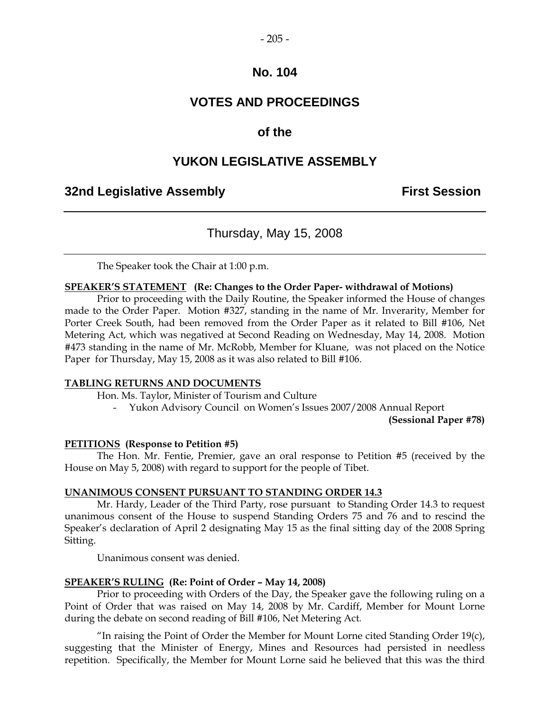## **No. 104**

## **VOTES AND PROCEEDINGS**

## **of the**

## **YUKON LEGISLATIVE ASSEMBLY**

## **32nd Legislative Assembly First Session**

## Thursday, May 15, 2008

The Speaker took the Chair at 1:00 p.m.

#### **SPEAKER'S STATEMENT (Re: Changes to the Order Paper- withdrawal of Motions)**

Prior to proceeding with the Daily Routine, the Speaker informed the House of changes made to the Order Paper. Motion #327, standing in the name of Mr. Inverarity, Member for Porter Creek South, had been removed from the Order Paper as it related to Bill #106, Net Metering Act, which was negatived at Second Reading on Wednesday, May 14, 2008. Motion #473 standing in the name of Mr. McRobb, Member for Kluane, was not placed on the Notice Paper for Thursday, May 15, 2008 as it was also related to Bill #106.

#### **TABLING RETURNS AND DOCUMENTS**

Hon. Ms. Taylor, Minister of Tourism and Culture

- Yukon Advisory Council on Women's Issues 2007/2008 Annual Report

**(Sessional Paper #78)**

#### **PETITIONS (Response to Petition #5)**

The Hon. Mr. Fentie, Premier, gave an oral response to Petition #5 (received by the House on May 5, 2008) with regard to support for the people of Tibet.

#### **UNANIMOUS CONSENT PURSUANT TO STANDING ORDER 14.3**

Mr. Hardy, Leader of the Third Party, rose pursuant to Standing Order 14.3 to request unanimous consent of the House to suspend Standing Orders 75 and 76 and to rescind the Speaker's declaration of April 2 designating May 15 as the final sitting day of the 2008 Spring Sitting.

Unanimous consent was denied.

#### **SPEAKER'S RULING (Re: Point of Order – May 14, 2008)**

Prior to proceeding with Orders of the Day, the Speaker gave the following ruling on a Point of Order that was raised on May 14, 2008 by Mr. Cardiff, Member for Mount Lorne during the debate on second reading of Bill #106, Net Metering Act*.*

"In raising the Point of Order the Member for Mount Lorne cited Standing Order  $19(c)$ , suggesting that the Minister of Energy, Mines and Resources had persisted in needless repetition. Specifically, the Member for Mount Lorne said he believed that this was the third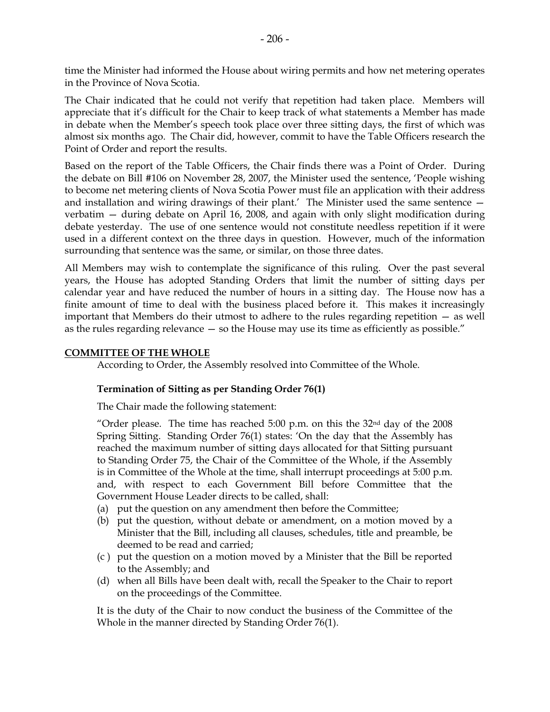time the Minister had informed the House about wiring permits and how net metering operates in the Province of Nova Scotia.

The Chair indicated that he could not verify that repetition had taken place. Members will appreciate that it's difficult for the Chair to keep track of what statements a Member has made in debate when the Member's speech took place over three sitting days, the first of which was almost six months ago. The Chair did, however, commit to have the Table Officers research the Point of Order and report the results.

Based on the report of the Table Officers, the Chair finds there was a Point of Order. During the debate on Bill #106 on November 28, 2007, the Minister used the sentence, 'People wishing to become net metering clients of Nova Scotia Power must file an application with their address and installation and wiring drawings of their plant.' The Minister used the same sentence verbatim — during debate on April 16, 2008, and again with only slight modification during debate yesterday. The use of one sentence would not constitute needless repetition if it were used in a different context on the three days in question. However, much of the information surrounding that sentence was the same, or similar, on those three dates.

All Members may wish to contemplate the significance of this ruling. Over the past several years, the House has adopted Standing Orders that limit the number of sitting days per calendar year and have reduced the number of hours in a sitting day. The House now has a finite amount of time to deal with the business placed before it. This makes it increasingly important that Members do their utmost to adhere to the rules regarding repetition — as well as the rules regarding relevance — so the House may use its time as efficiently as possible."

#### **COMMITTEE OF THE WHOLE**

According to Order, the Assembly resolved into Committee of the Whole.

#### **Termination of Sitting as per Standing Order 76(1)**

The Chair made the following statement:

"Order please. The time has reached  $5:00$  p.m. on this the  $32<sup>nd</sup>$  day of the  $2008$ Spring Sitting. Standing Order 76(1) states: 'On the day that the Assembly has reached the maximum number of sitting days allocated for that Sitting pursuant to Standing Order 75, the Chair of the Committee of the Whole, if the Assembly is in Committee of the Whole at the time, shall interrupt proceedings at 5:00 p.m. and, with respect to each Government Bill before Committee that the Government House Leader directs to be called, shall:

- (a) put the question on any amendment then before the Committee;
- (b) put the question, without debate or amendment, on a motion moved by a Minister that the Bill, including all clauses, schedules, title and preamble, be deemed to be read and carried;
- (c ) put the question on a motion moved by a Minister that the Bill be reported to the Assembly; and
- (d) when all Bills have been dealt with, recall the Speaker to the Chair to report on the proceedings of the Committee.

It is the duty of the Chair to now conduct the business of the Committee of the Whole in the manner directed by Standing Order 76(1).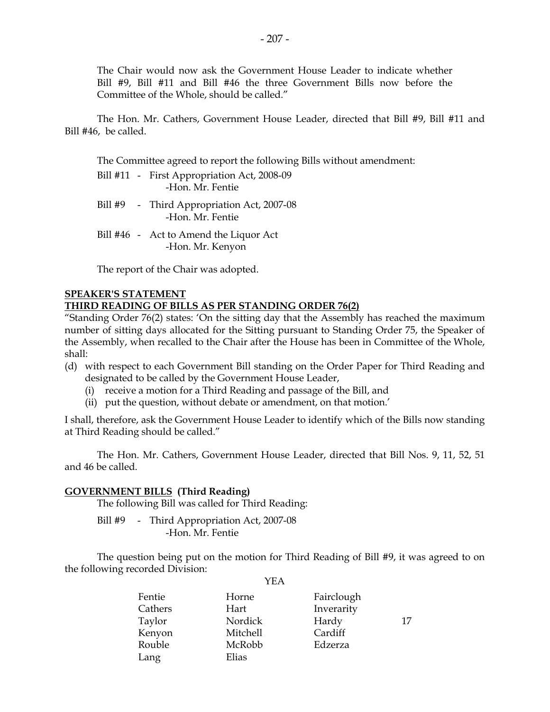The Chair would now ask the Government House Leader to indicate whether Bill #9, Bill #11 and Bill #46 the three Government Bills now before the Committee of the Whole, should be called."

The Hon. Mr. Cathers, Government House Leader, directed that Bill #9, Bill #11 and Bill #46, be called.

The Committee agreed to report the following Bills without amendment:

- Bill #11 First Appropriation Act, 2008-09 -Hon. Mr. Fentie
- Bill #9 Third Appropriation Act, 2007-08 -Hon. Mr. Fentie
- Bill #46 Act to Amend the Liquor Act -Hon. Mr. Kenyon

The report of the Chair was adopted.

## **SPEAKER'S STATEMENT**

#### **THIRD READING OF BILLS AS PER STANDING ORDER 76(2)**

"Standing Order 76(2) states: 'On the sitting day that the Assembly has reached the maximum number of sitting days allocated for the Sitting pursuant to Standing Order 75, the Speaker of the Assembly, when recalled to the Chair after the House has been in Committee of the Whole, shall:

- (d) with respect to each Government Bill standing on the Order Paper for Third Reading and designated to be called by the Government House Leader,
	- (i) receive a motion for a Third Reading and passage of the Bill, and
	- (ii) put the question, without debate or amendment, on that motion.'

I shall, therefore, ask the Government House Leader to identify which of the Bills now standing at Third Reading should be called."

The Hon. Mr. Cathers, Government House Leader, directed that Bill Nos. 9, 11, 52, 51 and 46 be called.

#### **GOVERNMENT BILLS (Third Reading)**

The following Bill was called for Third Reading:

Bill #9 - Third Appropriation Act, 2007-08 -Hon. Mr. Fentie

The question being put on the motion for Third Reading of Bill #9, it was agreed to on the following recorded Division:

| Fentie  | Horne    | Fairclough |    |
|---------|----------|------------|----|
| Cathers | Hart     | Inverarity |    |
| Taylor  | Nordick  | Hardy      | 17 |
| Kenyon  | Mitchell | Cardiff    |    |
| Rouble  | McRobb   | Edzerza    |    |
| Lang    | Elias    |            |    |
|         |          |            |    |

YEA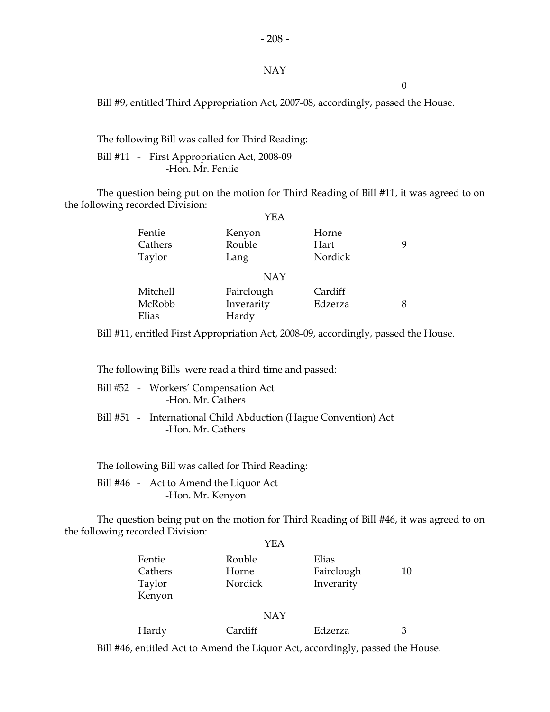#### - 208 -

#### NAY

0

Bill #9, entitled Third Appropriation Act, 2007-08, accordingly, passed the House.

The following Bill was called for Third Reading:

Bill #11 - First Appropriation Act, 2008-09 -Hon. Mr. Fentie

The question being put on the motion for Third Reading of Bill #11, it was agreed to on the following recorded Division:  $V<sub>E</sub>$ 

|          | YEA        |         |   |
|----------|------------|---------|---|
| Fentie   | Kenyon     | Horne   |   |
| Cathers  | Rouble     | Hart    | 9 |
| Taylor   | Lang       | Nordick |   |
|          | <b>NAY</b> |         |   |
| Mitchell | Fairclough | Cardiff |   |
| McRobb   | Inverarity | Edzerza | 8 |
| Elias    | Hardy      |         |   |

Bill #11, entitled First Appropriation Act, 2008-09, accordingly, passed the House.

The following Bills were read a third time and passed:

|  | Bill #52 - Workers' Compensation Act<br>-Hon. Mr. Cathers                            |
|--|--------------------------------------------------------------------------------------|
|  | Bill #51 - International Child Abduction (Hague Convention) Act<br>-Hon. Mr. Cathers |

The following Bill was called for Third Reading:

Bill #46 - Act to Amend the Liquor Act -Hon. Mr. Kenyon

The question being put on the motion for Third Reading of Bill #46, it was agreed to on the following recorded Division:

|                                       | YEA                        |                                   |    |
|---------------------------------------|----------------------------|-----------------------------------|----|
| Fentie<br>Cathers<br>Taylor<br>Kenyon | Rouble<br>Horne<br>Nordick | Elias<br>Fairclough<br>Inverarity | 10 |
|                                       | <b>NAY</b>                 |                                   |    |
| Hardy                                 | Cardiff                    | Edzerza                           | 3  |

Bill #46, entitled Act to Amend the Liquor Act, accordingly, passed the House.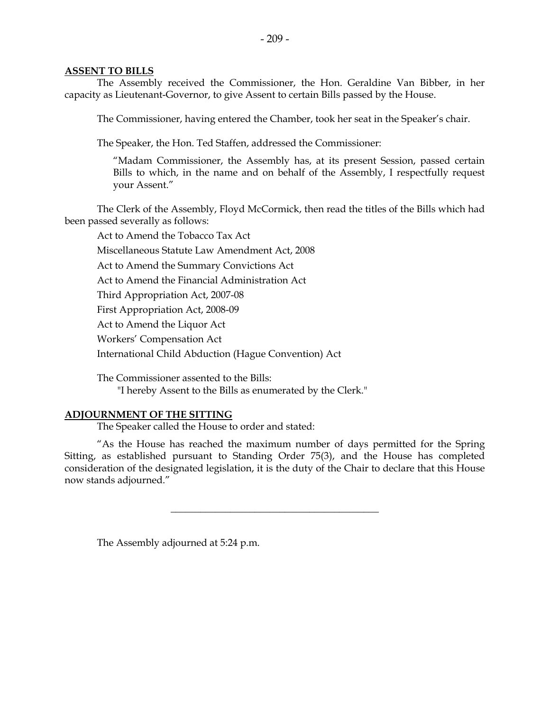#### **ASSENT TO BILLS**

The Assembly received the Commissioner, the Hon. Geraldine Van Bibber, in her capacity as Lieutenant-Governor, to give Assent to certain Bills passed by the House.

The Commissioner, having entered the Chamber, took her seat in the Speaker's chair.

The Speaker, the Hon. Ted Staffen, addressed the Commissioner:

"Madam Commissioner, the Assembly has, at its present Session, passed certain Bills to which, in the name and on behalf of the Assembly, I respectfully request your Assent."

The Clerk of the Assembly, Floyd McCormick, then read the titles of the Bills which had been passed severally as follows:

Act to Amend the Tobacco Tax Act Miscellaneous Statute Law Amendment Act, 2008 Act to Amend the Summary Convictions Act Act to Amend the Financial Administration Act Third Appropriation Act, 2007-08 First Appropriation Act, 2008-09 Act to Amend the Liquor Act Workers' Compensation Act International Child Abduction (Hague Convention) Act

The Commissioner assented to the Bills: "I hereby Assent to the Bills as enumerated by the Clerk."

#### **ADJOURNMENT OF THE SITTING**

The Speaker called the House to order and stated:

"As the House has reached the maximum number of days permitted for the Spring Sitting, as established pursuant to Standing Order 75(3), and the House has completed consideration of the designated legislation, it is the duty of the Chair to declare that this House now stands adjourned."

\_\_\_\_\_\_\_\_\_\_\_\_\_\_\_\_\_\_\_\_\_\_\_\_\_\_\_\_\_\_\_\_\_\_\_\_\_\_\_\_\_\_

The Assembly adjourned at 5:24 p.m.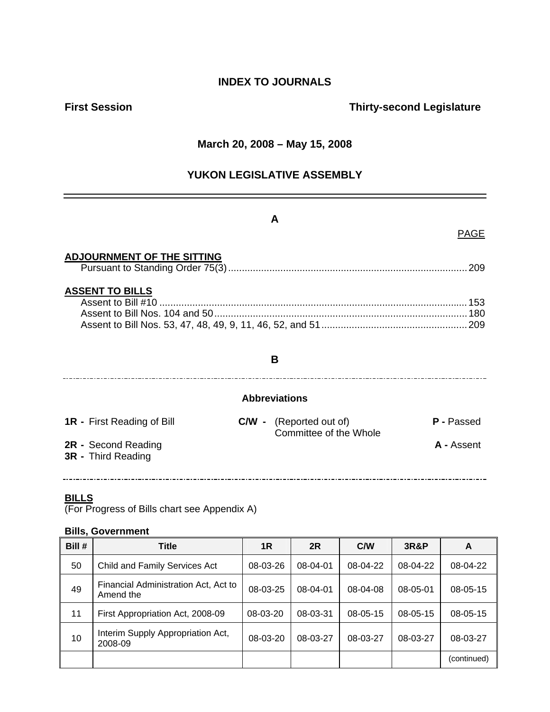## **INDEX TO JOURNALS**

## **First Session Contract Contract Contract Contract Contract Contract Contract Contract Contract Contract Contract Contract Contract Contract Contract Contract Contract Contract Contract Contract Contract Contract Contract**

#### **March 20, 2008 – May 15, 2008**

## **YUKON LEGISLATIVE ASSEMBLY**

### **A**

#### PAGE

#### **ADJOURNMENT OF THE SITTING**

|--|--|

#### **ASSENT TO BILLS**

#### **B**

#### **Abbreviations**

| <b>1R</b> - First Reading of Bill                | <b>C/W</b> - (Reported out of)<br>Committee of the Whole | <b>P</b> - Passed |
|--------------------------------------------------|----------------------------------------------------------|-------------------|
| 2R - Second Reading<br><b>3R</b> - Third Reading |                                                          | <b>A</b> - Assent |

#### **BILLS**

(For Progress of Bills chart see Appendix A)

#### **Bills, Government**

| Bill # | Title                                             | 1R       | 2R       | C/W      | <b>3R&amp;P</b> | A           |
|--------|---------------------------------------------------|----------|----------|----------|-----------------|-------------|
| 50     | Child and Family Services Act                     | 08-03-26 | 08-04-01 | 08-04-22 | 08-04-22        | 08-04-22    |
| 49     | Financial Administration Act, Act to<br>Amend the | 08-03-25 | 08-04-01 | 08-04-08 | 08-05-01        | 08-05-15    |
| 11     | First Appropriation Act, 2008-09                  | 08-03-20 | 08-03-31 | 08-05-15 | $08 - 05 - 15$  | 08-05-15    |
| 10     | Interim Supply Appropriation Act,<br>2008-09      | 08-03-20 | 08-03-27 | 08-03-27 | 08-03-27        | 08-03-27    |
|        |                                                   |          |          |          |                 | (continued) |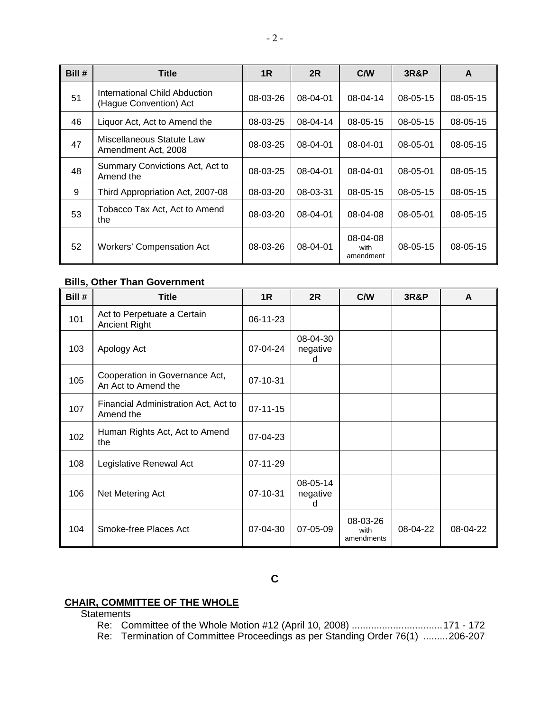| Bill # | <b>Title</b>                                            | 1 <sub>R</sub> | 2R       | C/W                           | <b>3R&amp;P</b> | A              |
|--------|---------------------------------------------------------|----------------|----------|-------------------------------|-----------------|----------------|
| 51     | International Child Abduction<br>(Hague Convention) Act | 08-03-26       | 08-04-01 | 08-04-14                      | $08 - 05 - 15$  | $08 - 05 - 15$ |
| 46     | Liquor Act, Act to Amend the                            | 08-03-25       | 08-04-14 | $08 - 05 - 15$                | $08 - 05 - 15$  | $08 - 05 - 15$ |
| 47     | Miscellaneous Statute Law<br>Amendment Act, 2008        | 08-03-25       | 08-04-01 | 08-04-01                      | 08-05-01        | $08 - 05 - 15$ |
| 48     | Summary Convictions Act, Act to<br>Amend the            | 08-03-25       | 08-04-01 | 08-04-01                      | 08-05-01        | $08 - 05 - 15$ |
| 9      | Third Appropriation Act, 2007-08                        | 08-03-20       | 08-03-31 | $08 - 05 - 15$                | $08 - 05 - 15$  | $08 - 05 - 15$ |
| 53     | Tobacco Tax Act, Act to Amend<br>the                    | 08-03-20       | 08-04-01 | 08-04-08                      | 08-05-01        | 08-05-15       |
| 52     | Workers' Compensation Act                               | 08-03-26       | 08-04-01 | 08-04-08<br>with<br>amendment | $08 - 05 - 15$  | $08 - 05 - 15$ |

#### **Bills, Other Than Government**

| Bill # | <b>Title</b>                                          | 1R             | 2R                        | C/W                            | <b>3R&amp;P</b> | A        |
|--------|-------------------------------------------------------|----------------|---------------------------|--------------------------------|-----------------|----------|
| 101    | Act to Perpetuate a Certain<br><b>Ancient Right</b>   | 06-11-23       |                           |                                |                 |          |
| 103    | Apology Act                                           | 07-04-24       | 08-04-30<br>negative<br>d |                                |                 |          |
| 105    | Cooperation in Governance Act,<br>An Act to Amend the | 07-10-31       |                           |                                |                 |          |
| 107    | Financial Administration Act, Act to<br>Amend the     | $07 - 11 - 15$ |                           |                                |                 |          |
| 102    | Human Rights Act, Act to Amend<br>the                 | 07-04-23       |                           |                                |                 |          |
| 108    | Legislative Renewal Act                               | 07-11-29       |                           |                                |                 |          |
| 106    | Net Metering Act                                      | 07-10-31       | 08-05-14<br>negative<br>d |                                |                 |          |
| 104    | Smoke-free Places Act                                 | 07-04-30       | 07-05-09                  | 08-03-26<br>with<br>amendments | 08-04-22        | 08-04-22 |

**C** 

#### **CHAIR, COMMITTEE OF THE WHOLE**

**Statements** 

 Re: Committee of the Whole Motion #12 (April 10, 2008) .................................171 - 172 Re: Termination of Committee Proceedings as per Standing Order 76(1) .........206-207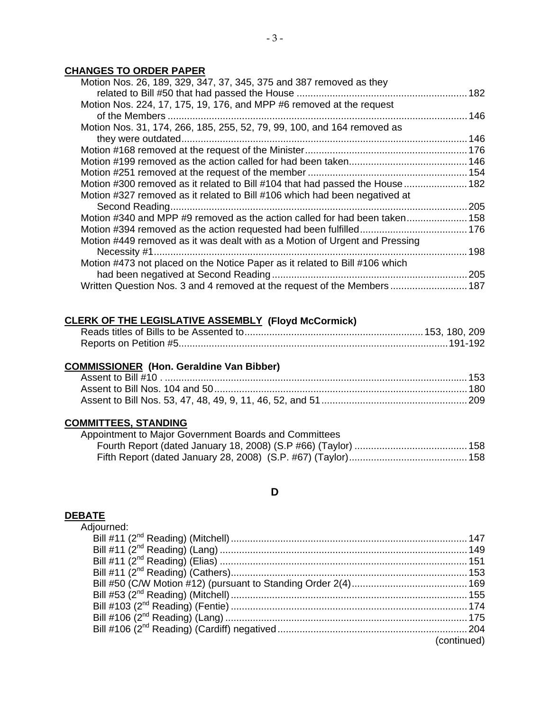## **CHANGES TO ORDER PAPER**

| Motion Nos. 26, 189, 329, 347, 37, 345, 375 and 387 removed as they          |  |
|------------------------------------------------------------------------------|--|
|                                                                              |  |
| Motion Nos. 224, 17, 175, 19, 176, and MPP #6 removed at the request         |  |
| of the Members                                                               |  |
| Motion Nos. 31, 174, 266, 185, 255, 52, 79, 99, 100, and 164 removed as      |  |
| they were outdated                                                           |  |
|                                                                              |  |
|                                                                              |  |
|                                                                              |  |
| Motion #300 removed as it related to Bill #104 that had passed the House 182 |  |
| Motion #327 removed as it related to Bill #106 which had been negatived at   |  |
|                                                                              |  |
| Motion #340 and MPP #9 removed as the action called for had been taken 158   |  |
|                                                                              |  |
| Motion #449 removed as it was dealt with as a Motion of Urgent and Pressing  |  |
|                                                                              |  |
| Motion #473 not placed on the Notice Paper as it related to Bill #106 which  |  |
|                                                                              |  |
| Written Question Nos. 3 and 4 removed at the request of the Members 187      |  |
|                                                                              |  |

## **CLERK OF THE LEGISLATIVE ASSEMBLY (Floyd McCormick)**

#### **COMMISSIONER (Hon. Geraldine Van Bibber)**

#### **COMMITTEES, STANDING**

| Appointment to Major Government Boards and Committees |
|-------------------------------------------------------|
|                                                       |
|                                                       |

## **D**

#### **DEBATE**

Adiourned:

|  | (continued) |
|--|-------------|
|  |             |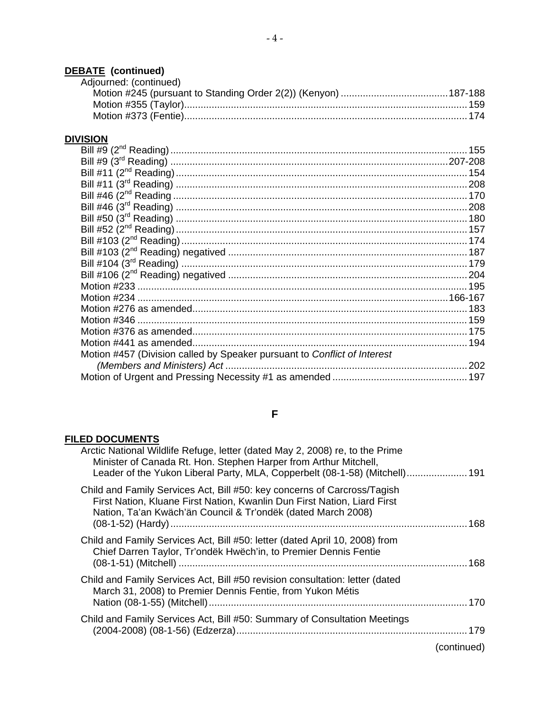## **DEBATE (continued)**

| Adjourned: (continued) |  |
|------------------------|--|
|                        |  |
|                        |  |
|                        |  |

## **DIVISION**

| Motion #457 (Division called by Speaker pursuant to Conflict of Interest |  |
|--------------------------------------------------------------------------|--|
|                                                                          |  |
|                                                                          |  |
|                                                                          |  |

## **F**

## **FILED DOCUMENTS**

|             | Arctic National Wildlife Refuge, letter (dated May 2, 2008) re, to the Prime<br>Minister of Canada Rt. Hon. Stephen Harper from Arthur Mitchell,<br>Leader of the Yukon Liberal Party, MLA, Copperbelt (08-1-58) (Mitchell) 191 |
|-------------|---------------------------------------------------------------------------------------------------------------------------------------------------------------------------------------------------------------------------------|
|             | Child and Family Services Act, Bill #50: key concerns of Carcross/Tagish<br>First Nation, Kluane First Nation, Kwanlin Dun First Nation, Liard First<br>Nation, Ta'an Kwäch'än Council & Tr'ondëk (dated March 2008)            |
|             | Child and Family Services Act, Bill #50: letter (dated April 10, 2008) from<br>Chief Darren Taylor, Tr'ondëk Hwëch'in, to Premier Dennis Fentie                                                                                 |
|             | Child and Family Services Act, Bill #50 revision consultation: letter (dated<br>March 31, 2008) to Premier Dennis Fentie, from Yukon Métis                                                                                      |
|             | Child and Family Services Act, Bill #50: Summary of Consultation Meetings                                                                                                                                                       |
| (continued) |                                                                                                                                                                                                                                 |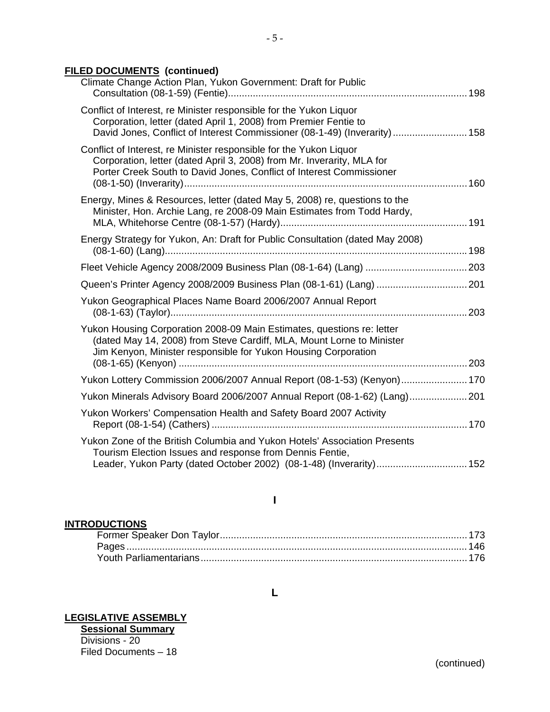## **FILED DOCUMENTS (continued)**

| Climate Change Action Plan, Yukon Government: Draft for Public                                                                                                                                                       |  |
|----------------------------------------------------------------------------------------------------------------------------------------------------------------------------------------------------------------------|--|
| Conflict of Interest, re Minister responsible for the Yukon Liquor<br>Corporation, letter (dated April 1, 2008) from Premier Fentie to<br>David Jones, Conflict of Interest Commissioner (08-1-49) (Inverarity)  158 |  |
| Conflict of Interest, re Minister responsible for the Yukon Liquor<br>Corporation, letter (dated April 3, 2008) from Mr. Inverarity, MLA for<br>Porter Creek South to David Jones, Conflict of Interest Commissioner |  |
| Energy, Mines & Resources, letter (dated May 5, 2008) re, questions to the<br>Minister, Hon. Archie Lang, re 2008-09 Main Estimates from Todd Hardy,                                                                 |  |
| Energy Strategy for Yukon, An: Draft for Public Consultation (dated May 2008)                                                                                                                                        |  |
|                                                                                                                                                                                                                      |  |
| Queen's Printer Agency 2008/2009 Business Plan (08-1-61) (Lang)  201                                                                                                                                                 |  |
| Yukon Geographical Places Name Board 2006/2007 Annual Report                                                                                                                                                         |  |
| Yukon Housing Corporation 2008-09 Main Estimates, questions re: letter<br>(dated May 14, 2008) from Steve Cardiff, MLA, Mount Lorne to Minister<br>Jim Kenyon, Minister responsible for Yukon Housing Corporation    |  |
|                                                                                                                                                                                                                      |  |
| Yukon Lottery Commission 2006/2007 Annual Report (08-1-53) (Kenyon) 170                                                                                                                                              |  |
| Yukon Minerals Advisory Board 2006/2007 Annual Report (08-1-62) (Lang) 201                                                                                                                                           |  |
| Yukon Workers' Compensation Health and Safety Board 2007 Activity                                                                                                                                                    |  |
| Yukon Zone of the British Columbia and Yukon Hotels' Association Presents<br>Tourism Election Issues and response from Dennis Fentie,<br>Leader, Yukon Party (dated October 2002) (08-1-48) (Inverarity) 152         |  |
|                                                                                                                                                                                                                      |  |

### **I**

#### **INTRODUCTIONS**

## **LEGISLATIVE ASSEMBLY**

**Sessional Summary** Divisions - 20 Filed Documents – 18

#### **L**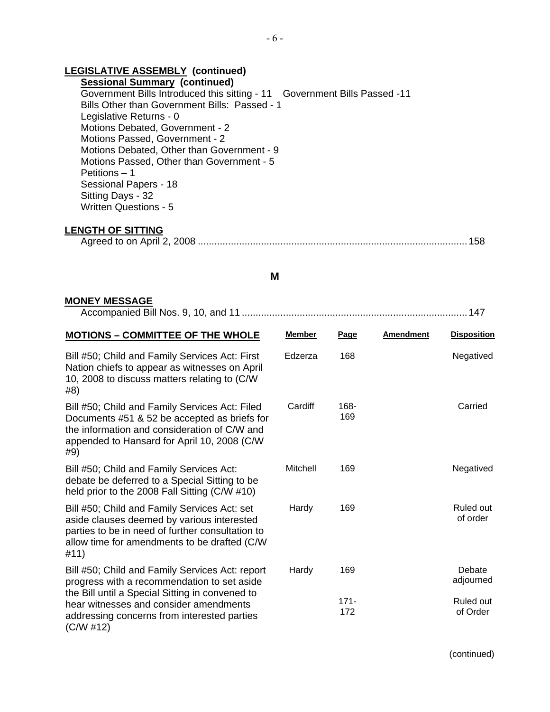## **LEGISLATIVE ASSEMBLY (continued)**

**Sessional Summary (continued)**  Government Bills Introduced this sitting - 11 Government Bills Passed -11 Bills Other than Government Bills: Passed - 1 Legislative Returns - 0 Motions Debated, Government - 2 Motions Passed, Government - 2 Motions Debated, Other than Government - 9 Motions Passed, Other than Government - 5 Petitions – 1 Sessional Papers - 18 Sitting Days - 32 Written Questions - 5

#### **LENGTH OF SITTING**

|--|--|

#### **M**

#### **MONEY MESSAGE**

|--|--|--|--|--|

| <b>MOTIONS - COMMITTEE OF THE WHOLE</b>                                                                                                                                                                 | <b>Member</b> | Page           | <b>Amendment</b> | <b>Disposition</b>    |
|---------------------------------------------------------------------------------------------------------------------------------------------------------------------------------------------------------|---------------|----------------|------------------|-----------------------|
| Bill #50; Child and Family Services Act: First<br>Nation chiefs to appear as witnesses on April<br>10, 2008 to discuss matters relating to (C/W)<br>#8)                                                 | Edzerza       | 168            |                  | Negatived             |
| Bill #50; Child and Family Services Act: Filed<br>Documents #51 & 52 be accepted as briefs for<br>the information and consideration of C/W and<br>appended to Hansard for April 10, 2008 (C/W)<br>#9)   | Cardiff       | 168-<br>169    |                  | Carried               |
| Bill #50; Child and Family Services Act:<br>debate be deferred to a Special Sitting to be<br>held prior to the 2008 Fall Sitting (C/W #10)                                                              | Mitchell      | 169            |                  | Negatived             |
| Bill #50; Child and Family Services Act: set<br>aside clauses deemed by various interested<br>parties to be in need of further consultation to<br>allow time for amendments to be drafted (C/W)<br>#11) | Hardy         | 169            |                  | Ruled out<br>of order |
| Bill #50; Child and Family Services Act: report<br>progress with a recommendation to set aside                                                                                                          | Hardy         | 169            |                  | Debate<br>adjourned   |
| the Bill until a Special Sitting in convened to<br>hear witnesses and consider amendments<br>addressing concerns from interested parties<br>(C/W #12)                                                   |               | $171 -$<br>172 |                  | Ruled out<br>of Order |

(continued)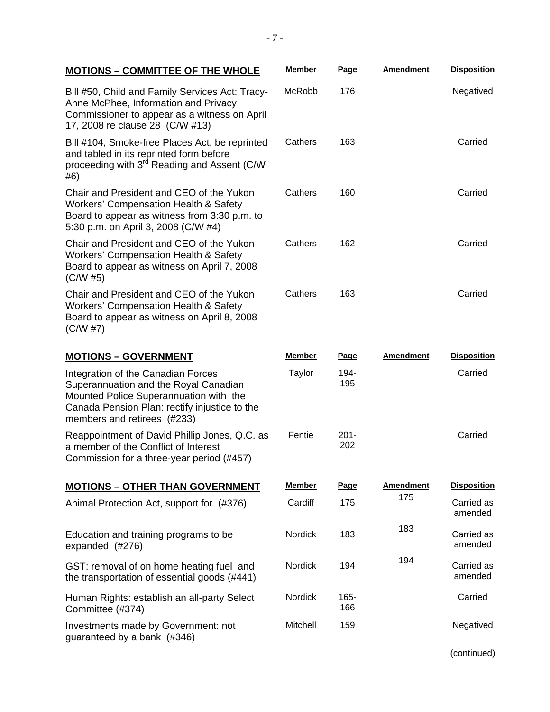| <b>MOTIONS - COMMITTEE OF THE WHOLE</b>                                                                                                                                                               | Member        | Page           | <b>Amendment</b> | <b>Disposition</b>    |
|-------------------------------------------------------------------------------------------------------------------------------------------------------------------------------------------------------|---------------|----------------|------------------|-----------------------|
| Bill #50, Child and Family Services Act: Tracy-<br>Anne McPhee, Information and Privacy<br>Commissioner to appear as a witness on April<br>17, 2008 re clause 28 (C/W #13)                            | McRobb        | 176            |                  | Negatived             |
| Bill #104, Smoke-free Places Act, be reprinted<br>and tabled in its reprinted form before<br>proceeding with 3 <sup>rd</sup> Reading and Assent (C/W<br>#6)                                           | Cathers       | 163            |                  | Carried               |
| Chair and President and CEO of the Yukon<br><b>Workers' Compensation Health &amp; Safety</b><br>Board to appear as witness from 3:30 p.m. to<br>5:30 p.m. on April 3, 2008 (C/W #4)                   | Cathers       | 160            |                  | Carried               |
| Chair and President and CEO of the Yukon<br><b>Workers' Compensation Health &amp; Safety</b><br>Board to appear as witness on April 7, 2008<br>(C/W#5)                                                | Cathers       | 162            |                  | Carried               |
| Chair and President and CEO of the Yukon<br><b>Workers' Compensation Health &amp; Safety</b><br>Board to appear as witness on April 8, 2008<br>(C/W #7)                                               | Cathers       | 163            |                  | Carried               |
| <b>MOTIONS - GOVERNMENT</b>                                                                                                                                                                           | <b>Member</b> | <u>Page</u>    | <b>Amendment</b> | <b>Disposition</b>    |
| Integration of the Canadian Forces<br>Superannuation and the Royal Canadian<br>Mounted Police Superannuation with the<br>Canada Pension Plan: rectify injustice to the<br>members and retirees (#233) | Taylor        | 194-<br>195    |                  | Carried               |
| Reappointment of David Phillip Jones, Q.C. as<br>a member of the Conflict of Interest<br>Commission for a three-year period (#457)                                                                    | Fentie        | $201 -$<br>202 |                  | Carried               |
| <b>MOTIONS - OTHER THAN GOVERNMENT</b>                                                                                                                                                                | <b>Member</b> | Page           | <b>Amendment</b> | <b>Disposition</b>    |
| Animal Protection Act, support for (#376)                                                                                                                                                             | Cardiff       | 175            | 175              | Carried as<br>amended |
| Education and training programs to be<br>expanded (#276)                                                                                                                                              | Nordick       | 183            | 183              | Carried as<br>amended |
| GST: removal of on home heating fuel and<br>the transportation of essential goods (#441)                                                                                                              | Nordick       | 194            | 194              | Carried as<br>amended |
| Human Rights: establish an all-party Select<br>Committee (#374)                                                                                                                                       | Nordick       | 165-<br>166    |                  | Carried               |
| Investments made by Government: not<br>guaranteed by a bank (#346)                                                                                                                                    | Mitchell      | 159            |                  | Negatived             |
|                                                                                                                                                                                                       |               |                |                  | (continued)           |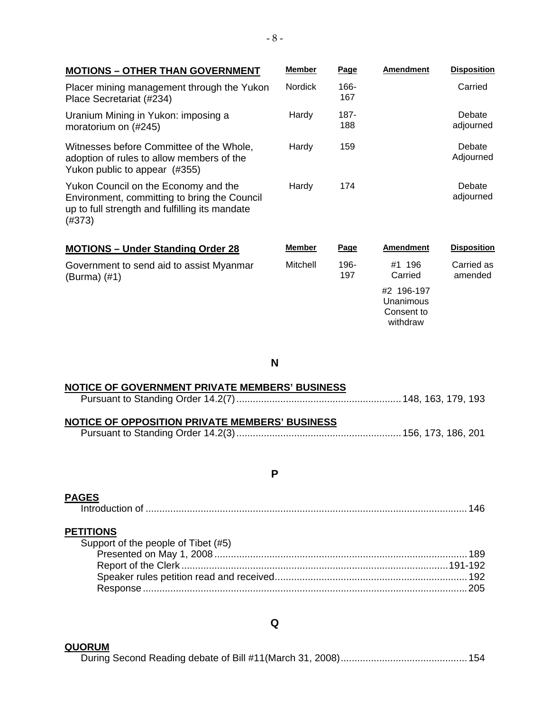| <b>MOTIONS - OTHER THAN GOVERNMENT</b>                                                                                                           | <b>Member</b>  | Page        | <b>Amendment</b>                                  | <b>Disposition</b>    |
|--------------------------------------------------------------------------------------------------------------------------------------------------|----------------|-------------|---------------------------------------------------|-----------------------|
| Placer mining management through the Yukon<br>Place Secretariat (#234)                                                                           | <b>Nordick</b> | 166-<br>167 |                                                   | Carried               |
| Uranium Mining in Yukon: imposing a<br>moratorium on (#245)                                                                                      | Hardy          | 187-<br>188 |                                                   | Debate<br>adjourned   |
| Witnesses before Committee of the Whole,<br>adoption of rules to allow members of the<br>Yukon public to appear (#355)                           | Hardy          | 159         |                                                   | Debate<br>Adjourned   |
| Yukon Council on the Economy and the<br>Environment, committing to bring the Council<br>up to full strength and fulfilling its mandate<br>(#373) | Hardy          | 174         |                                                   | Debate<br>adjourned   |
| <b>MOTIONS - Under Standing Order 28</b>                                                                                                         | <b>Member</b>  | Page        | <b>Amendment</b>                                  | <b>Disposition</b>    |
| Government to send aid to assist Myanmar<br>(Burma) (#1)                                                                                         | Mitchell       | 196-<br>197 | #1 196<br>Carried                                 | Carried as<br>amended |
|                                                                                                                                                  |                |             | #2 196-197<br>Unanimous<br>Consent to<br>withdraw |                       |

**N** 

| NOTICE OF GOVERNMENT PRIVATE MEMBERS' BUSINESS |  |
|------------------------------------------------|--|
|                                                |  |
|                                                |  |
| NOTICE OF OPPOSITION PRIVATE MEMBERS' BUSINESS |  |
|                                                |  |

### **P**

# **PAGES**

| <b>PETITIONS</b>                    |  |
|-------------------------------------|--|
| Support of the people of Tibet (#5) |  |
|                                     |  |
|                                     |  |
|                                     |  |
|                                     |  |

**Q** 

**QUORUM** During Second Reading debate of Bill #11(March 31, 2008)..............................................154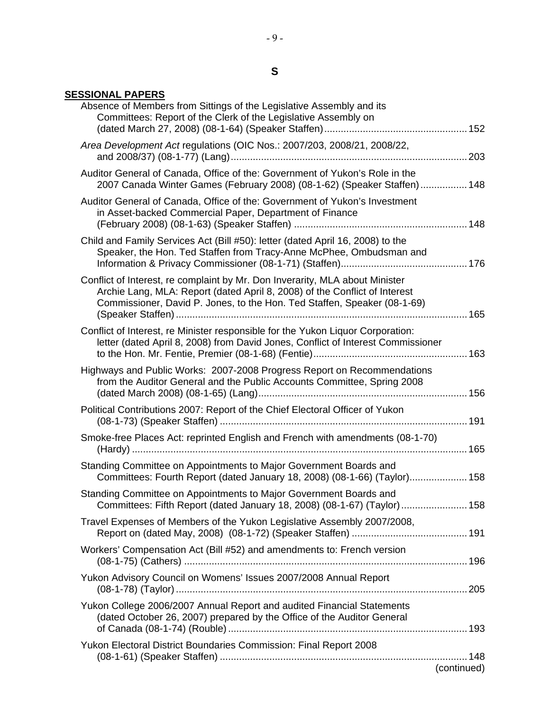# **S**

### **SESSIONAL PAPERS**

| Absence of Members from Sittings of the Legislative Assembly and its<br>Committees: Report of the Clerk of the Legislative Assembly on                                                                                                 |             |
|----------------------------------------------------------------------------------------------------------------------------------------------------------------------------------------------------------------------------------------|-------------|
| Area Development Act regulations (OIC Nos.: 2007/203, 2008/21, 2008/22,                                                                                                                                                                |             |
| Auditor General of Canada, Office of the: Government of Yukon's Role in the<br>2007 Canada Winter Games (February 2008) (08-1-62) (Speaker Staffen) 148                                                                                |             |
| Auditor General of Canada, Office of the: Government of Yukon's Investment<br>in Asset-backed Commercial Paper, Department of Finance                                                                                                  |             |
| Child and Family Services Act (Bill #50): letter (dated April 16, 2008) to the<br>Speaker, the Hon. Ted Staffen from Tracy-Anne McPhee, Ombudsman and                                                                                  |             |
| Conflict of Interest, re complaint by Mr. Don Inverarity, MLA about Minister<br>Archie Lang, MLA: Report (dated April 8, 2008) of the Conflict of Interest<br>Commissioner, David P. Jones, to the Hon. Ted Staffen, Speaker (08-1-69) |             |
| Conflict of Interest, re Minister responsible for the Yukon Liquor Corporation:<br>letter (dated April 8, 2008) from David Jones, Conflict of Interest Commissioner                                                                    |             |
| Highways and Public Works: 2007-2008 Progress Report on Recommendations<br>from the Auditor General and the Public Accounts Committee, Spring 2008                                                                                     |             |
| Political Contributions 2007: Report of the Chief Electoral Officer of Yukon                                                                                                                                                           |             |
| Smoke-free Places Act: reprinted English and French with amendments (08-1-70)                                                                                                                                                          |             |
| Standing Committee on Appointments to Major Government Boards and<br>Committees: Fourth Report (dated January 18, 2008) (08-1-66) (Taylor) 158                                                                                         |             |
| Standing Committee on Appointments to Major Government Boards and<br>Committees: Fifth Report (dated January 18, 2008) (08-1-67) (Taylor)  158                                                                                         |             |
| Travel Expenses of Members of the Yukon Legislative Assembly 2007/2008,                                                                                                                                                                |             |
| Workers' Compensation Act (Bill #52) and amendments to: French version                                                                                                                                                                 |             |
| Yukon Advisory Council on Womens' Issues 2007/2008 Annual Report                                                                                                                                                                       |             |
| Yukon College 2006/2007 Annual Report and audited Financial Statements<br>(dated October 26, 2007) prepared by the Office of the Auditor General                                                                                       |             |
| Yukon Electoral District Boundaries Commission: Final Report 2008                                                                                                                                                                      |             |
|                                                                                                                                                                                                                                        | (continued) |
|                                                                                                                                                                                                                                        |             |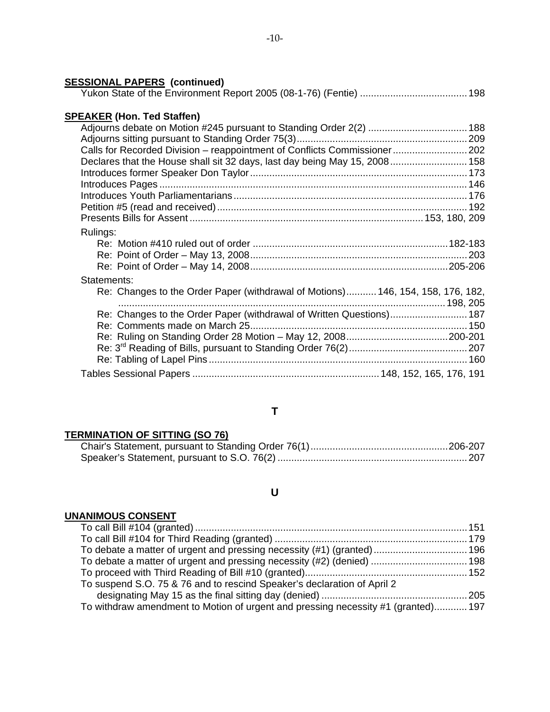| Calls for Recorded Division - reappointment of Conflicts Commissioner 202       |
|---------------------------------------------------------------------------------|
| Declares that the House shall sit 32 days, last day being May 15, 2008 158      |
|                                                                                 |
|                                                                                 |
|                                                                                 |
|                                                                                 |
|                                                                                 |
|                                                                                 |
|                                                                                 |
|                                                                                 |
|                                                                                 |
|                                                                                 |
| Re: Changes to the Order Paper (withdrawal of Motions) 146, 154, 158, 176, 182, |
|                                                                                 |
| Re: Changes to the Order Paper (withdrawal of Written Questions) 187            |
|                                                                                 |
|                                                                                 |
| $D_0: 2^{[0]}$ Deeding of Pille, pure up to Ctending Order $76(2)$              |
|                                                                                 |

### Re: 3rd Reading of Bills, pursuant to Standing Order 76(2)...........................................207 Re: Tabling of Lapel Pins ..............................................................................................160 Tables Sessional Papers ....................................................................148, 152, 165, 176, 191

#### **T**

#### **TERMINATION OF SITTING (SO 76)**

### **U**

#### **UNANIMOUS CONSENT**

| To debate a matter of urgent and pressing necessity (#1) (granted)  196           |  |
|-----------------------------------------------------------------------------------|--|
| To debate a matter of urgent and pressing necessity (#2) (denied)  198            |  |
|                                                                                   |  |
| To suspend S.O. 75 & 76 and to rescind Speaker's declaration of April 2           |  |
|                                                                                   |  |
| To withdraw amendment to Motion of urgent and pressing necessity #1 (granted) 197 |  |
|                                                                                   |  |

### **SESSIONAL PAPERS (continued)**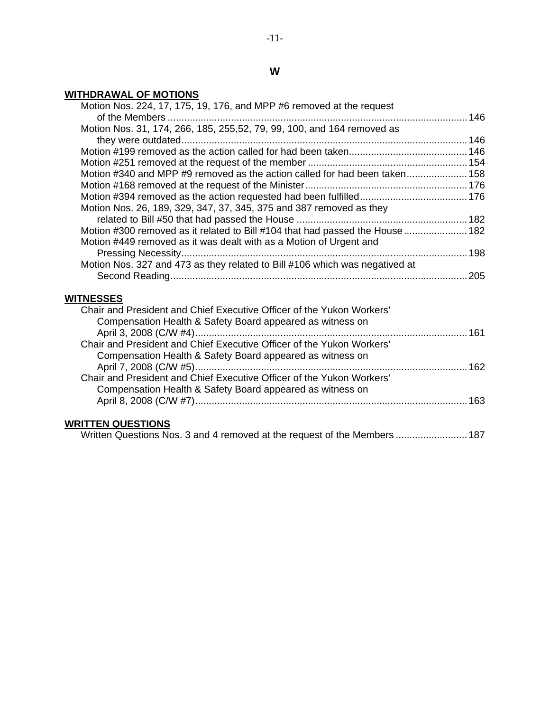# **W**

# **WITHDRAWAL OF MOTIONS**

| Motion Nos. 224, 17, 175, 19, 176, and MPP #6 removed at the request          |  |
|-------------------------------------------------------------------------------|--|
|                                                                               |  |
| Motion Nos. 31, 174, 266, 185, 255,52, 79, 99, 100, and 164 removed as        |  |
|                                                                               |  |
|                                                                               |  |
|                                                                               |  |
| Motion #340 and MPP #9 removed as the action called for had been taken 158    |  |
|                                                                               |  |
|                                                                               |  |
| Motion Nos. 26, 189, 329, 347, 37, 345, 375 and 387 removed as they           |  |
|                                                                               |  |
| Motion #300 removed as it related to Bill #104 that had passed the House  182 |  |
| Motion #449 removed as it was dealt with as a Motion of Urgent and            |  |
|                                                                               |  |
| Motion Nos. 327 and 473 as they related to Bill #106 which was negatived at   |  |
|                                                                               |  |
|                                                                               |  |
| <b>WITNESSES</b>                                                              |  |
| Chair and President and Chief Executive Officer of the Yukon Workers'         |  |
| Compensation Health & Safety Board appeared as witness on                     |  |
|                                                                               |  |
| Chair and President and Chief Executive Officer of the Yukon Workers'         |  |
| Compensation Health & Safety Board appeared as witness on                     |  |
| April 7, 2008 (C/W #5)                                                        |  |
| Chair and President and Chief Executive Officer of the Yukon Workers'         |  |
| Compensation Health & Safety Board appeared as witness on                     |  |
|                                                                               |  |
|                                                                               |  |
| <b>WRITTEN QUESTIONS</b>                                                      |  |

| Written Questions Nos. 3 and 4 removed at the request of the Members  187 |
|---------------------------------------------------------------------------|
|---------------------------------------------------------------------------|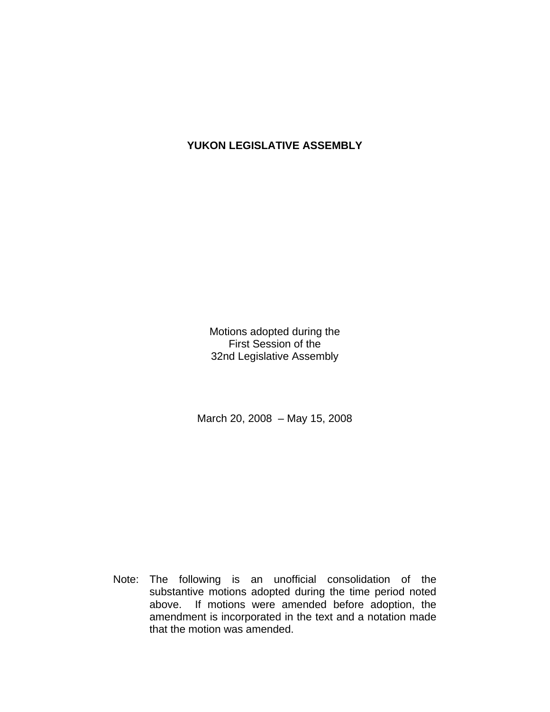# **YUKON LEGISLATIVE ASSEMBLY**

Motions adopted during the First Session of the 32nd Legislative Assembly

March 20, 2008 – May 15, 2008

 Note: The following is an unofficial consolidation of the substantive motions adopted during the time period noted above. If motions were amended before adoption, the amendment is incorporated in the text and a notation made that the motion was amended.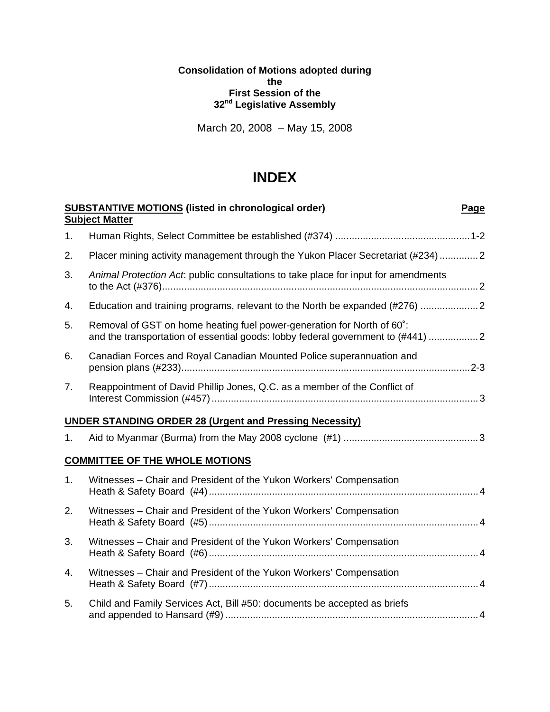### **Consolidation of Motions adopted during the First Session of the 32nd Legislative Assembly**

March 20, 2008 – May 15, 2008

# **INDEX**

|    | <b>SUBSTANTIVE MOTIONS (listed in chronological order)</b><br><b>Page</b><br><b>Subject Matter</b>                                                        |  |
|----|-----------------------------------------------------------------------------------------------------------------------------------------------------------|--|
| 1. |                                                                                                                                                           |  |
| 2. | Placer mining activity management through the Yukon Placer Secretariat (#234) 2                                                                           |  |
| 3. | Animal Protection Act: public consultations to take place for input for amendments                                                                        |  |
| 4. | Education and training programs, relevant to the North be expanded (#276)                                                                                 |  |
| 5. | Removal of GST on home heating fuel power-generation for North of 60°:<br>and the transportation of essential goods: lobby federal government to (#441) 2 |  |
| 6. | Canadian Forces and Royal Canadian Mounted Police superannuation and                                                                                      |  |
| 7. | Reappointment of David Phillip Jones, Q.C. as a member of the Conflict of                                                                                 |  |
|    | <b>UNDER STANDING ORDER 28 (Urgent and Pressing Necessity)</b>                                                                                            |  |
| 1. |                                                                                                                                                           |  |
|    | <b>COMMITTEE OF THE WHOLE MOTIONS</b>                                                                                                                     |  |
| 1. | Witnesses - Chair and President of the Yukon Workers' Compensation                                                                                        |  |
| 2. | Witnesses - Chair and President of the Yukon Workers' Compensation                                                                                        |  |
| 3. | Witnesses – Chair and President of the Yukon Workers' Compensation                                                                                        |  |
| 4. | Witnesses - Chair and President of the Yukon Workers' Compensation                                                                                        |  |
| 5. | Child and Family Services Act, Bill #50: documents be accepted as briefs                                                                                  |  |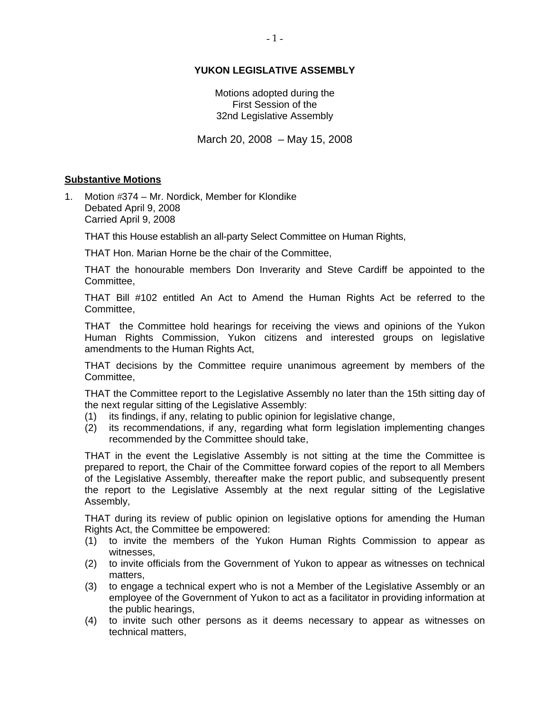### **YUKON LEGISLATIVE ASSEMBLY**

Motions adopted during the First Session of the 32nd Legislative Assembly

March 20, 2008 – May 15, 2008

#### **Substantive Motions**

1. Motion  $\#374 - Mr. Nordick, Member for Klondike$  Debated April 9, 2008 Carried April 9, 2008

THAT this House establish an all-party Select Committee on Human Rights,

THAT Hon. Marian Horne be the chair of the Committee,

 THAT the honourable members Don Inverarity and Steve Cardiff be appointed to the Committee,

 THAT Bill #102 entitled An Act to Amend the Human Rights Act be referred to the Committee,

 THAT the Committee hold hearings for receiving the views and opinions of the Yukon Human Rights Commission, Yukon citizens and interested groups on legislative amendments to the Human Rights Act,

 THAT decisions by the Committee require unanimous agreement by members of the Committee,

 THAT the Committee report to the Legislative Assembly no later than the 15th sitting day of the next regular sitting of the Legislative Assembly:

- (1) its findings, if any, relating to public opinion for legislative change,
- (2) its recommendations, if any, regarding what form legislation implementing changes recommended by the Committee should take,

 THAT in the event the Legislative Assembly is not sitting at the time the Committee is prepared to report, the Chair of the Committee forward copies of the report to all Members of the Legislative Assembly, thereafter make the report public, and subsequently present the report to the Legislative Assembly at the next regular sitting of the Legislative Assembly,

 THAT during its review of public opinion on legislative options for amending the Human Rights Act, the Committee be empowered:

- (1) to invite the members of the Yukon Human Rights Commission to appear as witnesses,
- (2) to invite officials from the Government of Yukon to appear as witnesses on technical matters,
- (3) to engage a technical expert who is not a Member of the Legislative Assembly or an employee of the Government of Yukon to act as a facilitator in providing information at the public hearings,
- (4) to invite such other persons as it deems necessary to appear as witnesses on technical matters,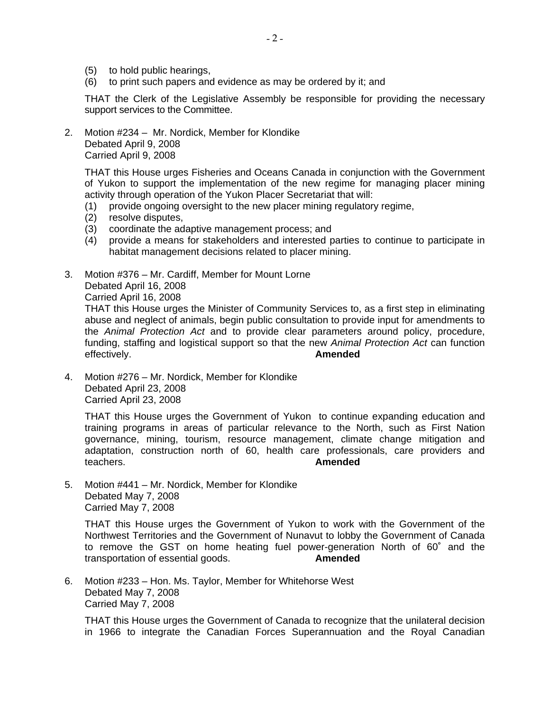- (5) to hold public hearings,
- (6) to print such papers and evidence as may be ordered by it; and

 THAT the Clerk of the Legislative Assembly be responsible for providing the necessary support services to the Committee.

2. Motion #234 – Mr. Nordick, Member for Klondike Debated April 9, 2008 Carried April 9, 2008

 THAT this House urges Fisheries and Oceans Canada in conjunction with the Government of Yukon to support the implementation of the new regime for managing placer mining activity through operation of the Yukon Placer Secretariat that will:

- (1) provide ongoing oversight to the new placer mining regulatory regime,
- (2) resolve disputes,
- (3) coordinate the adaptive management process; and
- (4) provide a means for stakeholders and interested parties to continue to participate in habitat management decisions related to placer mining.
- 3. Motion #376 Mr. Cardiff, Member for Mount Lorne Debated April 16, 2008 Carried April 16, 2008

 THAT this House urges the Minister of Community Services to, as a first step in eliminating abuse and neglect of animals, begin public consultation to provide input for amendments to the *Animal Protection Act* and to provide clear parameters around policy, procedure, funding, staffing and logistical support so that the new *Animal Protection Act* can function effectively. **Amended** 

4. Motion #276 – Mr. Nordick, Member for Klondike Debated April 23, 2008 Carried April 23, 2008

 THAT this House urges the Government of Yukon to continue expanding education and training programs in areas of particular relevance to the North, such as First Nation governance, mining, tourism, resource management, climate change mitigation and adaptation, construction north of 60, health care professionals, care providers and teachers. **Amended** 

5. Motion #441 – Mr. Nordick, Member for Klondike Debated May 7, 2008 Carried May 7, 2008

 THAT this House urges the Government of Yukon to work with the Government of the Northwest Territories and the Government of Nunavut to lobby the Government of Canada to remove the GST on home heating fuel power-generation North of 60˚ and the transportation of essential goods. **Amended** 

6. Motion #233 – Hon. Ms. Taylor, Member for Whitehorse West Debated May 7, 2008 Carried May 7, 2008

 THAT this House urges the Government of Canada to recognize that the unilateral decision in 1966 to integrate the Canadian Forces Superannuation and the Royal Canadian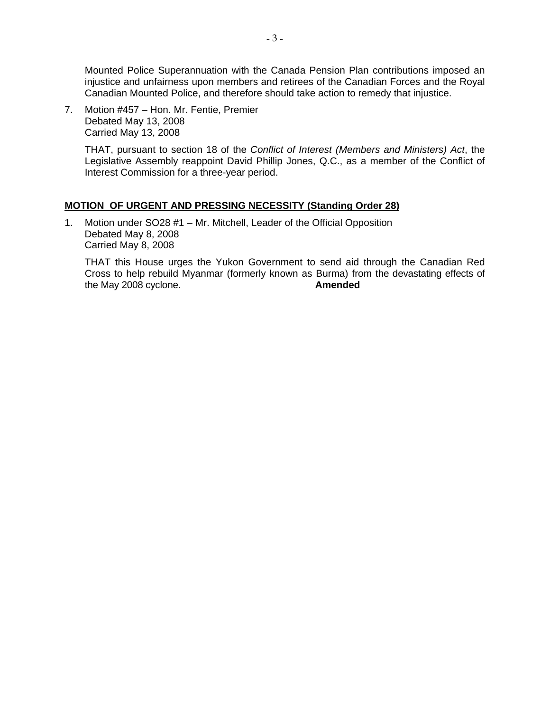Mounted Police Superannuation with the Canada Pension Plan contributions imposed an injustice and unfairness upon members and retirees of the Canadian Forces and the Royal Canadian Mounted Police, and therefore should take action to remedy that injustice.

7. Motion #457 – Hon. Mr. Fentie, Premier Debated May 13, 2008 Carried May 13, 2008

> THAT, pursuant to section 18 of the *Conflict of Interest (Members and Ministers) Act*, the Legislative Assembly reappoint David Phillip Jones, Q.C., as a member of the Conflict of Interest Commission for a three-year period.

### **MOTION OF URGENT AND PRESSING NECESSITY (Standing Order 28)**

1. Motion under SO28 #1 – Mr. Mitchell, Leader of the Official Opposition Debated May 8, 2008 Carried May 8, 2008

 THAT this House urges the Yukon Government to send aid through the Canadian Red Cross to help rebuild Myanmar (formerly known as Burma) from the devastating effects of the May 2008 cvclone. the May 2008 cyclone.